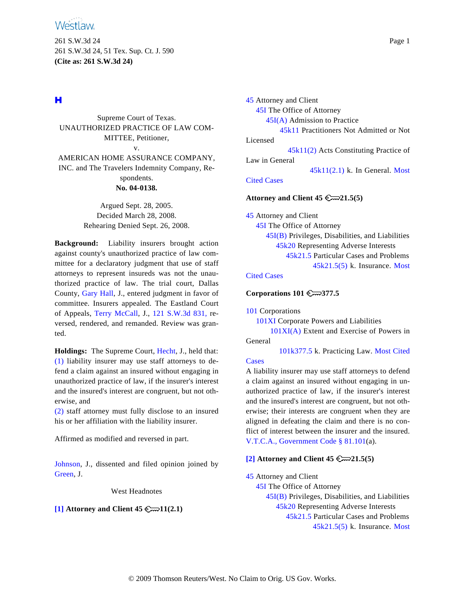261 S.W.3d 24 Page 1 261 S.W.3d 24, 51 Tex. Sup. Ct. J. 590 **(Cite as: 261 S.W.3d 24)**

# н

Supreme Court of Texas. UNAUTHORIZED PRACTICE OF LAW COM-MITTEE, Petitioner, v. AMERICAN HOME ASSURANCE COMPANY, INC. and The Travelers Indemnity Company, Respondents. **No. 04-0138.**

> Argued Sept. 28, 2005. Decided March 28, 2008. Rehearing Denied Sept. 26, 2008.

**Background:** Liability insurers brought action against county's unauthorized practice of law committee for a declaratory judgment that use of staff attorneys to represent insureds was not the unauthorized practice of law. The trial court, Dallas County, [Gary Hal](http://www.westlaw.com/Find/Default.wl?rs=dfa1.0&vr=2.0&DB=PROFILER-WLD&DocName=0151269801&FindType=h)l, J., entered judgment in favor of committee. Insurers appealed. The Eastland Court of Appeals, [Terry McCal](http://www.westlaw.com/Find/Default.wl?rs=dfa1.0&vr=2.0&DB=PROFILER-WLD&DocName=0263124101&FindType=h)l, J., [121 S.W.3d 831](http://www.westlaw.com/Find/Default.wl?rs=dfa1.0&vr=2.0&DB=4644&FindType=Y&SerialNum=2003761076), reversed, rendered, and remanded. Review was granted.

**Holdings:** The Supreme Court, [Hecht](http://www.westlaw.com/Find/Default.wl?rs=dfa1.0&vr=2.0&DB=PROFILER-WLD&DocName=0168852101&FindType=h), J., held that: [\(1\)](#page-4-0) liability insurer may use staff attorneys to defend a claim against an insured without engaging in unauthorized practice of law, if the insurer's interest and the insured's interest are congruent, but not otherwise, and

[\(2\)](#page-4-0) staff attorney must fully disclose to an insured his or her affiliation with the liability insurer.

Affirmed as modified and reversed in part.

<span id="page-0-1"></span>[Johnson,](http://www.westlaw.com/Find/Default.wl?rs=dfa1.0&vr=2.0&DB=PROFILER-WLD&DocName=0159466701&FindType=h) J., dissented and filed opinion joined by [Green](http://www.westlaw.com/Find/Default.wl?rs=dfa1.0&vr=2.0&DB=PROFILER-WLD&DocName=0152655101&FindType=h), J.

West Headnotes

# <span id="page-0-0"></span>**[\[1\]](#page-4-0) Attorney and Client 45 11(2.1)**

[45](http://www.westlaw.com/KeyNumber/Default.wl?rs=dfa1.0&vr=2.0&CMD=KEY&DocName=45) Attorney and Client [45I](http://www.westlaw.com/KeyNumber/Default.wl?rs=dfa1.0&vr=2.0&CMD=KEY&DocName=45I) The Office of Attorney [45I\(A\)](http://www.westlaw.com/KeyNumber/Default.wl?rs=dfa1.0&vr=2.0&CMD=KEY&DocName=45I%28A%29) Admission to Practice [45k11](http://www.westlaw.com/KeyNumber/Default.wl?rs=dfa1.0&vr=2.0&CMD=KEY&DocName=45k11) Practitioners Not Admitted or Not Licensed [45k11\(2\)](http://www.westlaw.com/KeyNumber/Default.wl?rs=dfa1.0&vr=2.0&CMD=KEY&DocName=45k11%282%29) Acts Constituting Practice of Law in General [45k11\(2.1\)](http://www.westlaw.com/KeyNumber/Default.wl?rs=dfa1.0&vr=2.0&CMD=KEY&DocName=45k11%282.1%29) k. In General. [Most](http://www.westlaw.com/Digest/Default.wl?rs=dfa1.0&vr=2.0&CMD=MCC&DocName=45k11%282.1%29) [Cited Cases](http://www.westlaw.com/Digest/Default.wl?rs=dfa1.0&vr=2.0&CMD=MCC&DocName=45k11%282.1%29)

# **Attorney and Client 45 21.5(5)**

[45](http://www.westlaw.com/KeyNumber/Default.wl?rs=dfa1.0&vr=2.0&CMD=KEY&DocName=45) Attorney and Client [45I](http://www.westlaw.com/KeyNumber/Default.wl?rs=dfa1.0&vr=2.0&CMD=KEY&DocName=45I) The Office of Attorney [45I\(B\)](http://www.westlaw.com/KeyNumber/Default.wl?rs=dfa1.0&vr=2.0&CMD=KEY&DocName=45I%28B%29) Privileges, Disabilities, and Liabilities [45k20](http://www.westlaw.com/KeyNumber/Default.wl?rs=dfa1.0&vr=2.0&CMD=KEY&DocName=45k20) Representing Adverse Interests [45k21.5](http://www.westlaw.com/KeyNumber/Default.wl?rs=dfa1.0&vr=2.0&CMD=KEY&DocName=45k21.5) Particular Cases and Problems [45k21.5\(5\)](http://www.westlaw.com/KeyNumber/Default.wl?rs=dfa1.0&vr=2.0&CMD=KEY&DocName=45k21.5%285%29) k. Insurance. [Most](http://www.westlaw.com/Digest/Default.wl?rs=dfa1.0&vr=2.0&CMD=MCC&DocName=45k21.5%285%29)

# [Cited Cases](http://www.westlaw.com/Digest/Default.wl?rs=dfa1.0&vr=2.0&CMD=MCC&DocName=45k21.5%285%29)

**Corporations 101 377.5**

[101](http://www.westlaw.com/KeyNumber/Default.wl?rs=dfa1.0&vr=2.0&CMD=KEY&DocName=101) Corporations

[101XI](http://www.westlaw.com/KeyNumber/Default.wl?rs=dfa1.0&vr=2.0&CMD=KEY&DocName=101XI) Corporate Powers and Liabilities

[101XI\(A\)](http://www.westlaw.com/KeyNumber/Default.wl?rs=dfa1.0&vr=2.0&CMD=KEY&DocName=101XI%28A%29) Extent and Exercise of Powers in General

[101k377.5](http://www.westlaw.com/KeyNumber/Default.wl?rs=dfa1.0&vr=2.0&CMD=KEY&DocName=101k377.5) k. Practicing Law. [Most Cited](http://www.westlaw.com/Digest/Default.wl?rs=dfa1.0&vr=2.0&CMD=MCC&DocName=101k377.5) **[Cases](http://www.westlaw.com/Digest/Default.wl?rs=dfa1.0&vr=2.0&CMD=MCC&DocName=101k377.5)** 

A liability insurer may use staff attorneys to defend a claim against an insured without engaging in unauthorized practice of law, if the insurer's interest and the insured's interest are congruent, but not otherwise; their interests are congruent when they are aligned in defeating the claim and there is no conflict of interest between the insurer and the insured. [V.T.C.A., Government Code § 81.101](http://www.westlaw.com/Find/Default.wl?rs=dfa1.0&vr=2.0&DB=1000176&DocName=TXGTS81.101&FindType=L)(a).

# **[\[2\]](#page-4-0) Attorney and Client 45 21.5(5)**

[45](http://www.westlaw.com/KeyNumber/Default.wl?rs=dfa1.0&vr=2.0&CMD=KEY&DocName=45) Attorney and Client

[45I](http://www.westlaw.com/KeyNumber/Default.wl?rs=dfa1.0&vr=2.0&CMD=KEY&DocName=45I) The Office of Attorney [45I\(B\)](http://www.westlaw.com/KeyNumber/Default.wl?rs=dfa1.0&vr=2.0&CMD=KEY&DocName=45I%28B%29) Privileges, Disabilities, and Liabilities [45k20](http://www.westlaw.com/KeyNumber/Default.wl?rs=dfa1.0&vr=2.0&CMD=KEY&DocName=45k20) Representing Adverse Interests [45k21.5](http://www.westlaw.com/KeyNumber/Default.wl?rs=dfa1.0&vr=2.0&CMD=KEY&DocName=45k21.5) Particular Cases and Problems [45k21.5\(5\)](http://www.westlaw.com/KeyNumber/Default.wl?rs=dfa1.0&vr=2.0&CMD=KEY&DocName=45k21.5%285%29) k. Insurance. Most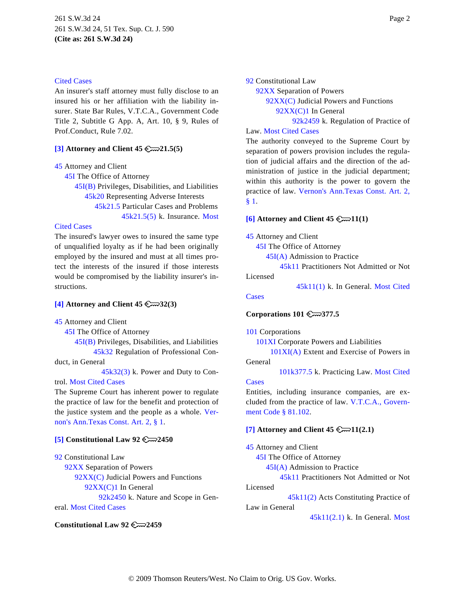### [Cited Cases](http://www.westlaw.com/Digest/Default.wl?rs=dfa1.0&vr=2.0&CMD=MCC&DocName=45k21.5%285%29)

An insurer's staff attorney must fully disclose to an insured his or her affiliation with the liability insurer. State Bar Rules, V.T.C.A., Government Code Title 2, Subtitle G App. A, Art. 10, § 9, Rules of Prof.Conduct, Rule 7.02.

### <span id="page-1-0"></span>**[\[3\]](#page-5-0) Attorney and Client 45 21.5(5)**

[45](http://www.westlaw.com/KeyNumber/Default.wl?rs=dfa1.0&vr=2.0&CMD=KEY&DocName=45) Attorney and Client

[45I](http://www.westlaw.com/KeyNumber/Default.wl?rs=dfa1.0&vr=2.0&CMD=KEY&DocName=45I) The Office of Attorney

[45I\(B\)](http://www.westlaw.com/KeyNumber/Default.wl?rs=dfa1.0&vr=2.0&CMD=KEY&DocName=45I%28B%29) Privileges, Disabilities, and Liabilities [45k20](http://www.westlaw.com/KeyNumber/Default.wl?rs=dfa1.0&vr=2.0&CMD=KEY&DocName=45k20) Representing Adverse Interests [45k21.5](http://www.westlaw.com/KeyNumber/Default.wl?rs=dfa1.0&vr=2.0&CMD=KEY&DocName=45k21.5) Particular Cases and Problems [45k21.5\(5\)](http://www.westlaw.com/KeyNumber/Default.wl?rs=dfa1.0&vr=2.0&CMD=KEY&DocName=45k21.5%285%29) k. Insurance. [Most](http://www.westlaw.com/Digest/Default.wl?rs=dfa1.0&vr=2.0&CMD=MCC&DocName=45k21.5%285%29)

### <span id="page-1-3"></span>[Cited Cases](http://www.westlaw.com/Digest/Default.wl?rs=dfa1.0&vr=2.0&CMD=MCC&DocName=45k21.5%285%29)

The insured's lawyer owes to insured the same type of unqualified loyalty as if he had been originally employed by the insured and must at all times protect the interests of the insured if those interests would be compromised by the liability insurer's instructions.

### <span id="page-1-1"></span>**[\[4\]](#page-11-0) Attorney and Client 45 32(3)**

[45](http://www.westlaw.com/KeyNumber/Default.wl?rs=dfa1.0&vr=2.0&CMD=KEY&DocName=45) Attorney and Client

[45I](http://www.westlaw.com/KeyNumber/Default.wl?rs=dfa1.0&vr=2.0&CMD=KEY&DocName=45I) The Office of Attorney

[45I\(B\)](http://www.westlaw.com/KeyNumber/Default.wl?rs=dfa1.0&vr=2.0&CMD=KEY&DocName=45I%28B%29) Privileges, Disabilities, and Liabilities [45k32](http://www.westlaw.com/KeyNumber/Default.wl?rs=dfa1.0&vr=2.0&CMD=KEY&DocName=45k32) Regulation of Professional Con-

duct, in General

[45k32\(3\)](http://www.westlaw.com/KeyNumber/Default.wl?rs=dfa1.0&vr=2.0&CMD=KEY&DocName=45k32%283%29) k. Power and Duty to Control. [Most Cited Cases](http://www.westlaw.com/Digest/Default.wl?rs=dfa1.0&vr=2.0&CMD=MCC&DocName=45k32%283%29)

The Supreme Court has inherent power to regulate the practice of law for the benefit and protection of the justice system and the people as a whole. [Ver](http://www.westlaw.com/Find/Default.wl?rs=dfa1.0&vr=2.0&DB=1000301&DocName=TXCNART2S1&FindType=L)[non's Ann.Texas Const. Art. 2, § 1](http://www.westlaw.com/Find/Default.wl?rs=dfa1.0&vr=2.0&DB=1000301&DocName=TXCNART2S1&FindType=L).

# <span id="page-1-4"></span><span id="page-1-2"></span>**[\[5\]](#page-11-0) Constitutional Law 92 2450**

[92](http://www.westlaw.com/KeyNumber/Default.wl?rs=dfa1.0&vr=2.0&CMD=KEY&DocName=92) Constitutional Law [92XX](http://www.westlaw.com/KeyNumber/Default.wl?rs=dfa1.0&vr=2.0&CMD=KEY&DocName=92XX) Separation of Powers [92XX\(C\)](http://www.westlaw.com/KeyNumber/Default.wl?rs=dfa1.0&vr=2.0&CMD=KEY&DocName=92XX%28C%29) Judicial Powers and Functions [92XX\(C\)1](http://www.westlaw.com/KeyNumber/Default.wl?rs=dfa1.0&vr=2.0&CMD=KEY&DocName=92XX%28C%291) In General [92k2450](http://www.westlaw.com/KeyNumber/Default.wl?rs=dfa1.0&vr=2.0&CMD=KEY&DocName=92k2450) k. Nature and Scope in General. [Most Cited Cases](http://www.westlaw.com/Digest/Default.wl?rs=dfa1.0&vr=2.0&CMD=MCC&DocName=92k2450)

### **Constitutional Law 92 2459**

[92](http://www.westlaw.com/KeyNumber/Default.wl?rs=dfa1.0&vr=2.0&CMD=KEY&DocName=92) Constitutional Law

[92XX](http://www.westlaw.com/KeyNumber/Default.wl?rs=dfa1.0&vr=2.0&CMD=KEY&DocName=92XX) Separation of Powers [92XX\(C\)](http://www.westlaw.com/KeyNumber/Default.wl?rs=dfa1.0&vr=2.0&CMD=KEY&DocName=92XX%28C%29) Judicial Powers and Functions [92XX\(C\)1](http://www.westlaw.com/KeyNumber/Default.wl?rs=dfa1.0&vr=2.0&CMD=KEY&DocName=92XX%28C%291) In General [92k2459](http://www.westlaw.com/KeyNumber/Default.wl?rs=dfa1.0&vr=2.0&CMD=KEY&DocName=92k2459) k. Regulation of Practice of

# Law. [Most Cited Cases](http://www.westlaw.com/Digest/Default.wl?rs=dfa1.0&vr=2.0&CMD=MCC&DocName=92k2459)

The authority conveyed to the Supreme Court by separation of powers provision includes the regulation of judicial affairs and the direction of the administration of justice in the judicial department; within this authority is the power to govern the practice of law. [Vernon's Ann.Texas Const. Art. 2](http://www.westlaw.com/Find/Default.wl?rs=dfa1.0&vr=2.0&DB=1000301&DocName=TXCNART2S1&FindType=L), [§ 1](http://www.westlaw.com/Find/Default.wl?rs=dfa1.0&vr=2.0&DB=1000301&DocName=TXCNART2S1&FindType=L).

### **[\[6\]](#page-11-0) Attorney and Client 45 11(1)**

[45](http://www.westlaw.com/KeyNumber/Default.wl?rs=dfa1.0&vr=2.0&CMD=KEY&DocName=45) Attorney and Client

[45I](http://www.westlaw.com/KeyNumber/Default.wl?rs=dfa1.0&vr=2.0&CMD=KEY&DocName=45I) The Office of Attorney

[45I\(A\)](http://www.westlaw.com/KeyNumber/Default.wl?rs=dfa1.0&vr=2.0&CMD=KEY&DocName=45I%28A%29) Admission to Practice

[45k11](http://www.westlaw.com/KeyNumber/Default.wl?rs=dfa1.0&vr=2.0&CMD=KEY&DocName=45k11) Practitioners Not Admitted or Not

Licensed

[45k11\(1\)](http://www.westlaw.com/KeyNumber/Default.wl?rs=dfa1.0&vr=2.0&CMD=KEY&DocName=45k11%281%29) k. In General. [Most Cited](http://www.westlaw.com/Digest/Default.wl?rs=dfa1.0&vr=2.0&CMD=MCC&DocName=45k11%281%29)

[Cases](http://www.westlaw.com/Digest/Default.wl?rs=dfa1.0&vr=2.0&CMD=MCC&DocName=45k11%281%29)

### **Corporations 101 377.5**

[101](http://www.westlaw.com/KeyNumber/Default.wl?rs=dfa1.0&vr=2.0&CMD=KEY&DocName=101) Corporations

[101XI](http://www.westlaw.com/KeyNumber/Default.wl?rs=dfa1.0&vr=2.0&CMD=KEY&DocName=101XI) Corporate Powers and Liabilities

[101XI\(A\)](http://www.westlaw.com/KeyNumber/Default.wl?rs=dfa1.0&vr=2.0&CMD=KEY&DocName=101XI%28A%29) Extent and Exercise of Powers in General

[101k377.5](http://www.westlaw.com/KeyNumber/Default.wl?rs=dfa1.0&vr=2.0&CMD=KEY&DocName=101k377.5) k. Practicing Law. [Most Cited](http://www.westlaw.com/Digest/Default.wl?rs=dfa1.0&vr=2.0&CMD=MCC&DocName=101k377.5)

### **[Cases](http://www.westlaw.com/Digest/Default.wl?rs=dfa1.0&vr=2.0&CMD=MCC&DocName=101k377.5)**

Entities, including insurance companies, are excluded from the practice of law. [V.T.C.A., Govern](http://www.westlaw.com/Find/Default.wl?rs=dfa1.0&vr=2.0&DB=1000176&DocName=TXGTS81.102&FindType=L)[ment Code § 81.102](http://www.westlaw.com/Find/Default.wl?rs=dfa1.0&vr=2.0&DB=1000176&DocName=TXGTS81.102&FindType=L).

### **[\[7\]](#page-13-0) Attorney and Client 45**  $\mathbb{C}$  11(2.1)

[45](http://www.westlaw.com/KeyNumber/Default.wl?rs=dfa1.0&vr=2.0&CMD=KEY&DocName=45) Attorney and Client [45I](http://www.westlaw.com/KeyNumber/Default.wl?rs=dfa1.0&vr=2.0&CMD=KEY&DocName=45I) The Office of Attorney [45I\(A\)](http://www.westlaw.com/KeyNumber/Default.wl?rs=dfa1.0&vr=2.0&CMD=KEY&DocName=45I%28A%29) Admission to Practice [45k11](http://www.westlaw.com/KeyNumber/Default.wl?rs=dfa1.0&vr=2.0&CMD=KEY&DocName=45k11) Practitioners Not Admitted or Not Licensed [45k11\(2\)](http://www.westlaw.com/KeyNumber/Default.wl?rs=dfa1.0&vr=2.0&CMD=KEY&DocName=45k11%282%29) Acts Constituting Practice of Law in General

[45k11\(2.1\)](http://www.westlaw.com/KeyNumber/Default.wl?rs=dfa1.0&vr=2.0&CMD=KEY&DocName=45k11%282.1%29) k. In General. Most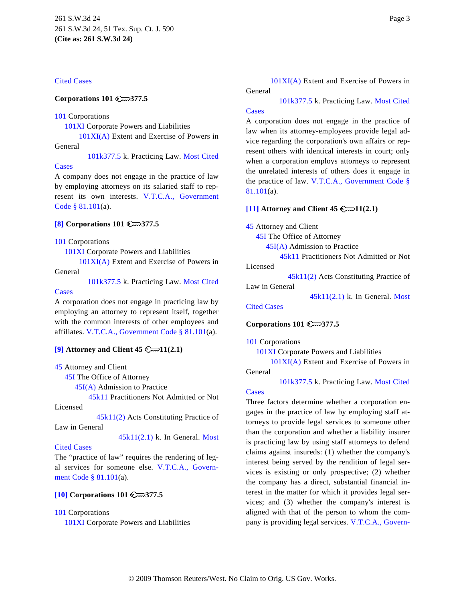### [Cited Cases](http://www.westlaw.com/Digest/Default.wl?rs=dfa1.0&vr=2.0&CMD=MCC&DocName=45k11%282.1%29)

### **Corporations 101 377.5**

### [101](http://www.westlaw.com/KeyNumber/Default.wl?rs=dfa1.0&vr=2.0&CMD=KEY&DocName=101) Corporations

[101XI](http://www.westlaw.com/KeyNumber/Default.wl?rs=dfa1.0&vr=2.0&CMD=KEY&DocName=101XI) Corporate Powers and Liabilities

[101XI\(A\)](http://www.westlaw.com/KeyNumber/Default.wl?rs=dfa1.0&vr=2.0&CMD=KEY&DocName=101XI%28A%29) Extent and Exercise of Powers in

# General

[101k377.5](http://www.westlaw.com/KeyNumber/Default.wl?rs=dfa1.0&vr=2.0&CMD=KEY&DocName=101k377.5) k. Practicing Law. [Most Cited](http://www.westlaw.com/Digest/Default.wl?rs=dfa1.0&vr=2.0&CMD=MCC&DocName=101k377.5)

### [Cases](http://www.westlaw.com/Digest/Default.wl?rs=dfa1.0&vr=2.0&CMD=MCC&DocName=101k377.5)

A company does not engage in the practice of law by employing attorneys on its salaried staff to represent its own interests. [V.T.C.A., Governmen](http://www.westlaw.com/Find/Default.wl?rs=dfa1.0&vr=2.0&DB=1000176&DocName=TXGTS81.101&FindType=L)t [Code § 81.101](http://www.westlaw.com/Find/Default.wl?rs=dfa1.0&vr=2.0&DB=1000176&DocName=TXGTS81.101&FindType=L)(a).

### <span id="page-2-3"></span><span id="page-2-0"></span>**[\[8\]](#page-13-1) Corporations 101 377.5**

[101](http://www.westlaw.com/KeyNumber/Default.wl?rs=dfa1.0&vr=2.0&CMD=KEY&DocName=101) Corporations

[101XI](http://www.westlaw.com/KeyNumber/Default.wl?rs=dfa1.0&vr=2.0&CMD=KEY&DocName=101XI) Corporate Powers and Liabilities

[101XI\(A\)](http://www.westlaw.com/KeyNumber/Default.wl?rs=dfa1.0&vr=2.0&CMD=KEY&DocName=101XI%28A%29) Extent and Exercise of Powers in General

[101k377.5](http://www.westlaw.com/KeyNumber/Default.wl?rs=dfa1.0&vr=2.0&CMD=KEY&DocName=101k377.5) k. Practicing Law. [Most Cited](http://www.westlaw.com/Digest/Default.wl?rs=dfa1.0&vr=2.0&CMD=MCC&DocName=101k377.5)

### **[Cases](http://www.westlaw.com/Digest/Default.wl?rs=dfa1.0&vr=2.0&CMD=MCC&DocName=101k377.5)**

A corporation does not engage in practicing law by employing an attorney to represent itself, together with the common interests of other employees and affiliates. [V.T.C.A., Government Code § 81.101](http://www.westlaw.com/Find/Default.wl?rs=dfa1.0&vr=2.0&DB=1000176&DocName=TXGTS81.101&FindType=L)(a).

### <span id="page-2-1"></span>**[\[9\]](#page-14-0) Attorney and Client 45**  $\mathbb{C}$  **11(2.1)**

[45](http://www.westlaw.com/KeyNumber/Default.wl?rs=dfa1.0&vr=2.0&CMD=KEY&DocName=45) Attorney and Client

[45I](http://www.westlaw.com/KeyNumber/Default.wl?rs=dfa1.0&vr=2.0&CMD=KEY&DocName=45I) The Office of Attorney

[45I\(A\)](http://www.westlaw.com/KeyNumber/Default.wl?rs=dfa1.0&vr=2.0&CMD=KEY&DocName=45I%28A%29) Admission to Practice

[45k11](http://www.westlaw.com/KeyNumber/Default.wl?rs=dfa1.0&vr=2.0&CMD=KEY&DocName=45k11) Practitioners Not Admitted or Not

Licensed

[45k11\(2\)](http://www.westlaw.com/KeyNumber/Default.wl?rs=dfa1.0&vr=2.0&CMD=KEY&DocName=45k11%282%29) Acts Constituting Practice of

Law in General

[45k11\(2.1\)](http://www.westlaw.com/KeyNumber/Default.wl?rs=dfa1.0&vr=2.0&CMD=KEY&DocName=45k11%282.1%29) k. In General. [Most](http://www.westlaw.com/Digest/Default.wl?rs=dfa1.0&vr=2.0&CMD=MCC&DocName=45k11%282.1%29)

# [Cited Cases](http://www.westlaw.com/Digest/Default.wl?rs=dfa1.0&vr=2.0&CMD=MCC&DocName=45k11%282.1%29)

The "practice of law" requires the rendering of legal services for someone else. [V.T.C.A., Govern](http://www.westlaw.com/Find/Default.wl?rs=dfa1.0&vr=2.0&DB=1000176&DocName=TXGTS81.101&FindType=L)[ment Code § 81.101](http://www.westlaw.com/Find/Default.wl?rs=dfa1.0&vr=2.0&DB=1000176&DocName=TXGTS81.101&FindType=L)(a).

# <span id="page-2-2"></span>**[\[10\]](#page-14-0) Corporations 101 377.5**

### [101](http://www.westlaw.com/KeyNumber/Default.wl?rs=dfa1.0&vr=2.0&CMD=KEY&DocName=101) Corporations

[101XI](http://www.westlaw.com/KeyNumber/Default.wl?rs=dfa1.0&vr=2.0&CMD=KEY&DocName=101XI) Corporate Powers and Liabilities

[101XI\(A\)](http://www.westlaw.com/KeyNumber/Default.wl?rs=dfa1.0&vr=2.0&CMD=KEY&DocName=101XI%28A%29) Extent and Exercise of Powers in General

[101k377.5](http://www.westlaw.com/KeyNumber/Default.wl?rs=dfa1.0&vr=2.0&CMD=KEY&DocName=101k377.5) k. Practicing Law. [Most Cited](http://www.westlaw.com/Digest/Default.wl?rs=dfa1.0&vr=2.0&CMD=MCC&DocName=101k377.5)

# [Cases](http://www.westlaw.com/Digest/Default.wl?rs=dfa1.0&vr=2.0&CMD=MCC&DocName=101k377.5)

A corporation does not engage in the practice of law when its attorney-employees provide legal advice regarding the corporation's own affairs or represent others with identical interests in court; only when a corporation employs attorneys to represent the unrelated interests of others does it engage in the practice of law. [V.T.C.A., Government Code §](http://www.westlaw.com/Find/Default.wl?rs=dfa1.0&vr=2.0&DB=1000176&DocName=TXGTS81.101&FindType=L) [81.101](http://www.westlaw.com/Find/Default.wl?rs=dfa1.0&vr=2.0&DB=1000176&DocName=TXGTS81.101&FindType=L)(a).

### **[\[11\]](#page-16-0) Attorney and Client 45**  $\mathbb{C}$  11(2.1)

[45](http://www.westlaw.com/KeyNumber/Default.wl?rs=dfa1.0&vr=2.0&CMD=KEY&DocName=45) Attorney and Client

[45I](http://www.westlaw.com/KeyNumber/Default.wl?rs=dfa1.0&vr=2.0&CMD=KEY&DocName=45I) The Office of Attorney

[45I\(A\)](http://www.westlaw.com/KeyNumber/Default.wl?rs=dfa1.0&vr=2.0&CMD=KEY&DocName=45I%28A%29) Admission to Practice

[45k11](http://www.westlaw.com/KeyNumber/Default.wl?rs=dfa1.0&vr=2.0&CMD=KEY&DocName=45k11) Practitioners Not Admitted or Not Licensed

[45k11\(2\)](http://www.westlaw.com/KeyNumber/Default.wl?rs=dfa1.0&vr=2.0&CMD=KEY&DocName=45k11%282%29) Acts Constituting Practice of

Law in General

[45k11\(2.1\)](http://www.westlaw.com/KeyNumber/Default.wl?rs=dfa1.0&vr=2.0&CMD=KEY&DocName=45k11%282.1%29) k. In General. [Most](http://www.westlaw.com/Digest/Default.wl?rs=dfa1.0&vr=2.0&CMD=MCC&DocName=45k11%282.1%29)

[Cited Cases](http://www.westlaw.com/Digest/Default.wl?rs=dfa1.0&vr=2.0&CMD=MCC&DocName=45k11%282.1%29)

### **Corporations 101 377.5**

### [101](http://www.westlaw.com/KeyNumber/Default.wl?rs=dfa1.0&vr=2.0&CMD=KEY&DocName=101) Corporations

[101XI](http://www.westlaw.com/KeyNumber/Default.wl?rs=dfa1.0&vr=2.0&CMD=KEY&DocName=101XI) Corporate Powers and Liabilities

[101XI\(A\)](http://www.westlaw.com/KeyNumber/Default.wl?rs=dfa1.0&vr=2.0&CMD=KEY&DocName=101XI%28A%29) Extent and Exercise of Powers in General

[101k377.5](http://www.westlaw.com/KeyNumber/Default.wl?rs=dfa1.0&vr=2.0&CMD=KEY&DocName=101k377.5) k. Practicing Law. [Most Cited](http://www.westlaw.com/Digest/Default.wl?rs=dfa1.0&vr=2.0&CMD=MCC&DocName=101k377.5)

### **[Cases](http://www.westlaw.com/Digest/Default.wl?rs=dfa1.0&vr=2.0&CMD=MCC&DocName=101k377.5)**

Three factors determine whether a corporation engages in the practice of law by employing staff attorneys to provide legal services to someone other than the corporation and whether a liability insurer is practicing law by using staff attorneys to defend claims against insureds: (1) whether the company's interest being served by the rendition of legal services is existing or only prospective; (2) whether the company has a direct, substantial financial interest in the matter for which it provides legal services; and (3) whether the company's interest is aligned with that of the person to whom the company is providing legal services. V.T.C.A., Govern-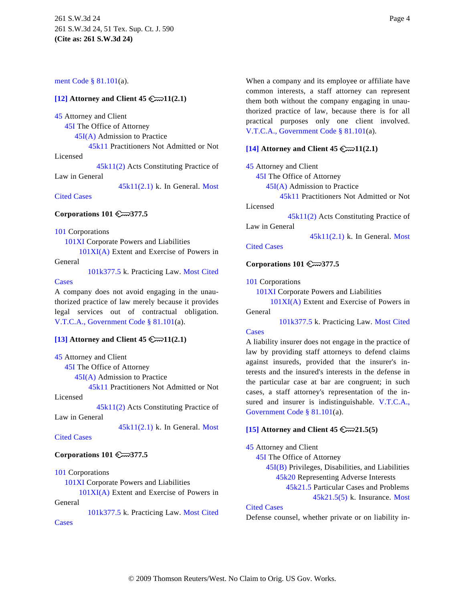### [ment Code § 81.101](http://www.westlaw.com/Find/Default.wl?rs=dfa1.0&vr=2.0&DB=1000176&DocName=TXGTS81.101&FindType=L)(a).

### <span id="page-3-0"></span>**[\[12\]](#page-17-0) Attorney and Client 45**  $\mathbb{C}$  11(2.1)

[45](http://www.westlaw.com/KeyNumber/Default.wl?rs=dfa1.0&vr=2.0&CMD=KEY&DocName=45) Attorney and Client

[45I](http://www.westlaw.com/KeyNumber/Default.wl?rs=dfa1.0&vr=2.0&CMD=KEY&DocName=45I) The Office of Attorney

[45I\(A\)](http://www.westlaw.com/KeyNumber/Default.wl?rs=dfa1.0&vr=2.0&CMD=KEY&DocName=45I%28A%29) Admission to Practice

[45k11](http://www.westlaw.com/KeyNumber/Default.wl?rs=dfa1.0&vr=2.0&CMD=KEY&DocName=45k11) Practitioners Not Admitted or Not

<span id="page-3-2"></span>Licensed

[45k11\(2\)](http://www.westlaw.com/KeyNumber/Default.wl?rs=dfa1.0&vr=2.0&CMD=KEY&DocName=45k11%282%29) Acts Constituting Practice of

Law in General

[45k11\(2.1\)](http://www.westlaw.com/KeyNumber/Default.wl?rs=dfa1.0&vr=2.0&CMD=KEY&DocName=45k11%282.1%29) k. In General. [Most](http://www.westlaw.com/Digest/Default.wl?rs=dfa1.0&vr=2.0&CMD=MCC&DocName=45k11%282.1%29)

[Cited Cases](http://www.westlaw.com/Digest/Default.wl?rs=dfa1.0&vr=2.0&CMD=MCC&DocName=45k11%282.1%29)

# **Corporations 101 377.5**

[101](http://www.westlaw.com/KeyNumber/Default.wl?rs=dfa1.0&vr=2.0&CMD=KEY&DocName=101) Corporations

[101XI](http://www.westlaw.com/KeyNumber/Default.wl?rs=dfa1.0&vr=2.0&CMD=KEY&DocName=101XI) Corporate Powers and Liabilities

[101XI\(A\)](http://www.westlaw.com/KeyNumber/Default.wl?rs=dfa1.0&vr=2.0&CMD=KEY&DocName=101XI%28A%29) Extent and Exercise of Powers in General

[101k377.5](http://www.westlaw.com/KeyNumber/Default.wl?rs=dfa1.0&vr=2.0&CMD=KEY&DocName=101k377.5) k. Practicing Law. [Most Cited](http://www.westlaw.com/Digest/Default.wl?rs=dfa1.0&vr=2.0&CMD=MCC&DocName=101k377.5)

### **[Cases](http://www.westlaw.com/Digest/Default.wl?rs=dfa1.0&vr=2.0&CMD=MCC&DocName=101k377.5)**

A company does not avoid engaging in the unauthorized practice of law merely because it provides legal services out of contractual obligation. [V.T.C.A., Government Code § 81.101](http://www.westlaw.com/Find/Default.wl?rs=dfa1.0&vr=2.0&DB=1000176&DocName=TXGTS81.101&FindType=L)(a).

# <span id="page-3-1"></span>**[\[13\]](#page-17-1) Attorney and Client 45 11(2.1)**

[45](http://www.westlaw.com/KeyNumber/Default.wl?rs=dfa1.0&vr=2.0&CMD=KEY&DocName=45) Attorney and Client

[45I](http://www.westlaw.com/KeyNumber/Default.wl?rs=dfa1.0&vr=2.0&CMD=KEY&DocName=45I) The Office of Attorney

[45I\(A\)](http://www.westlaw.com/KeyNumber/Default.wl?rs=dfa1.0&vr=2.0&CMD=KEY&DocName=45I%28A%29) Admission to Practice

[45k11](http://www.westlaw.com/KeyNumber/Default.wl?rs=dfa1.0&vr=2.0&CMD=KEY&DocName=45k11) Practitioners Not Admitted or Not Licensed

[45k11\(2\)](http://www.westlaw.com/KeyNumber/Default.wl?rs=dfa1.0&vr=2.0&CMD=KEY&DocName=45k11%282%29) Acts Constituting Practice of Law in General

[45k11\(2.1\)](http://www.westlaw.com/KeyNumber/Default.wl?rs=dfa1.0&vr=2.0&CMD=KEY&DocName=45k11%282.1%29) k. In General. [Most](http://www.westlaw.com/Digest/Default.wl?rs=dfa1.0&vr=2.0&CMD=MCC&DocName=45k11%282.1%29)

## <span id="page-3-3"></span>[Cited Cases](http://www.westlaw.com/Digest/Default.wl?rs=dfa1.0&vr=2.0&CMD=MCC&DocName=45k11%282.1%29)

### **Corporations 101 377.5**

### [101](http://www.westlaw.com/KeyNumber/Default.wl?rs=dfa1.0&vr=2.0&CMD=KEY&DocName=101) Corporations

[101XI](http://www.westlaw.com/KeyNumber/Default.wl?rs=dfa1.0&vr=2.0&CMD=KEY&DocName=101XI) Corporate Powers and Liabilities [101XI\(A\)](http://www.westlaw.com/KeyNumber/Default.wl?rs=dfa1.0&vr=2.0&CMD=KEY&DocName=101XI%28A%29) Extent and Exercise of Powers in

General

**[Cases](http://www.westlaw.com/Digest/Default.wl?rs=dfa1.0&vr=2.0&CMD=MCC&DocName=101k377.5)** 

[101k377.5](http://www.westlaw.com/KeyNumber/Default.wl?rs=dfa1.0&vr=2.0&CMD=KEY&DocName=101k377.5) k. Practicing Law. [Most Cited](http://www.westlaw.com/Digest/Default.wl?rs=dfa1.0&vr=2.0&CMD=MCC&DocName=101k377.5)

When a company and its employee or affiliate have common interests, a staff attorney can represent them both without the company engaging in unauthorized practice of law, because there is for all practical purposes only one client involved. [V.T.C.A., Government Code § 81.101](http://www.westlaw.com/Find/Default.wl?rs=dfa1.0&vr=2.0&DB=1000176&DocName=TXGTS81.101&FindType=L)(a).

### **[\[14\]](#page-17-2) Attorney and Client 45**  $\mathbb{C} \rightarrow 11(2.1)$

[45](http://www.westlaw.com/KeyNumber/Default.wl?rs=dfa1.0&vr=2.0&CMD=KEY&DocName=45) Attorney and Client

[45I](http://www.westlaw.com/KeyNumber/Default.wl?rs=dfa1.0&vr=2.0&CMD=KEY&DocName=45I) The Office of Attorney

[45I\(A\)](http://www.westlaw.com/KeyNumber/Default.wl?rs=dfa1.0&vr=2.0&CMD=KEY&DocName=45I%28A%29) Admission to Practice

[45k11](http://www.westlaw.com/KeyNumber/Default.wl?rs=dfa1.0&vr=2.0&CMD=KEY&DocName=45k11) Practitioners Not Admitted or Not Licensed

[45k11\(2\)](http://www.westlaw.com/KeyNumber/Default.wl?rs=dfa1.0&vr=2.0&CMD=KEY&DocName=45k11%282%29) Acts Constituting Practice of

Law in General

[45k11\(2.1\)](http://www.westlaw.com/KeyNumber/Default.wl?rs=dfa1.0&vr=2.0&CMD=KEY&DocName=45k11%282.1%29) k. In General. [Most](http://www.westlaw.com/Digest/Default.wl?rs=dfa1.0&vr=2.0&CMD=MCC&DocName=45k11%282.1%29)

# [Cited Cases](http://www.westlaw.com/Digest/Default.wl?rs=dfa1.0&vr=2.0&CMD=MCC&DocName=45k11%282.1%29)

### **Corporations 101 377.5**

[101](http://www.westlaw.com/KeyNumber/Default.wl?rs=dfa1.0&vr=2.0&CMD=KEY&DocName=101) Corporations

[101XI](http://www.westlaw.com/KeyNumber/Default.wl?rs=dfa1.0&vr=2.0&CMD=KEY&DocName=101XI) Corporate Powers and Liabilities

[101XI\(A\)](http://www.westlaw.com/KeyNumber/Default.wl?rs=dfa1.0&vr=2.0&CMD=KEY&DocName=101XI%28A%29) Extent and Exercise of Powers in General

[101k377.5](http://www.westlaw.com/KeyNumber/Default.wl?rs=dfa1.0&vr=2.0&CMD=KEY&DocName=101k377.5) k. Practicing Law. [Most Cited](http://www.westlaw.com/Digest/Default.wl?rs=dfa1.0&vr=2.0&CMD=MCC&DocName=101k377.5)

### **[Cases](http://www.westlaw.com/Digest/Default.wl?rs=dfa1.0&vr=2.0&CMD=MCC&DocName=101k377.5)**

A liability insurer does not engage in the practice of law by providing staff attorneys to defend claims against insureds, provided that the insurer's interests and the insured's interests in the defense in the particular case at bar are congruent; in such cases, a staff attorney's representation of the insured and insurer is indistinguishable. [V.T.C.A.,](http://www.westlaw.com/Find/Default.wl?rs=dfa1.0&vr=2.0&DB=1000176&DocName=TXGTS81.101&FindType=L) [Government Code § 81.101](http://www.westlaw.com/Find/Default.wl?rs=dfa1.0&vr=2.0&DB=1000176&DocName=TXGTS81.101&FindType=L)(a).

### **[\[15\]](#page-19-0) Attorney and Client 45 21.5(5)**

[45](http://www.westlaw.com/KeyNumber/Default.wl?rs=dfa1.0&vr=2.0&CMD=KEY&DocName=45) Attorney and Client

[45I](http://www.westlaw.com/KeyNumber/Default.wl?rs=dfa1.0&vr=2.0&CMD=KEY&DocName=45I) The Office of Attorney

[45I\(B\)](http://www.westlaw.com/KeyNumber/Default.wl?rs=dfa1.0&vr=2.0&CMD=KEY&DocName=45I%28B%29) Privileges, Disabilities, and Liabilities [45k20](http://www.westlaw.com/KeyNumber/Default.wl?rs=dfa1.0&vr=2.0&CMD=KEY&DocName=45k20) Representing Adverse Interests

[45k21.5](http://www.westlaw.com/KeyNumber/Default.wl?rs=dfa1.0&vr=2.0&CMD=KEY&DocName=45k21.5) Particular Cases and Problems

[45k21.5\(5\)](http://www.westlaw.com/KeyNumber/Default.wl?rs=dfa1.0&vr=2.0&CMD=KEY&DocName=45k21.5%285%29) k. Insurance. [Most](http://www.westlaw.com/Digest/Default.wl?rs=dfa1.0&vr=2.0&CMD=MCC&DocName=45k21.5%285%29)

### [Cited Cases](http://www.westlaw.com/Digest/Default.wl?rs=dfa1.0&vr=2.0&CMD=MCC&DocName=45k21.5%285%29)

Defense counsel, whether private or on liability in-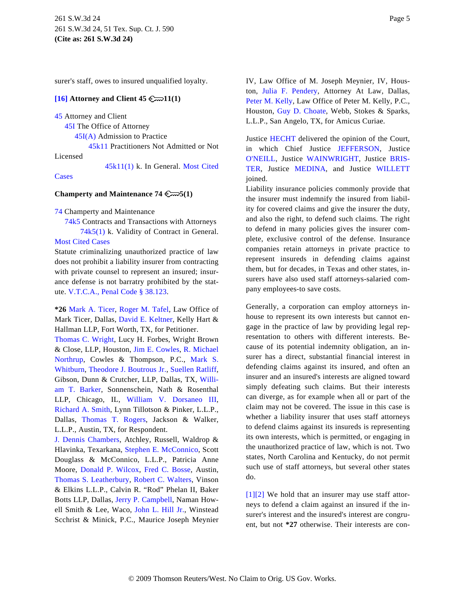surer's staff, owes to insured unqualified loyalty.

# <span id="page-4-1"></span>**[\[16\]](#page-23-0) Attorney and Client 45 11(1)**

[45](http://www.westlaw.com/KeyNumber/Default.wl?rs=dfa1.0&vr=2.0&CMD=KEY&DocName=45) Attorney and Client

[45I](http://www.westlaw.com/KeyNumber/Default.wl?rs=dfa1.0&vr=2.0&CMD=KEY&DocName=45I) The Office of Attorney

[45I\(A\)](http://www.westlaw.com/KeyNumber/Default.wl?rs=dfa1.0&vr=2.0&CMD=KEY&DocName=45I%28A%29) Admission to Practice

[45k11](http://www.westlaw.com/KeyNumber/Default.wl?rs=dfa1.0&vr=2.0&CMD=KEY&DocName=45k11) Practitioners Not Admitted or Not

Licensed

[45k11\(1\)](http://www.westlaw.com/KeyNumber/Default.wl?rs=dfa1.0&vr=2.0&CMD=KEY&DocName=45k11%281%29) k. In General. [Most Cited](http://www.westlaw.com/Digest/Default.wl?rs=dfa1.0&vr=2.0&CMD=MCC&DocName=45k11%281%29)

**[Cases](http://www.westlaw.com/Digest/Default.wl?rs=dfa1.0&vr=2.0&CMD=MCC&DocName=45k11%281%29)** 

### **Champerty and Maintenance 74 5(1)**

[74](http://www.westlaw.com/KeyNumber/Default.wl?rs=dfa1.0&vr=2.0&CMD=KEY&DocName=74) Champerty and Maintenance

[74k5](http://www.westlaw.com/KeyNumber/Default.wl?rs=dfa1.0&vr=2.0&CMD=KEY&DocName=74k5) Contracts and Transactions with Attorneys [74k5\(1\)](http://www.westlaw.com/KeyNumber/Default.wl?rs=dfa1.0&vr=2.0&CMD=KEY&DocName=74k5%281%29) k. Validity of Contract in General.

[Most Cited Cases](http://www.westlaw.com/Digest/Default.wl?rs=dfa1.0&vr=2.0&CMD=MCC&DocName=74k5%281%29)

Statute criminalizing unauthorized practice of law does not prohibit a liability insurer from contracting with private counsel to represent an insured; insurance defense is not barratry prohibited by the statute. [V.T.C.A., Penal Code § 38.123](http://www.westlaw.com/Find/Default.wl?rs=dfa1.0&vr=2.0&DB=1000182&DocName=TXPES38.123&FindType=L).

**\*26** [Mark A. Tice](http://www.westlaw.com/Find/Default.wl?rs=dfa1.0&vr=2.0&DB=PROFILER-WLD&DocName=0294071201&FindType=h)r, [Roger M. Tafe](http://www.westlaw.com/Find/Default.wl?rs=dfa1.0&vr=2.0&DB=PROFILER-WLD&DocName=0342460801&FindType=h)l, Law Office of Mark Ticer, Dallas, [David E. Keltner](http://www.westlaw.com/Find/Default.wl?rs=dfa1.0&vr=2.0&DB=PROFILER-WLD&DocName=0153928001&FindType=h), Kelly Hart & Hallman LLP, Fort Worth, TX, for Petitioner.

[Thomas C. Wrigh](http://www.westlaw.com/Find/Default.wl?rs=dfa1.0&vr=2.0&DB=PROFILER-WLD&DocName=0136421501&FindType=h)t, Lucy H. Forbes, Wright Brown & Close, LLP, Houston, [Jim E. Cowles](http://www.westlaw.com/Find/Default.wl?rs=dfa1.0&vr=2.0&DB=PROFILER-WLD&DocName=0248648401&FindType=h), [R. Michael](http://www.westlaw.com/Find/Default.wl?rs=dfa1.0&vr=2.0&DB=PROFILER-WLD&DocName=0297359501&FindType=h) [Northrup,](http://www.westlaw.com/Find/Default.wl?rs=dfa1.0&vr=2.0&DB=PROFILER-WLD&DocName=0297359501&FindType=h) Cowles & Thompson, P.C., [Mark S](http://www.westlaw.com/Find/Default.wl?rs=dfa1.0&vr=2.0&DB=PROFILER-WLD&DocName=0334005001&FindType=h). [Whitburn](http://www.westlaw.com/Find/Default.wl?rs=dfa1.0&vr=2.0&DB=PROFILER-WLD&DocName=0334005001&FindType=h), [Theodore J. Boutrous Jr](http://www.westlaw.com/Find/Default.wl?rs=dfa1.0&vr=2.0&DB=PROFILER-WLD&DocName=0249452601&FindType=h)., [Suellen Ratliff](http://www.westlaw.com/Find/Default.wl?rs=dfa1.0&vr=2.0&DB=PROFILER-WLD&DocName=0320377701&FindType=h), Gibson, Dunn & Crutcher, LLP, Dallas, TX, [Willi](http://www.westlaw.com/Find/Default.wl?rs=dfa1.0&vr=2.0&DB=PROFILER-WLD&DocName=0167161401&FindType=h)[am T. Bark](http://www.westlaw.com/Find/Default.wl?rs=dfa1.0&vr=2.0&DB=PROFILER-WLD&DocName=0167161401&FindType=h)er, Sonnenschein, Nath & Rosenthal LLP, Chicago, IL, [William V. Dorsaneo](http://www.westlaw.com/Find/Default.wl?rs=dfa1.0&vr=2.0&DB=PROFILER-WLD&DocName=0212434601&FindType=h) III, [Richard A. Smith](http://www.westlaw.com/Find/Default.wl?rs=dfa1.0&vr=2.0&DB=PROFILER-WLD&DocName=0320378501&FindType=h), Lynn Tillotson & Pinker, L.L.P., Dallas, [Thomas T. Roge](http://www.westlaw.com/Find/Default.wl?rs=dfa1.0&vr=2.0&DB=PROFILER-WLD&DocName=0123066601&FindType=h)rs, Jackson & Walker, L.L.P., Austin, TX, for Respondent.

<span id="page-4-0"></span>[J. Dennis Chamber](http://www.westlaw.com/Find/Default.wl?rs=dfa1.0&vr=2.0&DB=PROFILER-WLD&DocName=0191314401&FindType=h)s, Atchley, Russell, Waldrop & Hlavinka, Texarkana, [Stephen E. McConnico](http://www.westlaw.com/Find/Default.wl?rs=dfa1.0&vr=2.0&DB=PROFILER-WLD&DocName=0141499501&FindType=h), Scott Douglass & McConnico, L.L.P., Patricia Anne Moore, [Donald P. Wilco](http://www.westlaw.com/Find/Default.wl?rs=dfa1.0&vr=2.0&DB=PROFILER-WLD&DocName=0177990201&FindType=h)x, [Fred C. Boss](http://www.westlaw.com/Find/Default.wl?rs=dfa1.0&vr=2.0&DB=PROFILER-WLD&DocName=0273399301&FindType=h)e, Austin, [Thomas S. Leatherbury](http://www.westlaw.com/Find/Default.wl?rs=dfa1.0&vr=2.0&DB=PROFILER-WLD&DocName=0192509001&FindType=h), [Robert C. Walter](http://www.westlaw.com/Find/Default.wl?rs=dfa1.0&vr=2.0&DB=PROFILER-WLD&DocName=0161545101&FindType=h)s, Vinson & Elkins L.L.P., Calvin R. "Rod" Phelan II, Baker Botts LLP, Dallas, [Jerry P. Campbell](http://www.westlaw.com/Find/Default.wl?rs=dfa1.0&vr=2.0&DB=PROFILER-WLD&DocName=0168906601&FindType=h), Naman Howell Smith & Lee, Waco, [John L. Hill Jr](http://www.westlaw.com/Find/Default.wl?rs=dfa1.0&vr=2.0&DB=PROFILER-WLD&DocName=0245474001&FindType=h)., Winstead Scchrist & Minick, P.C., Maurice Joseph Meynier IV, Law Office of M. Joseph Meynier, IV, Houston, [Julia F. Pender](http://www.westlaw.com/Find/Default.wl?rs=dfa1.0&vr=2.0&DB=PROFILER-WLD&DocName=0114422101&FindType=h)y, Attorney At Law, Dallas, [Peter M. Kelly](http://www.westlaw.com/Find/Default.wl?rs=dfa1.0&vr=2.0&DB=PROFILER-WLD&DocName=0174694401&FindType=h), Law Office of Peter M. Kelly, P.C., Houston, [Guy D. Choate](http://www.westlaw.com/Find/Default.wl?rs=dfa1.0&vr=2.0&DB=PROFILER-WLD&DocName=0103560301&FindType=h), Webb, Stokes & Sparks, L.L.P., San Angelo, TX, for Amicus Curiae.

Justice [HECHT](http://www.westlaw.com/Find/Default.wl?rs=dfa1.0&vr=2.0&DB=PROFILER-WLD&DocName=0168852101&FindType=h) delivered the opinion of the Court, in which Chief Justice [JEFFERSON](http://www.westlaw.com/Find/Default.wl?rs=dfa1.0&vr=2.0&DB=PROFILER-WLD&DocName=0159614901&FindType=h), Justice [O'NEILL,](http://www.westlaw.com/Find/Default.wl?rs=dfa1.0&vr=2.0&DB=PROFILER-WLD&DocName=0234532001&FindType=h) Justice [WAINWRIGHT](http://www.westlaw.com/Find/Default.wl?rs=dfa1.0&vr=2.0&DB=PROFILER-WLD&DocName=0231796301&FindType=h), Justice [BRIS-](http://www.westlaw.com/Find/Default.wl?rs=dfa1.0&vr=2.0&DB=PROFILER-WLD&DocName=0101237501&FindType=h)[TER](http://www.westlaw.com/Find/Default.wl?rs=dfa1.0&vr=2.0&DB=PROFILER-WLD&DocName=0101237501&FindType=h), Justice [MEDINA](http://www.westlaw.com/Find/Default.wl?rs=dfa1.0&vr=2.0&DB=PROFILER-WLD&DocName=0316716301&FindType=h), and Justice [WILLETT](http://www.westlaw.com/Find/Default.wl?rs=dfa1.0&vr=2.0&DB=PROFILER-WLD&DocName=0353703601&FindType=h) joined.

Liability insurance policies commonly provide that the insurer must indemnify the insured from liability for covered claims and give the insurer the duty, and also the right, to defend such claims. The right to defend in many policies gives the insurer complete, exclusive control of the defense. Insurance companies retain attorneys in private practice to represent insureds in defending claims against them, but for decades, in Texas and other states, insurers have also used staff attorneys-salaried company employees-to save costs.

Generally, a corporation can employ attorneys inhouse to represent its own interests but cannot engage in the practice of law by providing legal representation to others with different interests. Because of its potential indemnity obligation, an insurer has a direct, substantial financial interest in defending claims against its insured, and often an insurer and an insured's interests are aligned toward simply defeating such claims. But their interests can diverge, as for example when all or part of the claim may not be covered. The issue in this case is whether a liability insurer that uses staff attorneys to defend claims against its insureds is representing its own interests, which is permitted, or engaging in the unauthorized practice of law, which is not. Two states, North Carolina and Kentucky, do not permit such use of staff attorneys, but several other states do.

[\[1\]](#page-0-0)[\[2\]](#page-0-1) We hold that an insurer may use staff attorneys to defend a claim against an insured if the insurer's interest and the insured's interest are congruent, but not **\*27** otherwise. Their interests are con-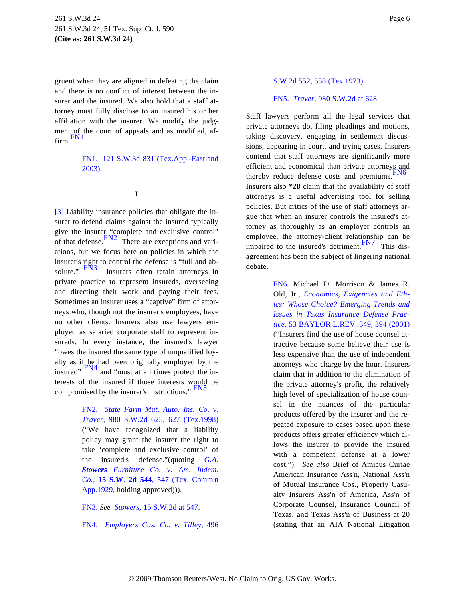<span id="page-5-6"></span>gruent when they are aligned in defeating the claim and there is no conflict of interest between the insurer and the insured. We also hold that a staff attorney must fully disclose to an insured his or her affiliation with the insurer. We modify the judgment of the court of appeals and as modified, affirm.[FN1](#page-5-1)

> <span id="page-5-12"></span><span id="page-5-2"></span><span id="page-5-1"></span>[FN1.](#page-5-2) [121 S.W.3d 831 \(Tex.App.-Eastland](http://www.westlaw.com/Find/Default.wl?rs=dfa1.0&vr=2.0&DB=4644&FindType=Y&SerialNum=2003761076) [2003\)](http://www.westlaw.com/Find/Default.wl?rs=dfa1.0&vr=2.0&DB=4644&FindType=Y&SerialNum=2003761076).

### **I**

<span id="page-5-13"></span><span id="page-5-11"></span><span id="page-5-8"></span><span id="page-5-7"></span><span id="page-5-0"></span>[\[3\]](#page-1-0) Liability insurance policies that obligate the insurer to defend claims against the insured typically give the insurer "complete and exclusive control" of that defense. $FN2$  There are exceptions and variations, but we focus here on policies in which the insurer's right to control the defense is "full and ab-<br>solute."  $\frac{FN3}{FN3}$  Insurers often retain attorneys in Insurers often retain attorneys in private practice to represent insureds, overseeing and directing their work and paying their fees. Sometimes an insurer uses a "captive" firm of attorneys who, though not the insurer's employees, have no other clients. Insurers also use lawyers employed as salaried corporate staff to represent insureds. In every instance, the insured's lawyer "owes the insured the same type of unqualified loyalty as if he had been originally employed by the insured" [FN4](#page-5-5) and "must at all times protect the interests of the insured if those interests would be compromised by the insurer's instructions." [FN5](#page-5-6)

> <span id="page-5-10"></span><span id="page-5-9"></span><span id="page-5-3"></span>[FN2.](#page-5-7) *[State Farm Mut. Auto. Ins. Co.](http://www.westlaw.com/Find/Default.wl?rs=dfa1.0&vr=2.0&DB=713&FindType=Y&ReferencePositionType=S&SerialNum=1999026778&ReferencePosition=627) v. [Traver,](http://www.westlaw.com/Find/Default.wl?rs=dfa1.0&vr=2.0&DB=713&FindType=Y&ReferencePositionType=S&SerialNum=1999026778&ReferencePosition=627)* [980 S.W.2d 625, 627 \(Tex.199](http://www.westlaw.com/Find/Default.wl?rs=dfa1.0&vr=2.0&DB=713&FindType=Y&ReferencePositionType=S&SerialNum=1999026778&ReferencePosition=627)8) ("We have recognized that a liability policy may grant the insurer the right to take 'complete and exclusive control' of the insured's defense."(quoting *[G.A.](http://www.westlaw.com/Find/Default.wl?rs=dfa1.0&vr=2.0&DB=713&FindType=Y&ReferencePositionType=S&SerialNum=1929126254&ReferencePosition=547) [Stowers](http://www.westlaw.com/Find/Default.wl?rs=dfa1.0&vr=2.0&DB=713&FindType=Y&ReferencePositionType=S&SerialNum=1929126254&ReferencePosition=547) [Furniture Co. v. Am. Indem](http://www.westlaw.com/Find/Default.wl?rs=dfa1.0&vr=2.0&DB=713&FindType=Y&ReferencePositionType=S&SerialNum=1929126254&ReferencePosition=547). [Co.](http://www.westlaw.com/Find/Default.wl?rs=dfa1.0&vr=2.0&DB=713&FindType=Y&ReferencePositionType=S&SerialNum=1929126254&ReferencePosition=547),* **[15 S.W](http://www.westlaw.com/Find/Default.wl?rs=dfa1.0&vr=2.0&DB=713&FindType=Y&ReferencePositionType=S&SerialNum=1929126254&ReferencePosition=547)**. **[2d 544](http://www.westlaw.com/Find/Default.wl?rs=dfa1.0&vr=2.0&DB=713&FindType=Y&ReferencePositionType=S&SerialNum=1929126254&ReferencePosition=547)**[, 547 \(Tex. Comm](http://www.westlaw.com/Find/Default.wl?rs=dfa1.0&vr=2.0&DB=713&FindType=Y&ReferencePositionType=S&SerialNum=1929126254&ReferencePosition=547)'n [App.1929,](http://www.westlaw.com/Find/Default.wl?rs=dfa1.0&vr=2.0&DB=713&FindType=Y&ReferencePositionType=S&SerialNum=1929126254&ReferencePosition=547) holding approved))).

<span id="page-5-4"></span>[FN3.](#page-5-8) *See [Stowers,](http://www.westlaw.com/Find/Default.wl?rs=dfa1.0&vr=2.0&DB=713&FindType=Y&ReferencePositionType=S&SerialNum=1929126254&ReferencePosition=547)* [15 S.W.2d at 547](http://www.westlaw.com/Find/Default.wl?rs=dfa1.0&vr=2.0&DB=713&FindType=Y&ReferencePositionType=S&SerialNum=1929126254&ReferencePosition=547).

<span id="page-5-5"></span>[FN4.](#page-5-9) *[Employers Cas. Co. v. Tille](http://www.westlaw.com/Find/Default.wl?rs=dfa1.0&vr=2.0&DB=713&FindType=Y&ReferencePositionType=S&SerialNum=1973130825&ReferencePosition=558)y,* 496

### [S.W.2d 552, 558 \(Tex.1973\)](http://www.westlaw.com/Find/Default.wl?rs=dfa1.0&vr=2.0&DB=713&FindType=Y&ReferencePositionType=S&SerialNum=1973130825&ReferencePosition=558).

### [FN5.](#page-5-10) *[Traver](http://www.westlaw.com/Find/Default.wl?rs=dfa1.0&vr=2.0&DB=713&FindType=Y&ReferencePositionType=S&SerialNum=1999026778&ReferencePosition=628),* [980 S.W.2d at 628](http://www.westlaw.com/Find/Default.wl?rs=dfa1.0&vr=2.0&DB=713&FindType=Y&ReferencePositionType=S&SerialNum=1999026778&ReferencePosition=628).

Staff lawyers perform all the legal services that private attorneys do, filing pleadings and motions, taking discovery, engaging in settlement discussions, appearing in court, and trying cases. Insurers contend that staff attorneys are significantly more efficient and economical than private attorneys and thereby reduce defense costs and premiums.<sup>F</sup> Insurers also **\*28** claim that the availability of staff attorneys is a useful advertising tool for selling policies. But critics of the use of staff attorneys argue that when an insurer controls the insured's attorney as thoroughly as an employer controls an employee, the attorney-client relationship can be impaired to the insured's detriment. This disagreement has been the subject of lingering national debate.

> [FN6.](#page-5-12) Michael D. Morrison & James R. Old, Jr., *[Economics, Exigencies and Eth](http://www.westlaw.com/Find/Default.wl?rs=dfa1.0&vr=2.0&DB=1099&FindType=Y&ReferencePositionType=S&SerialNum=0287755879&ReferencePosition=394)[ics: Whose Choice? Emerging Trends and](http://www.westlaw.com/Find/Default.wl?rs=dfa1.0&vr=2.0&DB=1099&FindType=Y&ReferencePositionType=S&SerialNum=0287755879&ReferencePosition=394) [Issues in Texas Insurance Defense Pra](http://www.westlaw.com/Find/Default.wl?rs=dfa1.0&vr=2.0&DB=1099&FindType=Y&ReferencePositionType=S&SerialNum=0287755879&ReferencePosition=394)c[tice,](http://www.westlaw.com/Find/Default.wl?rs=dfa1.0&vr=2.0&DB=1099&FindType=Y&ReferencePositionType=S&SerialNum=0287755879&ReferencePosition=394)* [53 BAYLOR L.REV. 349, 394 \(2001](http://www.westlaw.com/Find/Default.wl?rs=dfa1.0&vr=2.0&DB=1099&FindType=Y&ReferencePositionType=S&SerialNum=0287755879&ReferencePosition=394)) ("Insurers find the use of house counsel attractive because some believe their use is less expensive than the use of independent attorneys who charge by the hour. Insurers claim that in addition to the elimination of the private attorney's profit, the relatively high level of specialization of house counsel in the nuances of the particular products offered by the insurer and the repeated exposure to cases based upon these products offers greater efficiency which allows the insurer to provide the insured with a competent defense at a lower cost."). *See also* Brief of Amicus Curiae American Insurance Ass'n, National Ass'n of Mutual Insurance Cos., Property Casualty Insurers Ass'n of America, Ass'n of Corporate Counsel, Insurance Council of Texas, and Texas Ass'n of Business at 20 (stating that an AIA National Litigation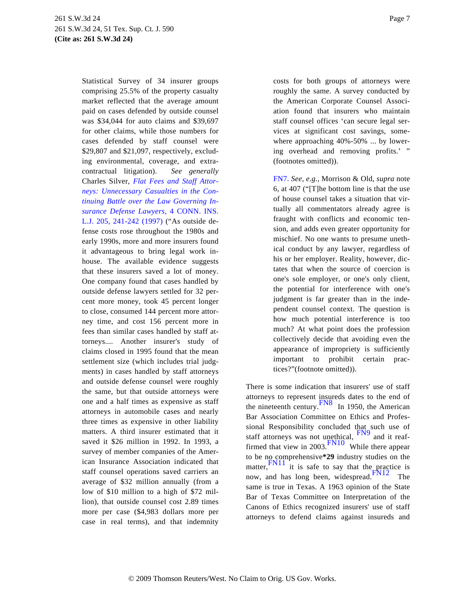<span id="page-6-0"></span>Statistical Survey of 34 insurer groups comprising 25.5% of the property casualty market reflected that the average amount paid on cases defended by outside counsel was \$34,044 for auto claims and \$39,697 for other claims, while those numbers for cases defended by staff counsel were \$29,807 and \$21,097, respectively, excluding environmental, coverage, and extracontractual litigation). *See generally* Charles Silver, *[Flat Fees and Staff Attor](http://www.westlaw.com/Find/Default.wl?rs=dfa1.0&vr=2.0&DB=110363&FindType=Y&ReferencePositionType=S&SerialNum=0110017623&ReferencePosition=241)[neys: Unnecessary Casualties in the Con](http://www.westlaw.com/Find/Default.wl?rs=dfa1.0&vr=2.0&DB=110363&FindType=Y&ReferencePositionType=S&SerialNum=0110017623&ReferencePosition=241)[tinuing Battle over the Law Governing In](http://www.westlaw.com/Find/Default.wl?rs=dfa1.0&vr=2.0&DB=110363&FindType=Y&ReferencePositionType=S&SerialNum=0110017623&ReferencePosition=241)[surance Defense Lawyers](http://www.westlaw.com/Find/Default.wl?rs=dfa1.0&vr=2.0&DB=110363&FindType=Y&ReferencePositionType=S&SerialNum=0110017623&ReferencePosition=241),* [4 CONN. INS](http://www.westlaw.com/Find/Default.wl?rs=dfa1.0&vr=2.0&DB=110363&FindType=Y&ReferencePositionType=S&SerialNum=0110017623&ReferencePosition=241). [L.J. 205, 241-242 \(1997](http://www.westlaw.com/Find/Default.wl?rs=dfa1.0&vr=2.0&DB=110363&FindType=Y&ReferencePositionType=S&SerialNum=0110017623&ReferencePosition=241)) ("As outside defense costs rose throughout the 1980s and early 1990s, more and more insurers found it advantageous to bring legal work inhouse. The available evidence suggests that these insurers saved a lot of money. One company found that cases handled by outside defense lawyers settled for 32 percent more money, took 45 percent longer to close, consumed 144 percent more attorney time, and cost 156 percent more in fees than similar cases handled by staff attorneys.... Another insurer's study of claims closed in 1995 found that the mean settlement size (which includes trial judgments) in cases handled by staff attorneys and outside defense counsel were roughly the same, but that outside attorneys were one and a half times as expensive as staff attorneys in automobile cases and nearly three times as expensive in other liability matters. A third insurer estimated that it saved it \$26 million in 1992. In 1993, a survey of member companies of the American Insurance Association indicated that staff counsel operations saved carriers an average of \$32 million annually (from a low of \$10 million to a high of \$72 million), that outside counsel cost 2.89 times more per case (\$4,983 dollars more per case in real terms), and that indemnity

costs for both groups of attorneys were roughly the same. A survey conducted by the American Corporate Counsel Association found that insurers who maintain staff counsel offices 'can secure legal services at significant cost savings, somewhere approaching 40%-50% ... by lowering overhead and removing profits.' " (footnotes omitted)).

[FN7.](#page-5-13) *See, e.g.,* Morrison & Old, *supra* note 6, at 407 ("[T]he bottom line is that the use of house counsel takes a situation that virtually all commentators already agree is fraught with conflicts and economic tension, and adds even greater opportunity for mischief. No one wants to presume unethical conduct by any lawyer, regardless of his or her employer. Reality, however, dictates that when the source of coercion is one's sole employer, or one's only client, the potential for interference with one's judgment is far greater than in the independent counsel context. The question is how much potential interference is too much? At what point does the profession collectively decide that avoiding even the appearance of impropriety is sufficiently important to prohibit certain practices?"(footnote omitted)).

<span id="page-6-5"></span><span id="page-6-4"></span><span id="page-6-3"></span><span id="page-6-2"></span><span id="page-6-1"></span>There is some indication that insurers' use of staff attorneys to represent insureds dates to the end of<br>the nineteenth century. In 1950, the American Bar Association Committee on Ethics and Professional Responsibility concluded that such use of staff attorneys was not unethical,  $\frac{FN9}{FN9}$  $\frac{FN9}{FN9}$  $\frac{FN9}{FN9}$  and it reaffirmed that view in  $2003 \frac{\text{FN10}}{\text{N}}$  $2003 \frac{\text{FN10}}{\text{N}}$  $2003 \frac{\text{FN10}}{\text{N}}$  While there appear to be no comprehensive**\*29** industry studies on the matter,  $\frac{FN11}{}$  it is safe to say that the projective is $\frac{FN11}{}$  it is safe to say that the projective is $\frac{FN11}{}$  it is safe to say that the projective isnow, and has long been, widespread.<sup>[FN12](#page-7-4)</sup> The same is true in Texas. A 1963 opinion of the State Bar of Texas Committee on Interpretation of the Canons of Ethics recognized insurers' use of staff attorneys to defend claims against insureds and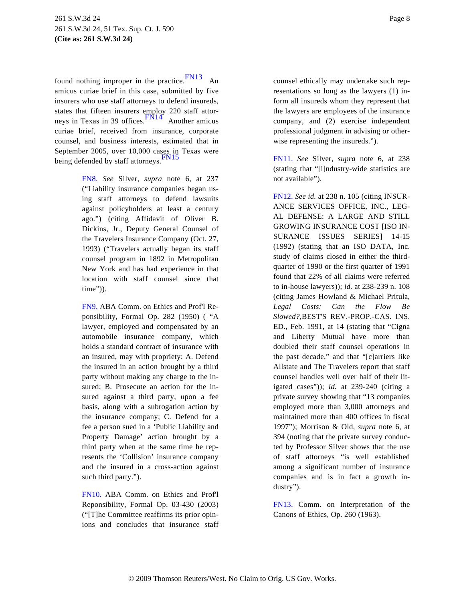<span id="page-7-7"></span><span id="page-7-6"></span>found nothing improper in the practice. [FN13](#page-7-5) An amicus curiae brief in this case, submitted by five insurers who use staff attorneys to defend insureds, states that fifteen insurers employ 220 staff attor-neys in Texas in 39 offices.<sup>[FN14](#page-8-0)</sup> Another amicus curiae brief, received from insurance, corporate counsel, and business interests, estimated that in September 2005, over 10,000 cases in Texas were being defended by staff attorneys. [FN15](#page-8-1)

> <span id="page-7-8"></span><span id="page-7-4"></span><span id="page-7-3"></span><span id="page-7-0"></span>[FN8.](#page-6-1) *See* Silver, *supra* note 6, at 237 ("Liability insurance companies began using staff attorneys to defend lawsuits against policyholders at least a century ago.") (citing Affidavit of Oliver B. Dickins, Jr., Deputy General Counsel of the Travelers Insurance Company (Oct. 27, 1993) ("Travelers actually began its staff counsel program in 1892 in Metropolitan New York and has had experience in that location with staff counsel since that time")).

> <span id="page-7-1"></span>[FN9.](#page-6-2) ABA Comm. on Ethics and Prof'l Reponsibility, Formal Op. 282 (1950) ( "A lawyer, employed and compensated by an automobile insurance company, which holds a standard contract of insurance with an insured, may with propriety: A. Defend the insured in an action brought by a third party without making any charge to the insured; B. Prosecute an action for the insured against a third party, upon a fee basis, along with a subrogation action by the insurance company; C. Defend for a fee a person sued in a 'Public Liability and Property Damage' action brought by a third party when at the same time he represents the 'Collision' insurance company and the insured in a cross-action against such third party.").

> <span id="page-7-5"></span><span id="page-7-2"></span>[FN10.](#page-6-3) ABA Comm. on Ethics and Prof'l Reponsibility, Formal Op. 03-430 (2003) ("[T]he Committee reaffirms its prior opinions and concludes that insurance staff

counsel ethically may undertake such representations so long as the lawyers (1) inform all insureds whom they represent that the lawyers are employees of the insurance company, and (2) exercise independent professional judgment in advising or otherwise representing the insureds.").

[FN11.](#page-6-4) *See* Silver, *supra* note 6, at 238 (stating that "[i]ndustry-wide statistics are not available").

[FN12.](#page-6-5) *See id.* at 238 n. 105 (citing INSUR-ANCE SERVICES OFFICE, INC., LEG-AL DEFENSE: A LARGE AND STILL GROWING INSURANCE COST [ISO IN-SURANCE ISSUES SERIES] 14-15 (1992) (stating that an ISO DATA, Inc. study of claims closed in either the thirdquarter of 1990 or the first quarter of 1991 found that 22% of all claims were referred to in-house lawyers)); *id.* at 238-239 n. 108 (citing James Howland & Michael Pritula, *Legal Costs: Can the Flow Be Slowed?,*BEST'S REV.-PROP.-CAS. INS. ED., Feb. 1991, at 14 (stating that "Cigna and Liberty Mutual have more than doubled their staff counsel operations in the past decade," and that "[c]arriers like Allstate and The Travelers report that staff counsel handles well over half of their litigated cases")); *id.* at 239-240 (citing a private survey showing that "13 companies employed more than 3,000 attorneys and maintained more than 400 offices in fiscal 1997"); Morrison & Old, *supra* note 6, at 394 (noting that the private survey conducted by Professor Silver shows that the use of staff attorneys "is well established among a significant number of insurance companies and is in fact a growth industry").

[FN13.](#page-7-6) Comm. on Interpretation of the Canons of Ethics, Op. 260 (1963).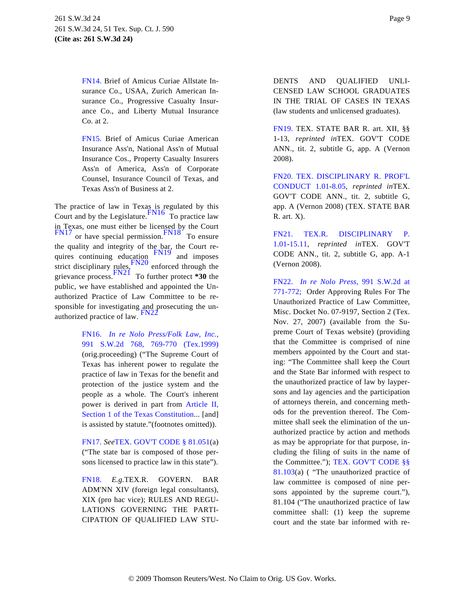<span id="page-8-0"></span>[FN14.](#page-7-7) Brief of Amicus Curiae Allstate Insurance Co., USAA, Zurich American Insurance Co., Progressive Casualty Insurance Co., and Liberty Mutual Insurance Co. at 2.

<span id="page-8-5"></span><span id="page-8-1"></span>[FN15.](#page-7-8) Brief of Amicus Curiae American Insurance Ass'n, National Ass'n of Mutual Insurance Cos., Property Casualty Insurers Ass'n of America, Ass'n of Corporate Counsel, Insurance Council of Texas, and Texas Ass'n of Business at 2.

<span id="page-8-13"></span><span id="page-8-12"></span><span id="page-8-11"></span><span id="page-8-10"></span><span id="page-8-9"></span><span id="page-8-7"></span><span id="page-8-6"></span>The practice of law in Texas is regulated by this Court and by the Legislature.  $\frac{FN16}{T}$  $\frac{FN16}{T}$  $\frac{FN16}{T}$  To practice law in Texas, one must either be licensed by the Court  $\frac{FN17}{FN17}$  $\frac{FN17}{FN17}$  $\frac{FN17}{FN17}$  or have special permission.  $\frac{FN18}{TN16}$  $\frac{FN18}{TN16}$  $\frac{FN18}{TN16}$  To ensure the quality and integrity of the bar, the Court re-<br>quires continuing education  $\frac{FN19}{FN19}$  $\frac{FN19}{FN19}$  $\frac{FN19}{FN19}$  and imposes strict disciplinary rules,  $\frac{FN20}{FN20}$  $\frac{FN20}{FN20}$  $\frac{FN20}{FN20}$  enforced through the grievance process.[FN21](#page-8-7) To further protect **\*30** the public, we have established and appointed the Unauthorized Practice of Law Committee to be responsible for investigating and prosecuting the unauthorized practice of law.  $FN22$ 

> <span id="page-8-14"></span><span id="page-8-8"></span><span id="page-8-2"></span>[FN16.](#page-8-9) *[In re Nolo Press/Folk Law, Inc.](http://www.westlaw.com/Find/Default.wl?rs=dfa1.0&vr=2.0&DB=713&FindType=Y&ReferencePositionType=S&SerialNum=1999101692&ReferencePosition=769),* [991 S.W.2d 768, 769-770 \(Tex](http://www.westlaw.com/Find/Default.wl?rs=dfa1.0&vr=2.0&DB=713&FindType=Y&ReferencePositionType=S&SerialNum=1999101692&ReferencePosition=769).1999) (orig.proceeding) ("The Supreme Court of Texas has inherent power to regulate the practice of law in Texas for the benefit and protection of the justice system and the people as a whole. The Court's inherent power is derived in part from [Article II,](http://www.westlaw.com/Find/Default.wl?rs=dfa1.0&vr=2.0&DB=1000301&DocName=TXCNART2S1&FindType=L) [Section 1 of the Texas Constitution](http://www.westlaw.com/Find/Default.wl?rs=dfa1.0&vr=2.0&DB=1000301&DocName=TXCNART2S1&FindType=L)... [and] is assisted by statute."(footnotes omitted)).

> <span id="page-8-3"></span>[FN17.](#page-8-10) *See*[TEX. GOV'T CODE § 81.051](http://www.westlaw.com/Find/Default.wl?rs=dfa1.0&vr=2.0&DB=1000176&DocName=TXGTS81.051&FindType=L)(a) ("The state bar is composed of those persons licensed to practice law in this state").

> <span id="page-8-4"></span>[FN18.](#page-8-10) *E.g.*TEX.R. GOVERN. BAR ADM'NN XIV (foreign legal consultants), XIX (pro hac vice); RULES AND REGU-LATIONS GOVERNING THE PARTI-CIPATION OF QUALIFIED LAW STU-

DENTS AND QUALIFIED UNLI-CENSED LAW SCHOOL GRADUATES IN THE TRIAL OF CASES IN TEXAS (law students and unlicensed graduates).

[FN19.](#page-8-11) TEX. STATE BAR R. art. XII, §§ 1-13, *reprinted in*TEX. GOV'T CODE ANN., tit. 2, subtitle G, app. A (Vernon 2008).

[FN20.](#page-8-12) [TEX. DISCIPLINARY R. PROF'L](http://www.westlaw.com/Find/Default.wl?rs=dfa1.0&vr=2.0&DB=1000301&DocName=TXSTRPCR1.01&FindType=L) [CONDUCT 1.0](http://www.westlaw.com/Find/Default.wl?rs=dfa1.0&vr=2.0&DB=1000301&DocName=TXSTRPCR1.01&FindType=L)1[-8.05](http://www.westlaw.com/Find/Default.wl?rs=dfa1.0&vr=2.0&DB=1000301&DocName=TXSTRPCR8.05&FindType=L), *reprinted in*TEX. GOV'T CODE ANN., tit. 2, subtitle G, app. A (Vernon 2008) (TEX. STATE BAR R. art. X).

[FN21.](#page-8-13) [TEX.R. DISCIPLINARY P](http://www.westlaw.com/Find/Default.wl?rs=dfa1.0&vr=2.0&DB=1000301&DocName=TXSTRSDICSP1.01&FindType=L). [1.01-1](http://www.westlaw.com/Find/Default.wl?rs=dfa1.0&vr=2.0&DB=1000301&DocName=TXSTRSDICSP15.11&FindType=L)5.11, *reprinted in*TEX. GOV'T CODE ANN., tit. 2, subtitle G, app. A-1 (Vernon 2008).

[FN22.](#page-8-14) *[In re Nolo Pres](http://www.westlaw.com/Find/Default.wl?rs=dfa1.0&vr=2.0&DB=713&FindType=Y&ReferencePositionType=S&SerialNum=1999101692&ReferencePosition=771)s,* [991 S.W.2d a](http://www.westlaw.com/Find/Default.wl?rs=dfa1.0&vr=2.0&DB=713&FindType=Y&ReferencePositionType=S&SerialNum=1999101692&ReferencePosition=771)t [771-772;](http://www.westlaw.com/Find/Default.wl?rs=dfa1.0&vr=2.0&DB=713&FindType=Y&ReferencePositionType=S&SerialNum=1999101692&ReferencePosition=771) Order Approving Rules For The Unauthorized Practice of Law Committee, Misc. Docket No. 07-9197, Section 2 (Tex. Nov. 27, 2007) (available from the Supreme Court of Texas website) (providing that the Committee is comprised of nine members appointed by the Court and stating: "The Committee shall keep the Court and the State Bar informed with respect to the unauthorized practice of law by laypersons and lay agencies and the participation of attorneys therein, and concerning methods for the prevention thereof. The Committee shall seek the elimination of the unauthorized practice by action and methods as may be appropriate for that purpose, including the filing of suits in the name of the Committee."); [TEX. GOV'T CODE §§](http://www.westlaw.com/Find/Default.wl?rs=dfa1.0&vr=2.0&DB=1000176&DocName=TXGTS81.103&FindType=L) [81.103](http://www.westlaw.com/Find/Default.wl?rs=dfa1.0&vr=2.0&DB=1000176&DocName=TXGTS81.103&FindType=L)(a) ( "The unauthorized practice of law committee is composed of nine persons appointed by the supreme court."), 81.104 ("The unauthorized practice of law committee shall: (1) keep the supreme court and the state bar informed with re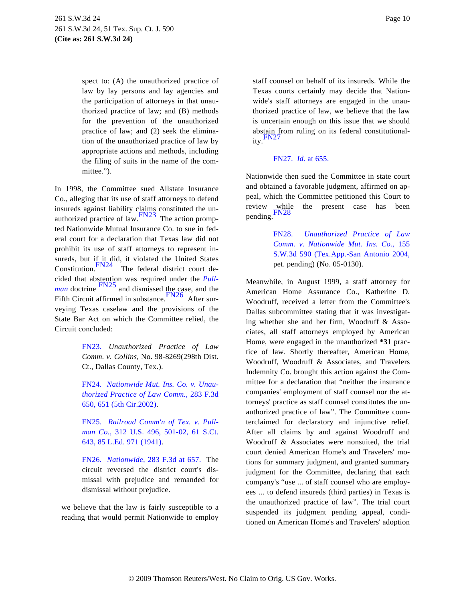spect to: (A) the unauthorized practice of law by lay persons and lay agencies and the participation of attorneys in that unauthorized practice of law; and (B) methods for the prevention of the unauthorized practice of law; and (2) seek the elimination of the unauthorized practice of law by appropriate actions and methods, including the filing of suits in the name of the committee.").

<span id="page-9-11"></span><span id="page-9-10"></span><span id="page-9-9"></span><span id="page-9-8"></span><span id="page-9-5"></span><span id="page-9-4"></span>In 1998, the Committee sued Allstate Insurance Co., alleging that its use of staff attorneys to defend insureds against liability claims constituted the un-<br>authorized practice of law. [FN23](#page-9-0) The action prompted Nationwide Mutual Insurance Co. to sue in federal court for a declaration that Texas law did not prohibit its use of staff attorneys to represent insureds, but if it did, it violated the United States Constitution. $\frac{FN24}{}$  $\frac{FN24}{}$  $\frac{FN24}{}$  The federal district court decided that abstention was required under the *[Pull](http://www.westlaw.com/Find/Default.wl?rs=dfa1.0&vr=2.0&FindType=Y&SerialNum=1941122449)[man](http://www.westlaw.com/Find/Default.wl?rs=dfa1.0&vr=2.0&FindType=Y&SerialNum=1941122449)* doctrine  $\frac{FN25}{}$  $\frac{FN25}{}$  $\frac{FN25}{}$  and dismissed the case, and the Fifth Circuit affirmed in substance. $\frac{FN26}{P}$  $\frac{FN26}{P}$  $\frac{FN26}{P}$  After surveying Texas caselaw and the provisions of the State Bar Act on which the Committee relied, the Circuit concluded:

> <span id="page-9-7"></span><span id="page-9-6"></span><span id="page-9-0"></span>[FN23.](#page-9-4) *Unauthorized Practice of Law Comm. v. Collins,* No. 98-8269(298th Dist. Ct., Dallas County, Tex.).

> <span id="page-9-1"></span>[FN24.](#page-9-5) *[Nationwide Mut. Ins. Co. v. Unau](http://www.westlaw.com/Find/Default.wl?rs=dfa1.0&vr=2.0&DB=506&FindType=Y&ReferencePositionType=S&SerialNum=2002138106&ReferencePosition=651)[thorized Practice of Law Comm.](http://www.westlaw.com/Find/Default.wl?rs=dfa1.0&vr=2.0&DB=506&FindType=Y&ReferencePositionType=S&SerialNum=2002138106&ReferencePosition=651),* [283 F.3d](http://www.westlaw.com/Find/Default.wl?rs=dfa1.0&vr=2.0&DB=506&FindType=Y&ReferencePositionType=S&SerialNum=2002138106&ReferencePosition=651) [650, 651 \(5th Cir.2002\)](http://www.westlaw.com/Find/Default.wl?rs=dfa1.0&vr=2.0&DB=506&FindType=Y&ReferencePositionType=S&SerialNum=2002138106&ReferencePosition=651).

> <span id="page-9-2"></span>[FN25.](#page-9-6) *[Railroad Comm'n of Tex. v. Pul](http://www.westlaw.com/Find/Default.wl?rs=dfa1.0&vr=2.0&DB=708&FindType=Y&SerialNum=1941122449)l[man Co.](http://www.westlaw.com/Find/Default.wl?rs=dfa1.0&vr=2.0&DB=708&FindType=Y&SerialNum=1941122449),* [312 U.S. 496, 501-02, 61 S.C](http://www.westlaw.com/Find/Default.wl?rs=dfa1.0&vr=2.0&DB=708&FindType=Y&SerialNum=1941122449)t. [643, 85 L.Ed. 971 \(1941\)](http://www.westlaw.com/Find/Default.wl?rs=dfa1.0&vr=2.0&DB=708&FindType=Y&SerialNum=1941122449).

> <span id="page-9-3"></span>[FN26.](#page-9-7) *[Nationwide,](http://www.westlaw.com/Find/Default.wl?rs=dfa1.0&vr=2.0&DB=506&FindType=Y&ReferencePositionType=S&SerialNum=2002138106&ReferencePosition=657)* [283 F.3d at 657](http://www.westlaw.com/Find/Default.wl?rs=dfa1.0&vr=2.0&DB=506&FindType=Y&ReferencePositionType=S&SerialNum=2002138106&ReferencePosition=657). The circuit reversed the district court's dismissal with prejudice and remanded for dismissal without prejudice.

we believe that the law is fairly susceptible to a reading that would permit Nationwide to employ

staff counsel on behalf of its insureds. While the Texas courts certainly may decide that Nationwide's staff attorneys are engaged in the unauthorized practice of law, we believe that the law is uncertain enough on this issue that we should abstain from ruling on its federal constitutionality.[FN27](#page-9-8)

### [FN27.](#page-9-9) *[Id.](http://www.westlaw.com/Find/Default.wl?rs=dfa1.0&vr=2.0&FindType=Y&SerialNum=2002138106)* [at 655.](http://www.westlaw.com/Find/Default.wl?rs=dfa1.0&vr=2.0&FindType=Y&SerialNum=2002138106)

Nationwide then sued the Committee in state court and obtained a favorable judgment, affirmed on appeal, which the Committee petitioned this Court to review while the present case has been [pendin](#page-9-10)g.FN28

> [FN28.](#page-9-11) *[Unauthorized Practice of L](http://www.westlaw.com/Find/Default.wl?rs=dfa1.0&vr=2.0&DB=4644&FindType=Y&SerialNum=2005706299)aw [Comm. v. Nationwide Mut. Ins. Co.,](http://www.westlaw.com/Find/Default.wl?rs=dfa1.0&vr=2.0&DB=4644&FindType=Y&SerialNum=2005706299)* 155 [S.W.3d 590 \(Tex.App.-San Antonio 200](http://www.westlaw.com/Find/Default.wl?rs=dfa1.0&vr=2.0&DB=4644&FindType=Y&SerialNum=2005706299)4, pet. pending) (No. 05-0130).

Meanwhile, in August 1999, a staff attorney for American Home Assurance Co., Katherine D. Woodruff, received a letter from the Committee's Dallas subcommittee stating that it was investigating whether she and her firm, Woodruff & Associates, all staff attorneys employed by American Home, were engaged in the unauthorized **\*31** practice of law. Shortly thereafter, American Home, Woodruff, Woodruff & Associates, and Travelers Indemnity Co. brought this action against the Committee for a declaration that "neither the insurance companies' employment of staff counsel nor the attorneys' practice as staff counsel constitutes the unauthorized practice of law". The Committee counterclaimed for declaratory and injunctive relief. After all claims by and against Woodruff and Woodruff & Associates were nonsuited, the trial court denied American Home's and Travelers' motions for summary judgment, and granted summary judgment for the Committee, declaring that each company's "use ... of staff counsel who are employees ... to defend insureds (third parties) in Texas is the unauthorized practice of law". The trial court suspended its judgment pending appeal, conditioned on American Home's and Travelers' adoption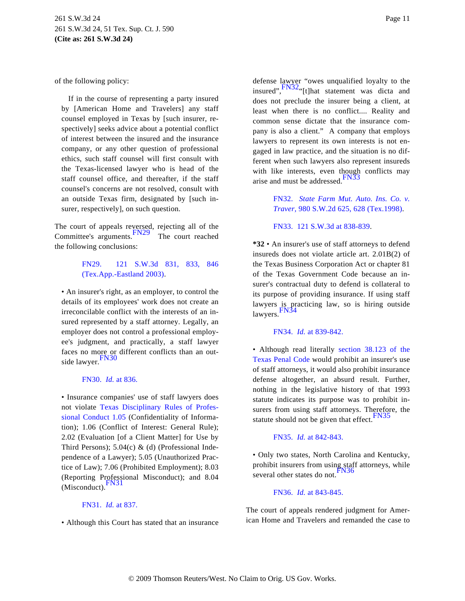<span id="page-10-8"></span>of the following policy:

If in the course of representing a party insured by [American Home and Travelers] any staff counsel employed in Texas by [such insurer, respectively] seeks advice about a potential conflict of interest between the insured and the insurance company, or any other question of professional ethics, such staff counsel will first consult with the Texas-licensed lawyer who is head of the staff counsel office, and thereafter, if the staff counsel's concerns are not resolved, consult with an outside Texas firm, designated by [such insurer, respectively], on such question.

<span id="page-10-9"></span><span id="page-10-7"></span><span id="page-10-6"></span><span id="page-10-1"></span>The court of appeals reversed, rejecting all of the Committee's arguments. [FN29](#page-10-0) The court reached the following conclusions:

# <span id="page-10-0"></span>[FN29.](#page-10-1) [121 S.W.3d 831, 833,](http://www.westlaw.com/Find/Default.wl?rs=dfa1.0&vr=2.0&FindType=Y&SerialNum=2003761076) 846 [\(Tex.App.-Eastland 2003\)](http://www.westlaw.com/Find/Default.wl?rs=dfa1.0&vr=2.0&FindType=Y&SerialNum=2003761076).

<span id="page-10-11"></span><span id="page-10-10"></span>• An insurer's right, as an employer, to control the details of its employees' work does not create an irreconcilable conflict with the interests of an insured represented by a staff attorney. Legally, an employer does not control a professional employee's judgment, and practically, a staff lawyer faces no more or different conflicts than an out-side lawyer. [FN30](#page-10-2)

# <span id="page-10-3"></span>[FN30.](#page-10-3) *[Id.](http://www.westlaw.com/Find/Default.wl?rs=dfa1.0&vr=2.0&FindType=Y&SerialNum=2003761076)* [at 836.](http://www.westlaw.com/Find/Default.wl?rs=dfa1.0&vr=2.0&FindType=Y&SerialNum=2003761076)

<span id="page-10-13"></span><span id="page-10-12"></span><span id="page-10-2"></span>• Insurance companies' use of staff lawyers does not violate [Texas Disciplinary Rules of Profe](http://www.westlaw.com/Find/Default.wl?rs=dfa1.0&vr=2.0&DB=1000301&DocName=TXSTRPCR1.05&FindType=L)s[sional Conduct 1.05](http://www.westlaw.com/Find/Default.wl?rs=dfa1.0&vr=2.0&DB=1000301&DocName=TXSTRPCR1.05&FindType=L) (Confidentiality of Information); 1.06 (Conflict of Interest: General Rule); 2.02 (Evaluation [of a Client Matter] for Use by Third Persons);  $5.04(c)$  & (d) (Professional Independence of a Lawyer); 5.05 (Unauthorized Practice of Law); 7.06 (Prohibited Employment); 8.03 (Reporting Professional Misconduct); and 8.04 (Misconduct). $FN31$ 

# <span id="page-10-15"></span><span id="page-10-14"></span><span id="page-10-5"></span>[FN31.](#page-10-5) *[Id.](http://www.westlaw.com/Find/Default.wl?rs=dfa1.0&vr=2.0&FindType=Y&SerialNum=2003761076)* [at 837.](http://www.westlaw.com/Find/Default.wl?rs=dfa1.0&vr=2.0&FindType=Y&SerialNum=2003761076)

<span id="page-10-4"></span>• Although this Court has stated that an insurance

defense lawyer "owes unqualified loyalty to the insured",<sup>FN32</sup>"[t]hat statement was dicta and does not preclude the insurer being a client, at least when there is no conflict.... Reality and common sense dictate that the insurance company is also a client." A company that employs lawyers to represent its own interests is not engaged in law practice, and the situation is no different when such lawyers also represent insureds with like interests, even though conflicts may arise and must be addressed.<sup>[FN33](#page-10-7)</sup>

> [FN32.](#page-10-8) *[State Farm Mut. Auto. Ins. Co.](http://www.westlaw.com/Find/Default.wl?rs=dfa1.0&vr=2.0&DB=713&FindType=Y&ReferencePositionType=S&SerialNum=1999026778&ReferencePosition=628) v. [Traver,](http://www.westlaw.com/Find/Default.wl?rs=dfa1.0&vr=2.0&DB=713&FindType=Y&ReferencePositionType=S&SerialNum=1999026778&ReferencePosition=628)* [980 S.W.2d 625, 628 \(Tex.1998\)](http://www.westlaw.com/Find/Default.wl?rs=dfa1.0&vr=2.0&DB=713&FindType=Y&ReferencePositionType=S&SerialNum=1999026778&ReferencePosition=628).

[FN33.](#page-10-9) [121 S.W.3d at 838-839](http://www.westlaw.com/Find/Default.wl?rs=dfa1.0&vr=2.0&DB=4644&FindType=Y&ReferencePositionType=S&SerialNum=2003761076&ReferencePosition=838).

**\*32** • An insurer's use of staff attorneys to defend insureds does not violate article art. 2.01B(2) of the Texas Business Corporation Act or chapter 81 of the Texas Government Code because an insurer's contractual duty to defend is collateral to its purpose of providing insurance. If using staff lawyers is practicing law, so is hiring outside lawyers.

# [FN34.](#page-10-11) *[Id.](http://www.westlaw.com/Find/Default.wl?rs=dfa1.0&vr=2.0&FindType=Y&SerialNum=2003761076)* [at 839-842.](http://www.westlaw.com/Find/Default.wl?rs=dfa1.0&vr=2.0&FindType=Y&SerialNum=2003761076)

• Although read literally [section 38.123 of th](http://www.westlaw.com/Find/Default.wl?rs=dfa1.0&vr=2.0&DB=1000182&DocName=TXPES38.123&FindType=L)e [Texas Penal Code](http://www.westlaw.com/Find/Default.wl?rs=dfa1.0&vr=2.0&DB=1000182&DocName=TXPES38.123&FindType=L) would prohibit an insurer's use of staff attorneys, it would also prohibit insurance defense altogether, an absurd result. Further, nothing in the legislative history of that 1993 statute indicates its purpose was to prohibit insurers from using staff attorneys. Therefore, the statute should not be given that effect. $F<sup>N3</sup>$ 

# [FN35.](#page-10-13) *[Id.](http://www.westlaw.com/Find/Default.wl?rs=dfa1.0&vr=2.0&FindType=Y&SerialNum=2003761076)* [at 842-843.](http://www.westlaw.com/Find/Default.wl?rs=dfa1.0&vr=2.0&FindType=Y&SerialNum=2003761076)

• Only two states, North Carolina and Kentucky, prohibit insurers from using staff attorneys, while several other states do not.<sup>[FN36](#page-10-14)</sup>

# [FN36.](#page-10-15) *[Id.](http://www.westlaw.com/Find/Default.wl?rs=dfa1.0&vr=2.0&FindType=Y&SerialNum=2003761076)* [at 843-845.](http://www.westlaw.com/Find/Default.wl?rs=dfa1.0&vr=2.0&FindType=Y&SerialNum=2003761076)

The court of appeals rendered judgment for American Home and Travelers and remanded the case to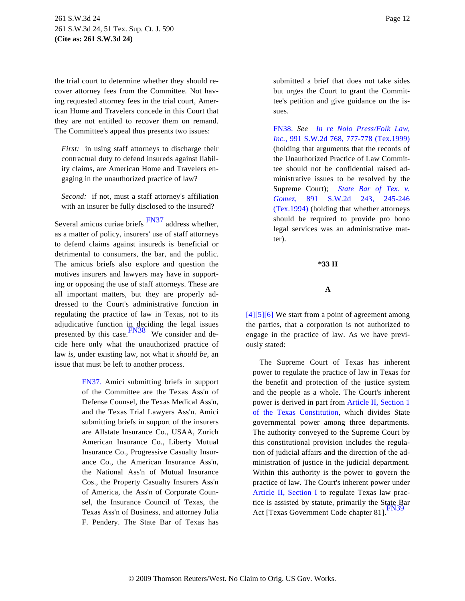the trial court to determine whether they should recover attorney fees from the Committee. Not having requested attorney fees in the trial court, American Home and Travelers concede in this Court that they are not entitled to recover them on remand. The Committee's appeal thus presents two issues:

<span id="page-11-2"></span>*First:* in using staff attorneys to discharge their contractual duty to defend insureds against liability claims, are American Home and Travelers engaging in the unauthorized practice of law?

*Second:* if not, must a staff attorney's affiliation with an insurer be fully disclosed to the insured?

<span id="page-11-3"></span>Several amicus curiae briefs [FN37](#page-11-1) address whether, as a matter of policy, insurers' use of staff attorneys to defend claims against insureds is beneficial or detrimental to consumers, the bar, and the public. The amicus briefs also explore and question the motives insurers and lawyers may have in supporting or opposing the use of staff attorneys. These are all important matters, but they are properly addressed to the Court's administrative function in regulating the practice of law in Texas, not to its adjudicative function in deciding the legal issues<br>presented by this case. We consider and decide here only what the unauthorized practice of law *is,* under existing law, not what it *should be,* an issue that must be left to another process.

> <span id="page-11-5"></span><span id="page-11-4"></span><span id="page-11-1"></span><span id="page-11-0"></span>[FN37.](#page-11-3) Amici submitting briefs in support of the Committee are the Texas Ass'n of Defense Counsel, the Texas Medical Ass'n, and the Texas Trial Lawyers Ass'n. Amici submitting briefs in support of the insurers are Allstate Insurance Co., USAA, Zurich American Insurance Co., Liberty Mutual Insurance Co., Progressive Casualty Insurance Co., the American Insurance Ass'n, the National Ass'n of Mutual Insurance Cos., the Property Casualty Insurers Ass'n of America, the Ass'n of Corporate Counsel, the Insurance Council of Texas, the Texas Ass'n of Business, and attorney Julia F. Pendery. The State Bar of Texas has

submitted a brief that does not take sides but urges the Court to grant the Committee's petition and give guidance on the issues.

[FN38.](#page-11-4) *See [In re Nolo Press/Folk La](http://www.westlaw.com/Find/Default.wl?rs=dfa1.0&vr=2.0&DB=713&FindType=Y&ReferencePositionType=S&SerialNum=1999101692&ReferencePosition=777)w, [Inc.,](http://www.westlaw.com/Find/Default.wl?rs=dfa1.0&vr=2.0&DB=713&FindType=Y&ReferencePositionType=S&SerialNum=1999101692&ReferencePosition=777)* [991 S.W.2d 768, 777-778 \(Tex.1999](http://www.westlaw.com/Find/Default.wl?rs=dfa1.0&vr=2.0&DB=713&FindType=Y&ReferencePositionType=S&SerialNum=1999101692&ReferencePosition=777)) (holding that arguments that the records of the Unauthorized Practice of Law Committee should not be confidential raised administrative issues to be resolved by the Supreme Court); *[State Bar of Tex.](http://www.westlaw.com/Find/Default.wl?rs=dfa1.0&vr=2.0&DB=713&FindType=Y&ReferencePositionType=S&SerialNum=1994253348&ReferencePosition=245) v. [Gomez,](http://www.westlaw.com/Find/Default.wl?rs=dfa1.0&vr=2.0&DB=713&FindType=Y&ReferencePositionType=S&SerialNum=1994253348&ReferencePosition=245)* [891 S.W.2d 243,](http://www.westlaw.com/Find/Default.wl?rs=dfa1.0&vr=2.0&DB=713&FindType=Y&ReferencePositionType=S&SerialNum=1994253348&ReferencePosition=245) 245-246 [\(Tex.1994\)](http://www.westlaw.com/Find/Default.wl?rs=dfa1.0&vr=2.0&DB=713&FindType=Y&ReferencePositionType=S&SerialNum=1994253348&ReferencePosition=245) (holding that whether attorneys should be required to provide pro bono legal services was an administrative matter).

### **\*33 II**

### **A**

[\[4\]](#page-1-1)[\[5\]](#page-1-2)[\[6\]](#page-1-3) We start from a point of agreement among the parties, that a corporation is not authorized to engage in the practice of law. As we have previously stated:

The Supreme Court of Texas has inherent power to regulate the practice of law in Texas for the benefit and protection of the justice system and the people as a whole. The Court's inherent power is derived in part from [Article II, Section 1](http://www.westlaw.com/Find/Default.wl?rs=dfa1.0&vr=2.0&DB=1000301&DocName=TXCNART2S1&FindType=L) [of the Texas Constituti](http://www.westlaw.com/Find/Default.wl?rs=dfa1.0&vr=2.0&DB=1000301&DocName=TXCNART2S1&FindType=L)on, which divides State governmental power among three departments. The authority conveyed to the Supreme Court by this constitutional provision includes the regulation of judicial affairs and the direction of the administration of justice in the judicial department. Within this authority is the power to govern the practice of law. The Court's inherent power under [Article II, Section](http://www.westlaw.com/Find/Default.wl?rs=dfa1.0&vr=2.0&DB=1000301&DocName=TXCNART2S1&FindType=L) I to regulate Texas law practice is assisted by statute, primarily the State Bar Act [Texas Government Code chapter 81].<sup>[FN39](#page-12-0)</sup>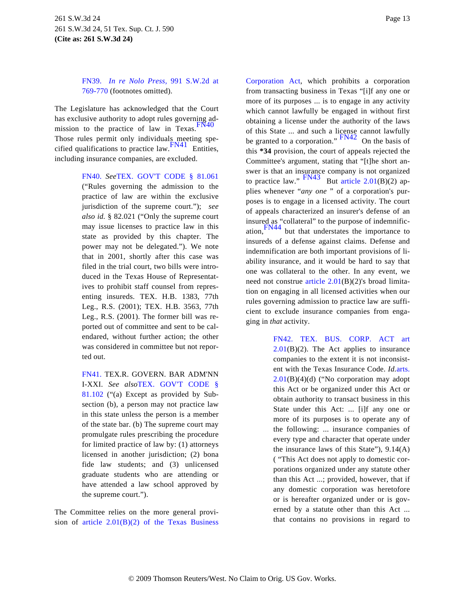<span id="page-12-0"></span>[FN39.](#page-11-5) *[In re Nolo Pres](http://www.westlaw.com/Find/Default.wl?rs=dfa1.0&vr=2.0&DB=713&FindType=Y&ReferencePositionType=S&SerialNum=1999101692&ReferencePosition=769)s,* [991 S.W.2d a](http://www.westlaw.com/Find/Default.wl?rs=dfa1.0&vr=2.0&DB=713&FindType=Y&ReferencePositionType=S&SerialNum=1999101692&ReferencePosition=769)t [769-770](http://www.westlaw.com/Find/Default.wl?rs=dfa1.0&vr=2.0&DB=713&FindType=Y&ReferencePositionType=S&SerialNum=1999101692&ReferencePosition=769) (footnotes omitted).

<span id="page-12-6"></span><span id="page-12-4"></span><span id="page-12-3"></span>The Legislature has acknowledged that the Court has exclusive authority to adopt rules governing admission to the practice of law in Texas. $F<sup>N40</sup>$ Those rules permit only individuals meeting specified qualifications to practice law.  $\frac{FN41}{FN41}$  $\frac{FN41}{FN41}$  $\frac{FN41}{FN41}$  Entities, including insurance companies, are excluded.

> <span id="page-12-8"></span><span id="page-12-7"></span><span id="page-12-1"></span>[FN40.](#page-12-3) *See*[TEX. GOV'T CODE § 81.0](http://www.westlaw.com/Find/Default.wl?rs=dfa1.0&vr=2.0&DB=1000176&DocName=TXGTS81.061&FindType=L)61 ("Rules governing the admission to the practice of law are within the exclusive jurisdiction of the supreme court."); *see also id.* § 82.021 ("Only the supreme court may issue licenses to practice law in this state as provided by this chapter. The power may not be delegated."). We note that in 2001, shortly after this case was filed in the trial court, two bills were introduced in the Texas House of Representatives to prohibit staff counsel from representing insureds. TEX. H.B. 1383, 77th Leg., R.S. (2001); TEX. H.B. 3563, 77th Leg., R.S. (2001). The former bill was reported out of committee and sent to be calendared, without further action; the other was considered in committee but not reported out.

> <span id="page-12-5"></span><span id="page-12-2"></span>[FN41.](#page-12-4) TEX.R. GOVERN. BAR ADM'NN I-XXI. *See also*[TEX. GOV'T CODE](http://www.westlaw.com/Find/Default.wl?rs=dfa1.0&vr=2.0&DB=1000176&DocName=TXGTS81.102&FindType=L) § [81.102](http://www.westlaw.com/Find/Default.wl?rs=dfa1.0&vr=2.0&DB=1000176&DocName=TXGTS81.102&FindType=L) ("(a) Except as provided by Subsection (b), a person may not practice law in this state unless the person is a member of the state bar. (b) The supreme court may promulgate rules prescribing the procedure for limited practice of law by: (1) attorneys licensed in another jurisdiction; (2) bona fide law students; and (3) unlicensed graduate students who are attending or have attended a law school approved by the supreme court.").

The Committee relies on the more general provision of article 2.01(B)(2) of the Texas Business

[Corporation Ac](http://www.westlaw.com/Find/Default.wl?rs=dfa1.0&vr=2.0&DB=1000169&DocName=TXBCAART2.01&FindType=L)t, which prohibits a corporation from transacting business in Texas "[i]f any one or more of its purposes ... is to engage in any activity which cannot lawfully be engaged in without first obtaining a license under the authority of the laws of this State ... and such a license cannot lawfully<br>be granted to a corporation."  $\frac{FN42}{5}$  $\frac{FN42}{5}$  $\frac{FN42}{5}$  On the basis of this **\*34** provision, the court of appeals rejected the Committee's argument, stating that "[t]he short answer is that an insurance company is not organized to practice law."  $\frac{FN43}{\text{But article 2.01(B)(2) ap-}}$  $\frac{FN43}{\text{But article 2.01(B)(2) ap-}}$  $\frac{FN43}{\text{But article 2.01(B)(2) ap-}}$  $\frac{FN43}{\text{But article 2.01(B)(2) ap-}}$  $\frac{FN43}{\text{But article 2.01(B)(2) ap-}}$ plies whenever "*any one* " of a corporation's purposes is to engage in a licensed activity. The court of appeals characterized an insurer's defense of an insured as "collateral" to the purpose of indemnific-ation, [FN44](#page-13-3) but that understates the importance to insureds of a defense against claims. Defense and indemnification are both important provisions of liability insurance, and it would be hard to say that one was collateral to the other. In any event, we need not construe article  $2.01(B)(2)$ 's broad limitation on engaging in all licensed activities when our rules governing admission to practice law are sufficient to exclude insurance companies from engaging in *that* activity.

> [FN42.](#page-12-6) [TEX. BUS. CORP. ACT a](http://www.westlaw.com/Find/Default.wl?rs=dfa1.0&vr=2.0&DB=1000169&DocName=TXBCAART2.01&FindType=L)rt  $2.01(B)(2)$ . The Act applies to insurance companies to the extent it is not inconsistent with the Texas Insurance Code. *Id.*[arts.](http://www.westlaw.com/Find/Default.wl?rs=dfa1.0&vr=2.0&DB=1000169&DocName=TXBCAART2.01&FindType=L) [2.01](http://www.westlaw.com/Find/Default.wl?rs=dfa1.0&vr=2.0&DB=1000169&DocName=TXBCAART2.01&FindType=L)(B)(4)(d) ("No corporation may adopt this Act or be organized under this Act or obtain authority to transact business in this State under this Act: ... [i]f any one or more of its purposes is to operate any of the following: ... insurance companies of every type and character that operate under the insurance laws of this State"), 9.14(A) ( "This Act does not apply to domestic corporations organized under any statute other than this Act ...; provided, however, that if any domestic corporation was heretofore or is hereafter organized under or is governed by a statute other than this Act ... that contains no provisions in regard to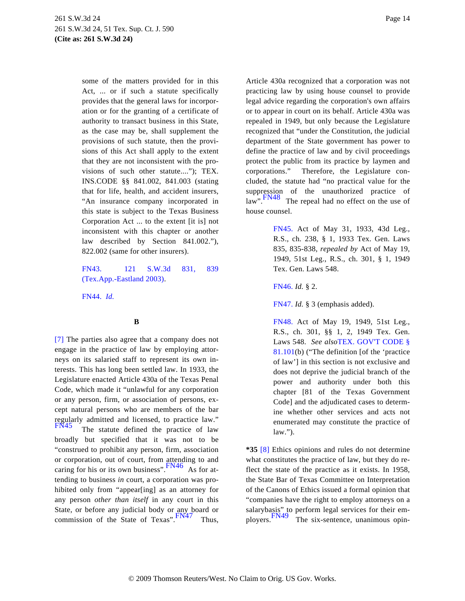some of the matters provided for in this Act, ... or if such a statute specifically provides that the general laws for incorporation or for the granting of a certificate of authority to transact business in this State, as the case may be, shall supplement the provisions of such statute, then the provisions of this Act shall apply to the extent that they are not inconsistent with the provisions of such other statute...."); TEX. INS.CODE §§ 841.002, 841.003 (stating that for life, health, and accident insurers, "An insurance company incorporated in this state is subject to the Texas Business Corporation Act ... to the extent [it is] not inconsistent with this chapter or another law described by Section 841.002."), 822.002 (same for other insurers).

# <span id="page-13-11"></span><span id="page-13-5"></span><span id="page-13-4"></span><span id="page-13-2"></span>[FN43.](#page-12-7) [121 S.W.3d 831](http://www.westlaw.com/Find/Default.wl?rs=dfa1.0&vr=2.0&FindType=Y&SerialNum=2003761076), 839 [\(Tex.App.-Eastland 2003\)](http://www.westlaw.com/Find/Default.wl?rs=dfa1.0&vr=2.0&FindType=Y&SerialNum=2003761076).

<span id="page-13-6"></span><span id="page-13-3"></span>[FN44.](#page-12-8) *[Id.](http://www.westlaw.com/Find/Default.wl?rs=dfa1.0&vr=2.0&FindType=Y&SerialNum=2003761076)*

# **B**

<span id="page-13-10"></span><span id="page-13-9"></span><span id="page-13-8"></span><span id="page-13-7"></span><span id="page-13-1"></span><span id="page-13-0"></span>[\[7\]](#page-1-4) The parties also agree that a company does not engage in the practice of law by employing attorneys on its salaried staff to represent its own interests. This has long been settled law. In 1933, the Legislature enacted Article 430a of the Texas Penal Code, which made it "unlawful for any corporation or any person, firm, or association of persons, except natural persons who are members of the bar regularly admitted and licensed, to practice law." The statute defined the practice of law broadly but specified that it was not to be "construed to prohibit any person, firm, association or corporation, out of court, from attending to and caring for his or its own business".  $\frac{FN46}{}$  $\frac{FN46}{}$  $\frac{FN46}{}$  As for attending to business *in* court, a corporation was prohibited only from "appear[ing] as an attorney for any person *other than itself* in any court in this State, or before any judicial body or any board or commission of the State of Texas". [FN47](#page-13-6) Thus,

Article 430a recognized that a corporation was not practicing law by using house counsel to provide legal advice regarding the corporation's own affairs or to appear in court on its behalf. Article 430a was repealed in 1949, but only because the Legislature recognized that "under the Constitution, the judicial department of the State government has power to define the practice of law and by civil proceedings protect the public from its practice by laymen and corporations." Therefore, the Legislature concluded, the statute had "no practical value for the suppression of the unauthorized practice of  $\lim_{n \to \infty}$ . FN48 The repeal had no effect on the use of house counsel.

> [FN45.](#page-13-8) Act of May 31, 1933, 43d Leg., R.S., ch. 238, § 1, 1933 Tex. Gen. Laws 835, 835-838, *repealed by* Act of May 19, 1949, 51st Leg., R.S., ch. 301, § 1, 1949 Tex. Gen. Laws 548.

[FN46.](#page-13-9) *Id.* § 2.

[FN47.](#page-13-10) *Id.* § 3 (emphasis added).

[FN48.](#page-13-11) Act of May 19, 1949, 51st Leg., R.S., ch. 301, §§ 1, 2, 1949 Tex. Gen. Laws 548. *See also*[TEX. GOV'T CODE §](http://www.westlaw.com/Find/Default.wl?rs=dfa1.0&vr=2.0&DB=1000176&DocName=TXGTS81.101&FindType=L) [81.101](http://www.westlaw.com/Find/Default.wl?rs=dfa1.0&vr=2.0&DB=1000176&DocName=TXGTS81.101&FindType=L)(b) ("The definition [of the 'practice of law'] in this section is not exclusive and does not deprive the judicial branch of the power and authority under both this chapter [81 of the Texas Government Code] and the adjudicated cases to determine whether other services and acts not enumerated may constitute the practice of law.").

**\*35** [\[8\]](#page-2-0) Ethics opinions and rules do not determine what constitutes the practice of law, but they do reflect the state of the practice as it exists. In 1958, the State Bar of Texas Committee on Interpretation of the Canons of Ethics issued a formal opinion that "companies have the right to employ attorneys on a salarybasis" to perform legal services for their em-<br>ployers. The six-sentence, unanimous opin-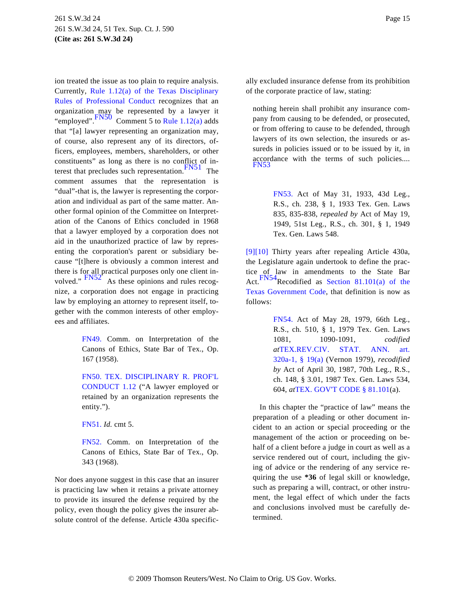<span id="page-14-9"></span><span id="page-14-8"></span><span id="page-14-6"></span><span id="page-14-5"></span>ion treated the issue as too plain to require analysis. Currently, [Rule 1.12\(a\) of the Texas Disciplina](http://www.westlaw.com/Find/Default.wl?rs=dfa1.0&vr=2.0&DB=1000301&DocName=TXSTRPCR1.12&FindType=L)ry [Rules of Professional Condu](http://www.westlaw.com/Find/Default.wl?rs=dfa1.0&vr=2.0&DB=1000301&DocName=TXSTRPCR1.12&FindType=L)ct recognizes that an organization may be represented by a lawyer it "employed".  $\frac{FN50}{F}$  $\frac{FN50}{F}$  $\frac{FN50}{F}$  Comment 5 to [Rule 1.12\(a\)](http://www.westlaw.com/Find/Default.wl?rs=dfa1.0&vr=2.0&DB=1000301&DocName=TXSTRPCR1.12&FindType=L) adds that "[a] lawyer representing an organization may, of course, also represent any of its directors, officers, employees, members, shareholders, or other constituents" as long as there is no conflict of in-terest that precludes such representation. [FN51](#page-14-3) The comment assumes that the representation is "dual"-that is, the lawyer is representing the corporation and individual as part of the same matter. Another formal opinion of the Committee on Interpretation of the Canons of Ethics concluded in 1968 that a lawyer employed by a corporation does not aid in the unauthorized practice of law by representing the corporation's parent or subsidiary because "[t]here is obviously a common interest and there is for all practical purposes only one client involved."  $F N52^T$  As these opinions and rules recognize, a corporation does not engage in practicing law by employing an attorney to represent itself, together with the common interests of other employees and affiliates.

> <span id="page-14-10"></span><span id="page-14-7"></span><span id="page-14-1"></span><span id="page-14-0"></span>[FN49.](#page-13-10) Comm. on Interpretation of the Canons of Ethics, State Bar of Tex., Op. 167 (1958).

> <span id="page-14-2"></span>[FN50.](#page-14-5) [TEX. DISCIPLINARY R. PROF'L](http://www.westlaw.com/Find/Default.wl?rs=dfa1.0&vr=2.0&DB=1000301&DocName=TXSTRPCR1.12&FindType=L) [CONDUCT 1.12](http://www.westlaw.com/Find/Default.wl?rs=dfa1.0&vr=2.0&DB=1000301&DocName=TXSTRPCR1.12&FindType=L) ("A lawyer employed or retained by an organization represents the entity.").

<span id="page-14-3"></span>[FN51.](#page-14-6) *Id.* cmt 5.

<span id="page-14-4"></span>[FN52.](#page-14-7) Comm. on Interpretation of the Canons of Ethics, State Bar of Tex., Op. 343 (1968).

Nor does anyone suggest in this case that an insurer is practicing law when it retains a private attorney to provide its insured the defense required by the policy, even though the policy gives the insurer absolute control of the defense. Article 430a specifically excluded insurance defense from its prohibition of the corporate practice of law, stating:

nothing herein shall prohibit any insurance company from causing to be defended, or prosecuted, or from offering to cause to be defended, through lawyers of its own selection, the insureds or assureds in policies issued or to be issued by it, in accordance with the terms of such policies.... [FN53](#page-14-8)

> [FN53.](#page-14-9) Act of May 31, 1933, 43d Leg., R.S., ch. 238, § 1, 1933 Tex. Gen. Laws 835, 835-838, *repealed by* Act of May 19, 1949, 51st Leg., R.S., ch. 301, § 1, 1949 Tex. Gen. Laws 548.

[\[9\]](#page-2-1)[\[10\]](#page-2-2) Thirty years after repealing Article 430a, the Legislature again undertook to define the practice of law in amendments to the State Bar [Act.](#page-14-10)  $\frac{FN54}{Recodified}$  as [Section 81.101\(a\) of t](http://www.westlaw.com/Find/Default.wl?rs=dfa1.0&vr=2.0&DB=1000176&DocName=TXGTS81.101&FindType=L)he [Texas Government Cod](http://www.westlaw.com/Find/Default.wl?rs=dfa1.0&vr=2.0&DB=1000176&DocName=TXGTS81.101&FindType=L)e, that definition is now as follows:

> [FN54.](#page-14-7) Act of May 28, 1979, 66th Leg., R.S., ch. 510, § 1, 1979 Tex. Gen. Laws 1081, 1090-1091, *codified at*[TEX.REV.CIV. STAT. ANN](http://www.westlaw.com/Find/Default.wl?rs=dfa1.0&vr=2.0&DB=1000188&DocName=TXCSART320A-1&FindType=L). art. [320a-1, § 19\(a](http://www.westlaw.com/Find/Default.wl?rs=dfa1.0&vr=2.0&DB=1000188&DocName=TXCSART320A-1&FindType=L)) (Vernon 1979), *recodified by* Act of April 30, 1987, 70th Leg., R.S., ch. 148, § 3.01, 1987 Tex. Gen. Laws 534, 604, *at*[TEX. GOV'T CODE § 81.101](http://www.westlaw.com/Find/Default.wl?rs=dfa1.0&vr=2.0&DB=1000176&DocName=TXGTS81.101&FindType=L)(a).

In this chapter the "practice of law" means the preparation of a pleading or other document incident to an action or special proceeding or the management of the action or proceeding on behalf of a client before a judge in court as well as a service rendered out of court, including the giving of advice or the rendering of any service requiring the use **\*36** of legal skill or knowledge, such as preparing a will, contract, or other instrument, the legal effect of which under the facts and conclusions involved must be carefully determined.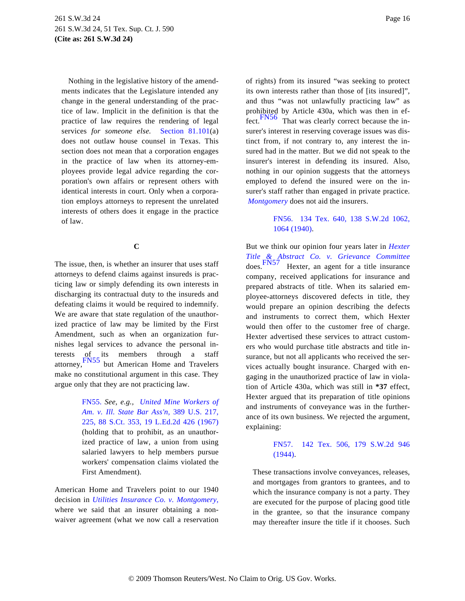<span id="page-15-3"></span>Nothing in the legislative history of the amendments indicates that the Legislature intended any change in the general understanding of the practice of law. Implicit in the definition is that the practice of law requires the rendering of legal services *for someone else.* [Section 81.10](http://www.westlaw.com/Find/Default.wl?rs=dfa1.0&vr=2.0&DB=1000176&DocName=TXGTS81.101&FindType=L)1(a) does not outlaw house counsel in Texas. This section does not mean that a corporation engages in the practice of law when its attorney-employees provide legal advice regarding the corporation's own affairs or represent others with identical interests in court. Only when a corporation employs attorneys to represent the unrelated interests of others does it engage in the practice of law.

# **C**

<span id="page-15-5"></span><span id="page-15-2"></span>The issue, then, is whether an insurer that uses staff attorneys to defend claims against insureds is practicing law or simply defending its own interests in discharging its contractual duty to the insureds and defeating claims it would be required to indemnify. We are aware that state regulation of the unauthorized practice of law may be limited by the First Amendment, such as when an organization furnishes legal services to advance the personal interests  $of_{\text{ref}}$  its members through a staff [attorn](#page-15-0)ey,FN55 but American Home and Travelers make no constitutional argument in this case. They argue only that they are not practicing law.

> <span id="page-15-4"></span><span id="page-15-1"></span><span id="page-15-0"></span>[FN55.](#page-15-1) *See, e.g., [United Mine Workers o](http://www.westlaw.com/Find/Default.wl?rs=dfa1.0&vr=2.0&DB=708&FindType=Y&SerialNum=1967129572)f [Am. v. Ill. State Bar Ass](http://www.westlaw.com/Find/Default.wl?rs=dfa1.0&vr=2.0&DB=708&FindType=Y&SerialNum=1967129572)'n,* [389 U.S. 217](http://www.westlaw.com/Find/Default.wl?rs=dfa1.0&vr=2.0&DB=708&FindType=Y&SerialNum=1967129572), [225, 88 S.Ct. 353, 19 L.Ed.2d 426 \(196](http://www.westlaw.com/Find/Default.wl?rs=dfa1.0&vr=2.0&DB=708&FindType=Y&SerialNum=1967129572)7) (holding that to prohibit, as an unauthorized practice of law, a union from using salaried lawyers to help members pursue workers' compensation claims violated the First Amendment).

American Home and Travelers point to our 1940 decision in *[Utilities Insurance Co. v. Montgomery](http://www.westlaw.com/Find/Default.wl?rs=dfa1.0&vr=2.0&FindType=Y&SerialNum=1940103088),* where we said that an insurer obtaining a nonwaiver agreement (what we now call a reservation of rights) from its insured "was seeking to protect its own interests rather than those of [its insured]", and thus "was not unlawfully practicing law" as prohibited by Article 430a, which was then in ef-fect.<sup>[FN56](#page-15-2)</sup> That was clearly correct because the insurer's interest in reserving coverage issues was distinct from, if not contrary to, any interest the insured had in the matter. But we did not speak to the insurer's interest in defending its insured. Also, nothing in our opinion suggests that the attorneys employed to defend the insured were on the insurer's staff rather than engaged in private practice. *[Montgomery](http://www.westlaw.com/Find/Default.wl?rs=dfa1.0&vr=2.0&FindType=Y&SerialNum=1940103088)* does not aid the insurers.

# [FN56.](#page-15-3) [134 Tex. 640, 138 S.W.2d 106](http://www.westlaw.com/Find/Default.wl?rs=dfa1.0&vr=2.0&DB=713&FindType=Y&ReferencePositionType=S&SerialNum=1940103088&ReferencePosition=1064)2, [1064 \(1940\)](http://www.westlaw.com/Find/Default.wl?rs=dfa1.0&vr=2.0&DB=713&FindType=Y&ReferencePositionType=S&SerialNum=1940103088&ReferencePosition=1064).

But we think our opinion four years later in *[Hexter](http://www.westlaw.com/Find/Default.wl?rs=dfa1.0&vr=2.0&FindType=Y&SerialNum=1944102070) [Title & Abstract Co. v. Grievance Com](http://www.westlaw.com/Find/Default.wl?rs=dfa1.0&vr=2.0&FindType=Y&SerialNum=1944102070)mittee* [does.](#page-15-4) FN57 Hexter, an agent for a title insurance company, received applications for insurance and prepared abstracts of title. When its salaried employee-attorneys discovered defects in title, they would prepare an opinion describing the defects and instruments to correct them, which Hexter would then offer to the customer free of charge. Hexter advertised these services to attract customers who would purchase title abstracts and title insurance, but not all applicants who received the services actually bought insurance. Charged with engaging in the unauthorized practice of law in violation of Article 430a, which was still in **\*37** effect, Hexter argued that its preparation of title opinions and instruments of conveyance was in the furtherance of its own business. We rejected the argument, explaining:

# [FN57.](#page-15-5) [142 Tex. 506, 179 S.W.2d](http://www.westlaw.com/Find/Default.wl?rs=dfa1.0&vr=2.0&DB=713&FindType=Y&SerialNum=1944102070) 946 [\(1944\).](http://www.westlaw.com/Find/Default.wl?rs=dfa1.0&vr=2.0&DB=713&FindType=Y&SerialNum=1944102070)

These transactions involve conveyances, releases, and mortgages from grantors to grantees, and to which the insurance company is not a party. They are executed for the purpose of placing good title in the grantee, so that the insurance company may thereafter insure the title if it chooses. Such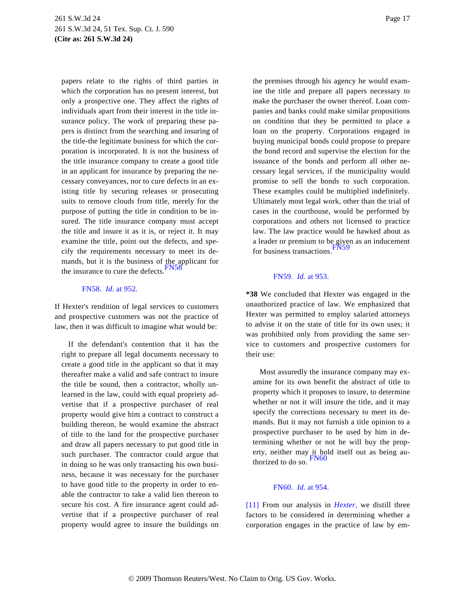papers relate to the rights of third parties in which the corporation has no present interest, but only a prospective one. They affect the rights of individuals apart from their interest in the title insurance policy. The work of preparing these papers is distinct from the searching and insuring of the title-the legitimate business for which the corporation is incorporated. It is not the business of the title insurance company to create a good title in an applicant for insurance by preparing the necessary conveyances, nor to cure defects in an existing title by securing releases or prosecuting suits to remove clouds from title, merely for the purpose of putting the title in condition to be insured. The title insurance company must accept the title and insure it as it is, or reject it. It may examine the title, point out the defects, and specify the requirements necessary to meet its demands, but it is the business of the applicant for the insurance to cure the defects. [FN58](#page-16-1)

### <span id="page-16-4"></span><span id="page-16-3"></span><span id="page-16-2"></span>[FN58.](#page-16-2) *[Id.](http://www.westlaw.com/Find/Default.wl?rs=dfa1.0&vr=2.0&FindType=Y&SerialNum=1944102070)* [at 952.](http://www.westlaw.com/Find/Default.wl?rs=dfa1.0&vr=2.0&FindType=Y&SerialNum=1944102070)

<span id="page-16-1"></span>If Hexter's rendition of legal services to customers and prospective customers was not the practice of law, then it was difficult to imagine what would be:

<span id="page-16-6"></span><span id="page-16-5"></span><span id="page-16-0"></span>If the defendant's contention that it has the right to prepare all legal documents necessary to create a good title in the applicant so that it may thereafter make a valid and safe contract to insure the title be sound, then a contractor, wholly unlearned in the law, could with equal propriety advertise that if a prospective purchaser of real property would give him a contract to construct a building thereon, he would examine the abstract of title to the land for the prospective purchaser and draw all papers necessary to put good title in such purchaser. The contractor could argue that in doing so he was only transacting his own business, because it was necessary for the purchaser to have good title to the property in order to enable the contractor to take a valid lien thereon to secure his cost. A fire insurance agent could advertise that if a prospective purchaser of real property would agree to insure the buildings on

the premises through his agency he would examine the title and prepare all papers necessary to make the purchaser the owner thereof. Loan companies and banks could make similar propositions on condition that they be permitted to place a loan on the property. Corporations engaged in buying municipal bonds could propose to prepare the bond record and supervise the election for the issuance of the bonds and perform all other necessary legal services, if the municipality would promise to sell the bonds to such corporation. These examples could be multiplied indefinitely. Ultimately most legal work, other than the trial of cases in the courthouse, would be performed by corporations and others not licensed to practice law. The law practice would be hawked about as a leader or premium to be given as an inducement for business transactions.<sup>FN5</sup>

### [FN59.](#page-16-4) *[Id.](http://www.westlaw.com/Find/Default.wl?rs=dfa1.0&vr=2.0&FindType=Y&SerialNum=1944102070)* [at 953.](http://www.westlaw.com/Find/Default.wl?rs=dfa1.0&vr=2.0&FindType=Y&SerialNum=1944102070)

**\*38** We concluded that Hexter was engaged in the unauthorized practice of law. We emphasized that Hexter was permitted to employ salaried attorneys to advise it on the state of title for its own uses; it was prohibited only from providing the same service to customers and prospective customers for their use:

Most assuredly the insurance company may examine for its own benefit the abstract of title to property which it proposes to insure, to determine whether or not it will insure the title, and it may specify the corrections necessary to meet its demands. But it may not furnish a title opinion to a prospective purchaser to be used by him in determining whether or not he will buy the property, neither may it hold itself out as being au-<br>thorized to do so.

# [FN60.](#page-16-6) *[Id.](http://www.westlaw.com/Find/Default.wl?rs=dfa1.0&vr=2.0&FindType=Y&SerialNum=1944102070)* [at 954.](http://www.westlaw.com/Find/Default.wl?rs=dfa1.0&vr=2.0&FindType=Y&SerialNum=1944102070)

[\[11\]](#page-2-3) From our analysis in *[Hexter](http://www.westlaw.com/Find/Default.wl?rs=dfa1.0&vr=2.0&FindType=Y&SerialNum=1944102070),* we distill three factors to be considered in determining whether a corporation engages in the practice of law by em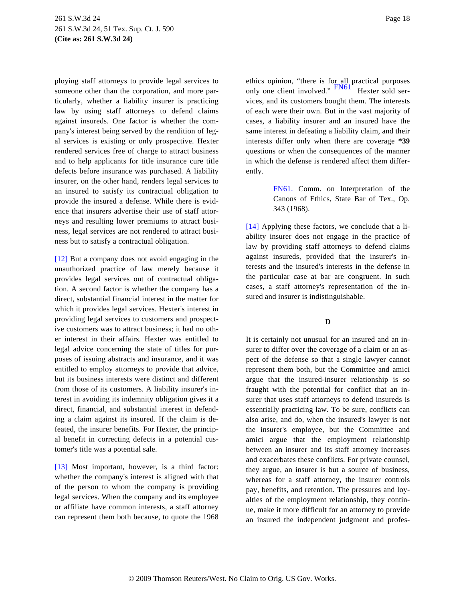<span id="page-17-4"></span>ploying staff attorneys to provide legal services to someone other than the corporation, and more particularly, whether a liability insurer is practicing law by using staff attorneys to defend claims against insureds. One factor is whether the company's interest being served by the rendition of legal services is existing or only prospective. Hexter rendered services free of charge to attract business and to help applicants for title insurance cure title defects before insurance was purchased. A liability insurer, on the other hand, renders legal services to an insured to satisfy its contractual obligation to provide the insured a defense. While there is evidence that insurers advertise their use of staff attorneys and resulting lower premiums to attract business, legal services are not rendered to attract business but to satisfy a contractual obligation.

<span id="page-17-3"></span><span id="page-17-2"></span><span id="page-17-0"></span>[\[12\]](#page-3-0) But a company does not avoid engaging in the unauthorized practice of law merely because it provides legal services out of contractual obligation. A second factor is whether the company has a direct, substantial financial interest in the matter for which it provides legal services. Hexter's interest in providing legal services to customers and prospective customers was to attract business; it had no other interest in their affairs. Hexter was entitled to legal advice concerning the state of titles for purposes of issuing abstracts and insurance, and it was entitled to employ attorneys to provide that advice, but its business interests were distinct and different from those of its customers. A liability insurer's interest in avoiding its indemnity obligation gives it a direct, financial, and substantial interest in defending a claim against its insured. If the claim is defeated, the insurer benefits. For Hexter, the principal benefit in correcting defects in a potential customer's title was a potential sale.

<span id="page-17-1"></span>[\[13\]](#page-3-1) Most important, however, is a third factor: whether the company's interest is aligned with that of the person to whom the company is providing legal services. When the company and its employee or affiliate have common interests, a staff attorney can represent them both because, to quote the 1968

ethics opinion, "there is for all practical purposes only one client involved."  $\frac{FN61^r}{N}$  $\frac{FN61^r}{N}$  $\frac{FN61^r}{N}$  Hexter sold services, and its customers bought them. The interests of each were their own. But in the vast majority of cases, a liability insurer and an insured have the same interest in defeating a liability claim, and their interests differ only when there are coverage **\*39** questions or when the consequences of the manner in which the defense is rendered affect them differently.

> [FN61.](#page-17-4) Comm. on Interpretation of the Canons of Ethics, State Bar of Tex., Op. 343 (1968).

[\[14\]](#page-3-2) Applying these factors, we conclude that a liability insurer does not engage in the practice of law by providing staff attorneys to defend claims against insureds, provided that the insurer's interests and the insured's interests in the defense in the particular case at bar are congruent. In such cases, a staff attorney's representation of the insured and insurer is indistinguishable.

# **D**

It is certainly not unusual for an insured and an insurer to differ over the coverage of a claim or an aspect of the defense so that a single lawyer cannot represent them both, but the Committee and amici argue that the insured-insurer relationship is so fraught with the potential for conflict that an insurer that uses staff attorneys to defend insureds is essentially practicing law. To be sure, conflicts can also arise, and do, when the insured's lawyer is not the insurer's employee, but the Committee and amici argue that the employment relationship between an insurer and its staff attorney increases and exacerbates these conflicts. For private counsel, they argue, an insurer is but a source of business, whereas for a staff attorney, the insurer controls pay, benefits, and retention. The pressures and loyalties of the employment relationship, they continue, make it more difficult for an attorney to provide an insured the independent judgment and profes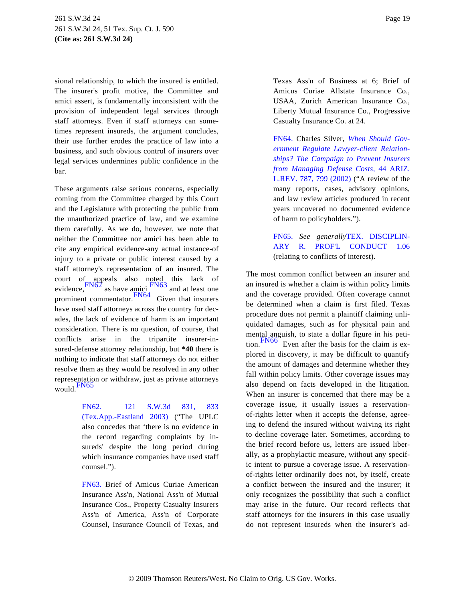<span id="page-18-2"></span>sional relationship, to which the insured is entitled. The insurer's profit motive, the Committee and amici assert, is fundamentally inconsistent with the provision of independent legal services through staff attorneys. Even if staff attorneys can sometimes represent insureds, the argument concludes, their use further erodes the practice of law into a business, and such obvious control of insurers over legal services undermines public confidence in the bar.

<span id="page-18-5"></span><span id="page-18-4"></span><span id="page-18-3"></span>These arguments raise serious concerns, especially coming from the Committee charged by this Court and the Legislature with protecting the public from the unauthorized practice of law, and we examine them carefully. As we do, however, we note that neither the Committee nor amici has been able to cite any empirical evidence-any actual instance-of injury to a private or public interest caused by a staff attorney's representation of an insured. The court of appeals also noted this lack of  $F<sup>1</sup> \t F<sup>1</sup> \t F<sup>1</sup> \t F<sup>1</sup> \t F<sup>1</sup> \t F<sup>1</sup> \t F<sup>1</sup>$  and at least one prominent commentator.[FN64](#page-18-2) Given that insurers have used staff attorneys across the country for decades, the lack of evidence of harm is an important consideration. There is no question, of course, that conflicts arise in the tripartite insurer-insured-defense attorney relationship, but **\*40** there is nothing to indicate that staff attorneys do not either resolve them as they would be resolved in any other representation or withdraw, just as private attorneys would.<sup>[FN65](#page-18-3)</sup>

> <span id="page-18-7"></span><span id="page-18-6"></span><span id="page-18-0"></span>[FN62.](#page-18-4) [121 S.W.3d 831](http://www.westlaw.com/Find/Default.wl?rs=dfa1.0&vr=2.0&FindType=Y&SerialNum=2003761076), 833 [\(Tex.App.-Eastland 2003](http://www.westlaw.com/Find/Default.wl?rs=dfa1.0&vr=2.0&FindType=Y&SerialNum=2003761076)) ("The UPLC also concedes that 'there is no evidence in the record regarding complaints by insureds' despite the long period during which insurance companies have used staff counsel.").

> <span id="page-18-1"></span>[FN63.](#page-18-4) Brief of Amicus Curiae American Insurance Ass'n, National Ass'n of Mutual Insurance Cos., Property Casualty Insurers Ass'n of America, Ass'n of Corporate Counsel, Insurance Council of Texas, and

Texas Ass'n of Business at 6; Brief of Amicus Curiae Allstate Insurance Co., USAA, Zurich American Insurance Co., Liberty Mutual Insurance Co., Progressive Casualty Insurance Co. at 24.

[FN64.](#page-18-5) Charles Silver, *[When Should Gov](http://www.westlaw.com/Find/Default.wl?rs=dfa1.0&vr=2.0&DB=1093&FindType=Y&ReferencePositionType=S&SerialNum=0291987995&ReferencePosition=799)[ernment Regulate Lawyer-client Relation](http://www.westlaw.com/Find/Default.wl?rs=dfa1.0&vr=2.0&DB=1093&FindType=Y&ReferencePositionType=S&SerialNum=0291987995&ReferencePosition=799)[ships? The Campaign to Prevent Insurer](http://www.westlaw.com/Find/Default.wl?rs=dfa1.0&vr=2.0&DB=1093&FindType=Y&ReferencePositionType=S&SerialNum=0291987995&ReferencePosition=799)s [from Managing Defense Cost](http://www.westlaw.com/Find/Default.wl?rs=dfa1.0&vr=2.0&DB=1093&FindType=Y&ReferencePositionType=S&SerialNum=0291987995&ReferencePosition=799)s,* [44 ARIZ](http://www.westlaw.com/Find/Default.wl?rs=dfa1.0&vr=2.0&DB=1093&FindType=Y&ReferencePositionType=S&SerialNum=0291987995&ReferencePosition=799). [L.REV. 787, 799 \(2002](http://www.westlaw.com/Find/Default.wl?rs=dfa1.0&vr=2.0&DB=1093&FindType=Y&ReferencePositionType=S&SerialNum=0291987995&ReferencePosition=799)) ("A review of the many reports, cases, advisory opinions, and law review articles produced in recent years uncovered no documented evidence of harm to policyholders.").

[FN65.](#page-18-6) *See generally*[TEX. DISCIPLIN](http://www.westlaw.com/Find/Default.wl?rs=dfa1.0&vr=2.0&DB=1000301&DocName=TXSTRPCR1.06&FindType=L)-[ARY R. PROF'L CONDUC](http://www.westlaw.com/Find/Default.wl?rs=dfa1.0&vr=2.0&DB=1000301&DocName=TXSTRPCR1.06&FindType=L)T 1.06 (relating to conflicts of interest).

The most common conflict between an insurer and an insured is whether a claim is within policy limits and the coverage provided. Often coverage cannot be determined when a claim is first filed. Texas procedure does not permit a plaintiff claiming unliquidated damages, such as for physical pain and mental anguish, to state a dollar figure in his petition.  $\frac{FN_{00}}{FN_{00}}$  Even after the basis for the claim is explored in discovery, it may be difficult to quantify the amount of damages and determine whether they fall within policy limits. Other coverage issues may also depend on facts developed in the litigation. When an insurer is concerned that there may be a coverage issue, it usually issues a reservationof-rights letter when it accepts the defense, agreeing to defend the insured without waiving its right to decline coverage later. Sometimes, according to the brief record before us, letters are issued liberally, as a prophylactic measure, without any specific intent to pursue a coverage issue. A reservationof-rights letter ordinarily does not, by itself, create a conflict between the insured and the insurer; it only recognizes the possibility that such a conflict may arise in the future. Our record reflects that staff attorneys for the insurers in this case usually do not represent insureds when the insurer's ad-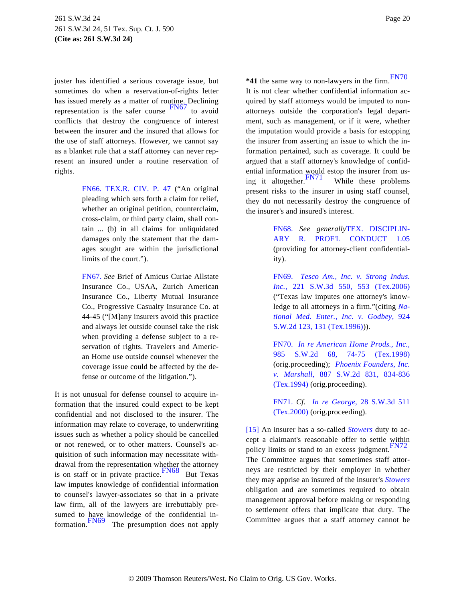<span id="page-19-9"></span><span id="page-19-3"></span>juster has identified a serious coverage issue, but sometimes do when a reservation-of-rights letter has issued merely as a matter of routine. Declining representation is the safer course [FN67](#page-19-2) to avoid conflicts that destroy the congruence of interest between the insurer and the insured that allows for the use of staff attorneys. However, we cannot say as a blanket rule that a staff attorney can never represent an insured under a routine reservation of rights.

> <span id="page-19-10"></span><span id="page-19-4"></span><span id="page-19-1"></span>[FN66.](#page-18-7) [TEX.R. CIV. P. 4](http://www.westlaw.com/Find/Default.wl?rs=dfa1.0&vr=2.0&DB=1005302&DocName=TXRRCPR47&FindType=L)7 ("An original pleading which sets forth a claim for relief, whether an original petition, counterclaim, cross-claim, or third party claim, shall contain ... (b) in all claims for unliquidated damages only the statement that the damages sought are within the jurisdictional limits of the court.").

> <span id="page-19-2"></span>[FN67.](#page-19-3) *See* Brief of Amicus Curiae Allstate Insurance Co., USAA, Zurich American Insurance Co., Liberty Mutual Insurance Co., Progressive Casualty Insurance Co. at 44-45 ("[M]any insurers avoid this practice and always let outside counsel take the risk when providing a defense subject to a reservation of rights. Travelers and American Home use outside counsel whenever the coverage issue could be affected by the defense or outcome of the litigation.").

<span id="page-19-11"></span><span id="page-19-8"></span><span id="page-19-7"></span><span id="page-19-6"></span><span id="page-19-5"></span><span id="page-19-0"></span>It is not unusual for defense counsel to acquire information that the insured could expect to be kept confidential and not disclosed to the insurer. The information may relate to coverage, to underwriting issues such as whether a policy should be cancelled or not renewed, or to other matters. Counsel's acquisition of such information may necessitate withdrawal from the representation whether the attorney is on staff or in private practice.  $F<sup>N68</sup>$  But Texas law imputes knowledge of confidential information to counsel's lawyer-associates so that in a private law firm, all of the lawyers are irrebuttably presumed to have knowledge of the confidential in-formation. [FN69](#page-19-2) The presumption does not apply **\*41** the same way to non-lawyers in the firm.[FN70](#page-19-5) It is not clear whether confidential information acquired by staff attorneys would be imputed to nonattorneys outside the corporation's legal department, such as management, or if it were, whether the imputation would provide a basis for estopping the insurer from asserting an issue to which the information pertained, such as coverage. It could be argued that a staff attorney's knowledge of confidential information would estop the insurer from using it altogether.  $\frac{FN71}{FN71}$  $\frac{FN71}{FN71}$  $\frac{FN71}{FN71}$  While these problems present risks to the insurer in using staff counsel, they do not necessarily destroy the congruence of the insurer's and insured's interest.

> [FN68.](#page-19-7) *See generally*[TEX. DISCIPLIN](http://www.westlaw.com/Find/Default.wl?rs=dfa1.0&vr=2.0&DB=1000301&DocName=TXSTRPCR1.05&FindType=L)-[ARY R. PROF'L CONDUC](http://www.westlaw.com/Find/Default.wl?rs=dfa1.0&vr=2.0&DB=1000301&DocName=TXSTRPCR1.05&FindType=L)T 1.05 (providing for attorney-client confidentiality).

> [FN69.](#page-19-8) *[Tesco Am., Inc. v. Strong Ind](http://www.westlaw.com/Find/Default.wl?rs=dfa1.0&vr=2.0&DB=4644&FindType=Y&ReferencePositionType=S&SerialNum=2008702528&ReferencePosition=553)us. [Inc.,](http://www.westlaw.com/Find/Default.wl?rs=dfa1.0&vr=2.0&DB=4644&FindType=Y&ReferencePositionType=S&SerialNum=2008702528&ReferencePosition=553)* [221 S.W.3d 550, 553 \(Tex.](http://www.westlaw.com/Find/Default.wl?rs=dfa1.0&vr=2.0&DB=4644&FindType=Y&ReferencePositionType=S&SerialNum=2008702528&ReferencePosition=553)2006) ("Texas law imputes one attorney's knowledge to all attorneys in a firm."(citing *[Na](http://www.westlaw.com/Find/Default.wl?rs=dfa1.0&vr=2.0&DB=713&FindType=Y&ReferencePositionType=S&SerialNum=1996129979&ReferencePosition=131)[tional Med. Enter., Inc. v. Godbey,](http://www.westlaw.com/Find/Default.wl?rs=dfa1.0&vr=2.0&DB=713&FindType=Y&ReferencePositionType=S&SerialNum=1996129979&ReferencePosition=131)* 924 [S.W.2d 123, 131 \(Tex.1996\)](http://www.westlaw.com/Find/Default.wl?rs=dfa1.0&vr=2.0&DB=713&FindType=Y&ReferencePositionType=S&SerialNum=1996129979&ReferencePosition=131))).

> [FN70.](#page-19-9) *[In re American Home Prods., Inc.](http://www.westlaw.com/Find/Default.wl?rs=dfa1.0&vr=2.0&DB=713&FindType=Y&ReferencePositionType=S&SerialNum=1999026792&ReferencePosition=74),* [985 S.W.2d 68, 74-75 \(](http://www.westlaw.com/Find/Default.wl?rs=dfa1.0&vr=2.0&DB=713&FindType=Y&ReferencePositionType=S&SerialNum=1999026792&ReferencePosition=74)Tex.1998) (orig.proceeding); *[Phoenix Founders, Inc.](http://www.westlaw.com/Find/Default.wl?rs=dfa1.0&vr=2.0&DB=713&FindType=Y&ReferencePositionType=S&SerialNum=1994201738&ReferencePosition=834) [v. Marshal](http://www.westlaw.com/Find/Default.wl?rs=dfa1.0&vr=2.0&DB=713&FindType=Y&ReferencePositionType=S&SerialNum=1994201738&ReferencePosition=834)l,* [887 S.W.2d 831, 834-](http://www.westlaw.com/Find/Default.wl?rs=dfa1.0&vr=2.0&DB=713&FindType=Y&ReferencePositionType=S&SerialNum=1994201738&ReferencePosition=834)836 [\(Tex.1994\)](http://www.westlaw.com/Find/Default.wl?rs=dfa1.0&vr=2.0&DB=713&FindType=Y&ReferencePositionType=S&SerialNum=1994201738&ReferencePosition=834) (orig.proceeding).

> [FN71.](#page-19-10) *Cf. [In re George](http://www.westlaw.com/Find/Default.wl?rs=dfa1.0&vr=2.0&DB=4644&FindType=Y&SerialNum=2000395552),* [28 S.W.3d 511](http://www.westlaw.com/Find/Default.wl?rs=dfa1.0&vr=2.0&DB=4644&FindType=Y&SerialNum=2000395552) [\(Tex.2000\)](http://www.westlaw.com/Find/Default.wl?rs=dfa1.0&vr=2.0&DB=4644&FindType=Y&SerialNum=2000395552) (orig.proceeding).

[\[15\]](#page-3-3) An insurer has a so-called *[Stowers](http://www.westlaw.com/Find/Default.wl?rs=dfa1.0&vr=2.0&FindType=Y&SerialNum=1929126254)* duty to accept a claimant's reasonable offer to settle within policy limits or stand to an excess judgment. $F_N/2$ The Committee argues that sometimes staff attorneys are restricted by their employer in whether they may apprise an insured of the insurer's *[Stowers](http://www.westlaw.com/Find/Default.wl?rs=dfa1.0&vr=2.0&FindType=Y&SerialNum=1929126254)* obligation and are sometimes required to obtain management approval before making or responding to settlement offers that implicate that duty. The Committee argues that a staff attorney cannot be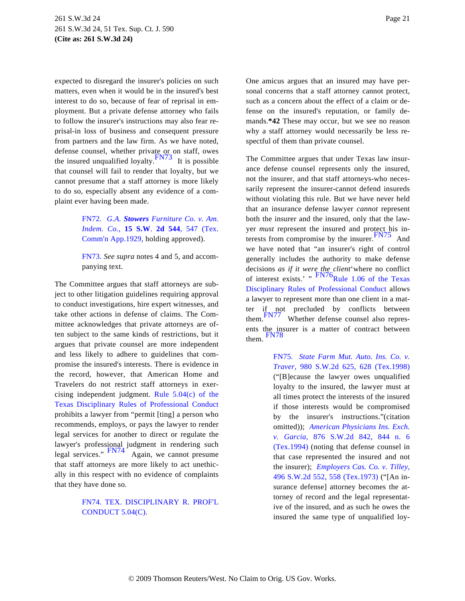expected to disregard the insurer's policies on such matters, even when it would be in the insured's best interest to do so, because of fear of reprisal in employment. But a private defense attorney who fails to follow the insurer's instructions may also fear reprisal-in loss of business and consequent pressure from partners and the law firm. As we have noted, defense counsel, whether private or on staff, owes the insured unqualified loyalty.  $\frac{FN73}{FN73}$  $\frac{FN73}{FN73}$  $\frac{FN73}{FN73}$  It is possible that counsel will fail to render that loyalty, but we cannot presume that a staff attorney is more likely to do so, especially absent any evidence of a complaint ever having been made.

> <span id="page-20-6"></span><span id="page-20-2"></span><span id="page-20-0"></span>[FN72.](#page-19-11) *[G.A.](http://www.westlaw.com/Find/Default.wl?rs=dfa1.0&vr=2.0&DB=713&FindType=Y&ReferencePositionType=S&SerialNum=1929126254&ReferencePosition=547) [Stowers](http://www.westlaw.com/Find/Default.wl?rs=dfa1.0&vr=2.0&DB=713&FindType=Y&ReferencePositionType=S&SerialNum=1929126254&ReferencePosition=547) [Furniture Co. v. Am](http://www.westlaw.com/Find/Default.wl?rs=dfa1.0&vr=2.0&DB=713&FindType=Y&ReferencePositionType=S&SerialNum=1929126254&ReferencePosition=547). [Indem. Co.](http://www.westlaw.com/Find/Default.wl?rs=dfa1.0&vr=2.0&DB=713&FindType=Y&ReferencePositionType=S&SerialNum=1929126254&ReferencePosition=547),* **[15 S.W](http://www.westlaw.com/Find/Default.wl?rs=dfa1.0&vr=2.0&DB=713&FindType=Y&ReferencePositionType=S&SerialNum=1929126254&ReferencePosition=547)**. **[2d 544](http://www.westlaw.com/Find/Default.wl?rs=dfa1.0&vr=2.0&DB=713&FindType=Y&ReferencePositionType=S&SerialNum=1929126254&ReferencePosition=547)**[, 547 \(Te](http://www.westlaw.com/Find/Default.wl?rs=dfa1.0&vr=2.0&DB=713&FindType=Y&ReferencePositionType=S&SerialNum=1929126254&ReferencePosition=547)x. [Comm'n App.1929](http://www.westlaw.com/Find/Default.wl?rs=dfa1.0&vr=2.0&DB=713&FindType=Y&ReferencePositionType=S&SerialNum=1929126254&ReferencePosition=547), holding approved).

> <span id="page-20-1"></span>[FN73.](#page-20-2) *See supra* notes 4 and 5, and accompanying text.

<span id="page-20-9"></span><span id="page-20-8"></span><span id="page-20-7"></span><span id="page-20-5"></span>The Committee argues that staff attorneys are subject to other litigation guidelines requiring approval to conduct investigations, hire expert witnesses, and take other actions in defense of claims. The Committee acknowledges that private attorneys are often subject to the same kinds of restrictions, but it argues that private counsel are more independent and less likely to adhere to guidelines that compromise the insured's interests. There is evidence in the record, however, that American Home and Travelers do not restrict staff attorneys in exercising independent judgment. [Rule 5.04\(c\) of th](http://www.westlaw.com/Find/Default.wl?rs=dfa1.0&vr=2.0&DB=1000301&DocName=TXSTRPCR5.04&FindType=L)e [Texas Disciplinary Rules of Professional Condu](http://www.westlaw.com/Find/Default.wl?rs=dfa1.0&vr=2.0&DB=1000301&DocName=TXSTRPCR5.04&FindType=L)ct prohibits a lawyer from "permit [ting] a person who recommends, employs, or pays the lawyer to render legal services for another to direct or regulate the lawyer's professional judgment in rendering such<br>legal services." [FN74](#page-20-3) Again, we cannot presume that staff attorneys are more likely to act unethically in this respect with no evidence of complaints that they have done so.

# <span id="page-20-4"></span><span id="page-20-3"></span>[FN74.](#page-20-4) [TEX. DISCIPLINARY R. PROF'L](http://www.westlaw.com/Find/Default.wl?rs=dfa1.0&vr=2.0&DB=1000301&DocName=TXSTRPCR5.04&FindType=L) [CONDUCT 5.04\(C\)](http://www.westlaw.com/Find/Default.wl?rs=dfa1.0&vr=2.0&DB=1000301&DocName=TXSTRPCR5.04&FindType=L).

One amicus argues that an insured may have personal concerns that a staff attorney cannot protect, such as a concern about the effect of a claim or defense on the insured's reputation, or family demands.**\*42** These may occur, but we see no reason why a staff attorney would necessarily be less respectful of them than private counsel.

The Committee argues that under Texas law insurance defense counsel represents only the insured, not the insurer, and that staff attorneys-who necessarily represent the insurer-cannot defend insureds without violating this rule. But we have never held that an insurance defense lawyer *cannot* represent both the insurer and the insured, only that the lawyer *must* represent the insured and protect his in-terests from compromise by the insurer. [FN75](#page-20-5) And we have noted that "an insurer's right of control generally includes the authority to make defense decisions *as if it were the client* where no conflict<br>of interest exists.' "  $\frac{FN76}{Rule}$  $\frac{FN76}{Rule}$  $\frac{FN76}{Rule}$  1.06 of the Texas [Disciplinary Rules of Professional Condu](http://www.westlaw.com/Find/Default.wl?rs=dfa1.0&vr=2.0&DB=1000301&DocName=TXSTRPCR1.06&FindType=L)ct allows a lawyer to represent more than one client in a matter if not precluded by conflicts between [them.](#page-21-1) FN77 Whether defense counsel also represents the insurer is a matter of contract between them. [FN78](#page-21-2)

> [FN75.](#page-20-6) *[State Farm Mut. Auto. Ins. Co.](http://www.westlaw.com/Find/Default.wl?rs=dfa1.0&vr=2.0&DB=713&FindType=Y&ReferencePositionType=S&SerialNum=1999026778&ReferencePosition=628) v. [Traver,](http://www.westlaw.com/Find/Default.wl?rs=dfa1.0&vr=2.0&DB=713&FindType=Y&ReferencePositionType=S&SerialNum=1999026778&ReferencePosition=628)* [980 S.W.2d 625, 628 \(Tex.199](http://www.westlaw.com/Find/Default.wl?rs=dfa1.0&vr=2.0&DB=713&FindType=Y&ReferencePositionType=S&SerialNum=1999026778&ReferencePosition=628)8) ("[B]ecause the lawyer owes unqualified loyalty to the insured, the lawyer must at all times protect the interests of the insured if those interests would be compromised by the insurer's instructions."(citation omitted)); *[American Physicians Ins. Exch.](http://www.westlaw.com/Find/Default.wl?rs=dfa1.0&vr=2.0&DB=713&FindType=Y&ReferencePositionType=S&SerialNum=1994061159&ReferencePosition=844) [v. Garcia](http://www.westlaw.com/Find/Default.wl?rs=dfa1.0&vr=2.0&DB=713&FindType=Y&ReferencePositionType=S&SerialNum=1994061159&ReferencePosition=844),* [876 S.W.2d 842, 844](http://www.westlaw.com/Find/Default.wl?rs=dfa1.0&vr=2.0&DB=713&FindType=Y&ReferencePositionType=S&SerialNum=1994061159&ReferencePosition=844) n. 6 [\(Tex.1994\)](http://www.westlaw.com/Find/Default.wl?rs=dfa1.0&vr=2.0&DB=713&FindType=Y&ReferencePositionType=S&SerialNum=1994061159&ReferencePosition=844) (noting that defense counsel in that case represented the insured and not the insurer); *[Employers Cas. Co. v. Tilley](http://www.westlaw.com/Find/Default.wl?rs=dfa1.0&vr=2.0&DB=713&FindType=Y&ReferencePositionType=S&SerialNum=1973130825&ReferencePosition=558),* [496 S.W.2d 552, 558 \(Tex.1973](http://www.westlaw.com/Find/Default.wl?rs=dfa1.0&vr=2.0&DB=713&FindType=Y&ReferencePositionType=S&SerialNum=1973130825&ReferencePosition=558)) ("[An insurance defense] attorney becomes the attorney of record and the legal representative of the insured, and as such he owes the insured the same type of unqualified loy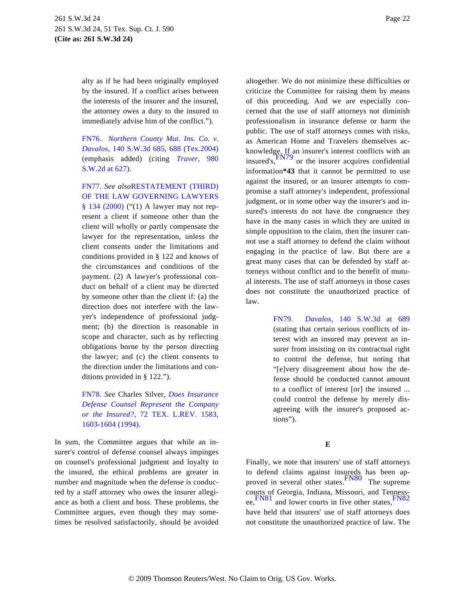alty as if he had been originally employed by the insured. If a conflict arises between the interests of the insurer and the insured, the attorney owes a duty to the insured to immediately advise him of the conflict.").

<span id="page-21-4"></span><span id="page-21-0"></span>[FN76.](#page-20-7) *[Northern County Mut. Ins. Co.](http://www.westlaw.com/Find/Default.wl?rs=dfa1.0&vr=2.0&DB=4644&FindType=Y&ReferencePositionType=S&SerialNum=2004657109&ReferencePosition=688) v. [Davalos,](http://www.westlaw.com/Find/Default.wl?rs=dfa1.0&vr=2.0&DB=4644&FindType=Y&ReferencePositionType=S&SerialNum=2004657109&ReferencePosition=688)* [140 S.W.3d 685, 688 \(Tex.2004](http://www.westlaw.com/Find/Default.wl?rs=dfa1.0&vr=2.0&DB=4644&FindType=Y&ReferencePositionType=S&SerialNum=2004657109&ReferencePosition=688)) (emphasis added) (citing *[Traver,](http://www.westlaw.com/Find/Default.wl?rs=dfa1.0&vr=2.0&DB=713&FindType=Y&ReferencePositionType=S&SerialNum=1999026778&ReferencePosition=627)* 980 [S.W.2d at 627\).](http://www.westlaw.com/Find/Default.wl?rs=dfa1.0&vr=2.0&DB=713&FindType=Y&ReferencePositionType=S&SerialNum=1999026778&ReferencePosition=627)

<span id="page-21-1"></span>[FN77.](#page-20-8) *See also*[RESTATEMENT \(THIRD\)](http://www.westlaw.com/Find/Default.wl?rs=dfa1.0&vr=2.0&DB=0106584&DocName=REST3DLGOVLs134&FindType=Y) [OF THE LAW GOVERNING LAWYERS](http://www.westlaw.com/Find/Default.wl?rs=dfa1.0&vr=2.0&DB=0106584&DocName=REST3DLGOVLs134&FindType=Y) [§ 134 \(2000](http://www.westlaw.com/Find/Default.wl?rs=dfa1.0&vr=2.0&DB=0106584&DocName=REST3DLGOVLs134&FindType=Y)) ("(1) A lawyer may not represent a client if someone other than the client will wholly or partly compensate the lawyer for the representation, unless the client consents under the limitations and conditions provided in § 122 and knows of the circumstances and conditions of the payment. (2) A lawyer's professional conduct on behalf of a client may be directed by someone other than the client if: (a) the direction does not interfere with the lawyer's independence of professional judgment; (b) the direction is reasonable in scope and character, such as by reflecting obligations borne by the person directing the lawyer; and (c) the client consents to the direction under the limitations and conditions provided in § 122.").

<span id="page-21-3"></span><span id="page-21-2"></span>[FN78.](#page-20-9) *See* Charles Silver, *[Does Insurance](http://www.westlaw.com/Find/Default.wl?rs=dfa1.0&vr=2.0&DB=1251&FindType=Y&ReferencePositionType=S&SerialNum=0105323620&ReferencePosition=1603) [Defense Counsel Represent the Compan](http://www.westlaw.com/Find/Default.wl?rs=dfa1.0&vr=2.0&DB=1251&FindType=Y&ReferencePositionType=S&SerialNum=0105323620&ReferencePosition=1603)y [or the Insured?](http://www.westlaw.com/Find/Default.wl?rs=dfa1.0&vr=2.0&DB=1251&FindType=Y&ReferencePositionType=S&SerialNum=0105323620&ReferencePosition=1603),* [72 TEX. L.REV. 158](http://www.westlaw.com/Find/Default.wl?rs=dfa1.0&vr=2.0&DB=1251&FindType=Y&ReferencePositionType=S&SerialNum=0105323620&ReferencePosition=1603)3, [1603-1604 \(1994\)](http://www.westlaw.com/Find/Default.wl?rs=dfa1.0&vr=2.0&DB=1251&FindType=Y&ReferencePositionType=S&SerialNum=0105323620&ReferencePosition=1603).

<span id="page-21-6"></span><span id="page-21-5"></span>In sum, the Committee argues that while an insurer's control of defense counsel always impinges on counsel's professional judgment and loyalty to the insured, the ethical problems are greater in number and magnitude when the defense is conducted by a staff attorney who owes the insurer allegiance as both a client and boss. These problems, the Committee argues, even though they may sometimes be resolved satisfactorily, should be avoided

altogether. We do not minimize these difficulties or criticize the Committee for raising them by means of this proceeding. And we are especially concerned that the use of staff attorneys not diminish professionalism in insurance defense or harm the public. The use of staff attorneys comes with risks, as American Home and Travelers themselves acknowledge. If an insurer's interest conflicts with an insured's, $\frac{f(N)}{9}$  or the insurer acquires confidential information**\*43** that it cannot be permitted to use against the insured, or an insurer attempts to compromise a staff attorney's independent, professional judgment, or in some other way the insurer's and insured's interests do not have the congruence they have in the many cases in which they are united in simple opposition to the claim, then the insurer cannot use a staff attorney to defend the claim without engaging in the practice of law. But there are a great many cases that can be defended by staff attorneys without conflict and to the benefit of mutual interests. The use of staff attorneys in those cases does not constitute the unauthorized practice of law.

> [FN79.](#page-21-4) *[Davalos](http://www.westlaw.com/Find/Default.wl?rs=dfa1.0&vr=2.0&DB=4644&FindType=Y&ReferencePositionType=S&SerialNum=2004657109&ReferencePosition=689),* [140 S.W.3d at](http://www.westlaw.com/Find/Default.wl?rs=dfa1.0&vr=2.0&DB=4644&FindType=Y&ReferencePositionType=S&SerialNum=2004657109&ReferencePosition=689) 689 (stating that certain serious conflicts of interest with an insured may prevent an insurer from insisting on its contractual right to control the defense, but noting that "[e]very disagreement about how the defense should be conducted cannot amount to a conflict of interest [or] the insured ... could control the defense by merely disagreeing with the insurer's proposed actions").

# **E**

Finally, we note that insurers' use of staff attorneys to defend claims against insureds has been ap-proved in several other states. [FN80](#page-22-0) The supreme courts of Georgia, Indiana, Missouri, and Tenness-ee, [FN81](#page-22-1) and lower courts in five other states, [FN82](#page-22-2) have held that insurers' use of staff attorneys does not constitute the unauthorized practice of law. The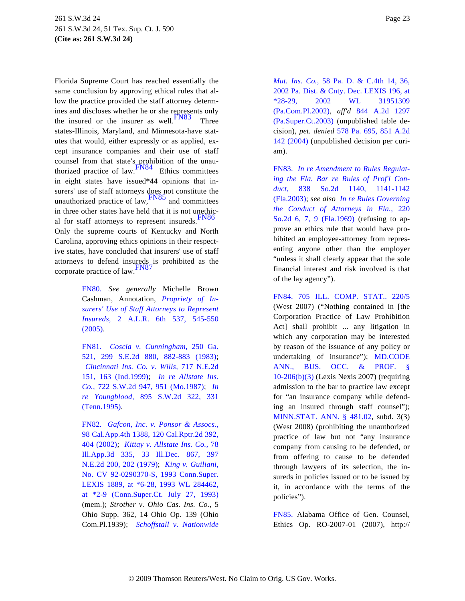<span id="page-22-7"></span><span id="page-22-6"></span><span id="page-22-3"></span>Florida Supreme Court has reached essentially the same conclusion by approving ethical rules that allow the practice provided the staff attorney determines and discloses whether he or she represents only the insured or the insurer as well. $\frac{FN83}{TN6}$  $\frac{FN83}{TN6}$  $\frac{FN83}{TN6}$  Three states-Illinois, Maryland, and Minnesota-have statutes that would, either expressly or as applied, except insurance companies and their use of staff counsel from that state's prohibition of the unauthorized practice of law.[FN84](#page-22-4) Ethics committees in eight states have issued**\*44** opinions that insurers' use of staff attorneys does not constitute the unauthorized practice of law,  $\frac{FN85}{FN85}$  $\frac{FN85}{FN85}$  $\frac{FN85}{FN85}$  and committees in three other states have held that it is not unethic-al for staff attorneys to represent insureds.<sup>[FN86](#page-23-1)</sup> Only the supreme courts of Kentucky and North Carolina, approving ethics opinions in their respective states, have concluded that insurers' use of staff attorneys to defend insureds is prohibited as the corporate practice of law. [FN87](#page-23-2)

> <span id="page-22-10"></span><span id="page-22-9"></span><span id="page-22-8"></span><span id="page-22-4"></span><span id="page-22-0"></span>[FN80.](#page-21-5) *See generally* Michelle Brown Cashman, Annotation, *[Propriety of I](http://www.westlaw.com/Find/Default.wl?rs=dfa1.0&vr=2.0&DB=7185&FindType=Y&ReferencePositionType=S&SerialNum=2006321023&ReferencePosition=545)n[surers' Use of Staff Attorneys to Represen](http://www.westlaw.com/Find/Default.wl?rs=dfa1.0&vr=2.0&DB=7185&FindType=Y&ReferencePositionType=S&SerialNum=2006321023&ReferencePosition=545)t [Insureds,](http://www.westlaw.com/Find/Default.wl?rs=dfa1.0&vr=2.0&DB=7185&FindType=Y&ReferencePositionType=S&SerialNum=2006321023&ReferencePosition=545)* [2 A.L.R. 6th 537, 5](http://www.westlaw.com/Find/Default.wl?rs=dfa1.0&vr=2.0&DB=7185&FindType=Y&ReferencePositionType=S&SerialNum=2006321023&ReferencePosition=545)45-550 [\(2005\).](http://www.westlaw.com/Find/Default.wl?rs=dfa1.0&vr=2.0&DB=7185&FindType=Y&ReferencePositionType=S&SerialNum=2006321023&ReferencePosition=545)

> <span id="page-22-1"></span>[FN81.](#page-21-6) *[Coscia v. Cunningham,](http://www.westlaw.com/Find/Default.wl?rs=dfa1.0&vr=2.0&DB=711&FindType=Y&ReferencePositionType=S&SerialNum=1983107023&ReferencePosition=882)* 250 Ga. [521, 299 S.E.2d 880, 882-883 \(](http://www.westlaw.com/Find/Default.wl?rs=dfa1.0&vr=2.0&DB=711&FindType=Y&ReferencePositionType=S&SerialNum=1983107023&ReferencePosition=882)1983); *[Cincinnati Ins. Co. v. Wil](http://www.westlaw.com/Find/Default.wl?rs=dfa1.0&vr=2.0&DB=578&FindType=Y&ReferencePositionType=S&SerialNum=1999226147&ReferencePosition=163)ls,* [717 N.E.2d](http://www.westlaw.com/Find/Default.wl?rs=dfa1.0&vr=2.0&DB=578&FindType=Y&ReferencePositionType=S&SerialNum=1999226147&ReferencePosition=163) [151, 163 \(Ind.1999](http://www.westlaw.com/Find/Default.wl?rs=dfa1.0&vr=2.0&DB=578&FindType=Y&ReferencePositionType=S&SerialNum=1999226147&ReferencePosition=163)); *[In re Allstate In](http://www.westlaw.com/Find/Default.wl?rs=dfa1.0&vr=2.0&DB=713&FindType=Y&ReferencePositionType=S&SerialNum=1987005868&ReferencePosition=951)s. [Co.,](http://www.westlaw.com/Find/Default.wl?rs=dfa1.0&vr=2.0&DB=713&FindType=Y&ReferencePositionType=S&SerialNum=1987005868&ReferencePosition=951)* [722 S.W.2d 947, 951 \(Mo.198](http://www.westlaw.com/Find/Default.wl?rs=dfa1.0&vr=2.0&DB=713&FindType=Y&ReferencePositionType=S&SerialNum=1987005868&ReferencePosition=951)7); *[In](http://www.westlaw.com/Find/Default.wl?rs=dfa1.0&vr=2.0&DB=713&FindType=Y&ReferencePositionType=S&SerialNum=1995067471&ReferencePosition=331) [re Youngbloo](http://www.westlaw.com/Find/Default.wl?rs=dfa1.0&vr=2.0&DB=713&FindType=Y&ReferencePositionType=S&SerialNum=1995067471&ReferencePosition=331)d,* [895 S.W.2d 322,](http://www.westlaw.com/Find/Default.wl?rs=dfa1.0&vr=2.0&DB=713&FindType=Y&ReferencePositionType=S&SerialNum=1995067471&ReferencePosition=331) 331 [\(Tenn.1995\)](http://www.westlaw.com/Find/Default.wl?rs=dfa1.0&vr=2.0&DB=713&FindType=Y&ReferencePositionType=S&SerialNum=1995067471&ReferencePosition=331).

> <span id="page-22-5"></span><span id="page-22-2"></span>[FN82.](#page-21-6) *[Gafcon, Inc. v. Ponsor & Assocs.](http://www.westlaw.com/Find/Default.wl?rs=dfa1.0&vr=2.0&DB=3484&FindType=Y&ReferencePositionType=S&SerialNum=2002350309&ReferencePosition=404),* [98 Cal.App.4th 1388, 120 Cal.Rptr.2d 392,](http://www.westlaw.com/Find/Default.wl?rs=dfa1.0&vr=2.0&DB=3484&FindType=Y&ReferencePositionType=S&SerialNum=2002350309&ReferencePosition=404) [404 \(2002\)](http://www.westlaw.com/Find/Default.wl?rs=dfa1.0&vr=2.0&DB=3484&FindType=Y&ReferencePositionType=S&SerialNum=2002350309&ReferencePosition=404); *[Kittay v. Allstate Ins. Co.,](http://www.westlaw.com/Find/Default.wl?rs=dfa1.0&vr=2.0&DB=578&FindType=Y&ReferencePositionType=S&SerialNum=1979136316&ReferencePosition=202)* 78 [Ill.App.3d 335, 33 Ill.Dec. 867](http://www.westlaw.com/Find/Default.wl?rs=dfa1.0&vr=2.0&DB=578&FindType=Y&ReferencePositionType=S&SerialNum=1979136316&ReferencePosition=202), 397 [N.E.2d 200, 202 \(1979](http://www.westlaw.com/Find/Default.wl?rs=dfa1.0&vr=2.0&DB=578&FindType=Y&ReferencePositionType=S&SerialNum=1979136316&ReferencePosition=202)); *[King v. Guiliani](http://www.westlaw.com/Find/Default.wl?rs=dfa1.0&vr=2.0&DB=0000999&FindType=Y&SerialNum=1993153366),* [No. CV 92-0290370-S, 1993 Conn.Super](http://www.westlaw.com/Find/Default.wl?rs=dfa1.0&vr=2.0&DB=0000999&FindType=Y&SerialNum=1993153366). [LEXIS 1889, at \\*6-28, 1993 WL 28446](http://www.westlaw.com/Find/Default.wl?rs=dfa1.0&vr=2.0&DB=0000999&FindType=Y&SerialNum=1993153366)2, [at \\*2-9 \(Conn.Super.Ct. July 27, 1](http://www.westlaw.com/Find/Default.wl?rs=dfa1.0&vr=2.0&DB=0000999&FindType=Y&SerialNum=1993153366)993) (mem.); *Strother v. Ohio Cas. Ins. Co.,* 5 Ohio Supp. 362, 14 Ohio Op. 139 (Ohio Com.Pl.1939); *Schoffstall v. Nationwide*

*[Mut. Ins. Co](http://www.westlaw.com/Find/Default.wl?rs=dfa1.0&vr=2.0&DB=1658&FindType=Y&ReferencePositionType=S&SerialNum=2003089817&ReferencePosition=36).,* [58 Pa. D. & C.4th 14, 3](http://www.westlaw.com/Find/Default.wl?rs=dfa1.0&vr=2.0&DB=1658&FindType=Y&ReferencePositionType=S&SerialNum=2003089817&ReferencePosition=36)6, [2002 Pa. Dist. & Cnty. Dec. LEXIS 196, at](http://www.westlaw.com/Find/Default.wl?rs=dfa1.0&vr=2.0&DB=1658&FindType=Y&ReferencePositionType=S&SerialNum=2003089817&ReferencePosition=36) [\\*28-29, 2002 WL](http://www.westlaw.com/Find/Default.wl?rs=dfa1.0&vr=2.0&DB=1658&FindType=Y&ReferencePositionType=S&SerialNum=2003089817&ReferencePosition=36) 31951309 [\(Pa.Com.Pl.2002\)](http://www.westlaw.com/Find/Default.wl?rs=dfa1.0&vr=2.0&DB=1658&FindType=Y&ReferencePositionType=S&SerialNum=2003089817&ReferencePosition=36), *aff'd* [844 A.2d 12](http://www.westlaw.com/Find/Default.wl?rs=dfa1.0&vr=2.0&DB=162&FindType=Y&SerialNum=2004313927)97 [\(Pa.Super.Ct.2003\)](http://www.westlaw.com/Find/Default.wl?rs=dfa1.0&vr=2.0&DB=162&FindType=Y&SerialNum=2004313927) (unpublished table decision), *pet. denied* [578 Pa. 695, 851 A.2d](http://www.westlaw.com/Find/Default.wl?rs=dfa1.0&vr=2.0&DB=162&FindType=Y&SerialNum=2004513874) [142 \(2004\)](http://www.westlaw.com/Find/Default.wl?rs=dfa1.0&vr=2.0&DB=162&FindType=Y&SerialNum=2004513874) (unpublished decision per curiam).

[FN83.](#page-22-6) *[In re Amendment to Rules Regulat](http://www.westlaw.com/Find/Default.wl?rs=dfa1.0&vr=2.0&DB=735&FindType=Y&ReferencePositionType=S&SerialNum=2003097521&ReferencePosition=1141)[ing the Fla. Bar re Rules of Prof'l C](http://www.westlaw.com/Find/Default.wl?rs=dfa1.0&vr=2.0&DB=735&FindType=Y&ReferencePositionType=S&SerialNum=2003097521&ReferencePosition=1141)on[duct,](http://www.westlaw.com/Find/Default.wl?rs=dfa1.0&vr=2.0&DB=735&FindType=Y&ReferencePositionType=S&SerialNum=2003097521&ReferencePosition=1141)* [838 So.2d 1140, 1](http://www.westlaw.com/Find/Default.wl?rs=dfa1.0&vr=2.0&DB=735&FindType=Y&ReferencePositionType=S&SerialNum=2003097521&ReferencePosition=1141)141-1142 [\(Fla.2003\)](http://www.westlaw.com/Find/Default.wl?rs=dfa1.0&vr=2.0&DB=735&FindType=Y&ReferencePositionType=S&SerialNum=2003097521&ReferencePosition=1141); *see also [In re Rules Governing](http://www.westlaw.com/Find/Default.wl?rs=dfa1.0&vr=2.0&DB=735&FindType=Y&ReferencePositionType=S&SerialNum=1969202229&ReferencePosition=7) [the Conduct of Attorneys in Fla.,](http://www.westlaw.com/Find/Default.wl?rs=dfa1.0&vr=2.0&DB=735&FindType=Y&ReferencePositionType=S&SerialNum=1969202229&ReferencePosition=7)* 220 [So.2d 6, 7, 9 \(Fla.196](http://www.westlaw.com/Find/Default.wl?rs=dfa1.0&vr=2.0&DB=735&FindType=Y&ReferencePositionType=S&SerialNum=1969202229&ReferencePosition=7)9) (refusing to approve an ethics rule that would have prohibited an employee-attorney from representing anyone other than the employer "unless it shall clearly appear that the sole financial interest and risk involved is that of the lay agency").

[FN84.](#page-22-7) [705 ILL. COMP. STAT.. 2](http://www.westlaw.com/Find/Default.wl?rs=dfa1.0&vr=2.0&DB=1000008&DocName=ILSTCH705S220%2F5&FindType=L)20/5 (West 2007) ("Nothing contained in [the Corporation Practice of Law Prohibition Act] shall prohibit ... any litigation in which any corporation may be interested by reason of the issuance of any policy or undertaking of insurance"); [MD.CODE](http://www.westlaw.com/Find/Default.wl?rs=dfa1.0&vr=2.0&DB=1000648&DocName=MDBOPS10-206&FindType=L) [ANN., BUS. OCC. &](http://www.westlaw.com/Find/Default.wl?rs=dfa1.0&vr=2.0&DB=1000648&DocName=MDBOPS10-206&FindType=L) PROF. § [10-206\(b\)\(3\)](http://www.westlaw.com/Find/Default.wl?rs=dfa1.0&vr=2.0&DB=1000648&DocName=MDBOPS10-206&FindType=L) (Lexis Nexis 2007) (requiring admission to the bar to practice law except for "an insurance company while defending an insured through staff counsel"); [MINN.STAT. ANN. § 481.0](http://www.westlaw.com/Find/Default.wl?rs=dfa1.0&vr=2.0&DB=1000044&DocName=MNSTS481.02&FindType=L)2, subd. 3(3) (West 2008) (prohibiting the unauthorized practice of law but not "any insurance company from causing to be defended, or from offering to cause to be defended through lawyers of its selection, the insureds in policies issued or to be issued by it, in accordance with the terms of the policies").

[FN85.](#page-22-8) Alabama Office of Gen. Counsel, Ethics Op. RO-2007-01 (2007), http://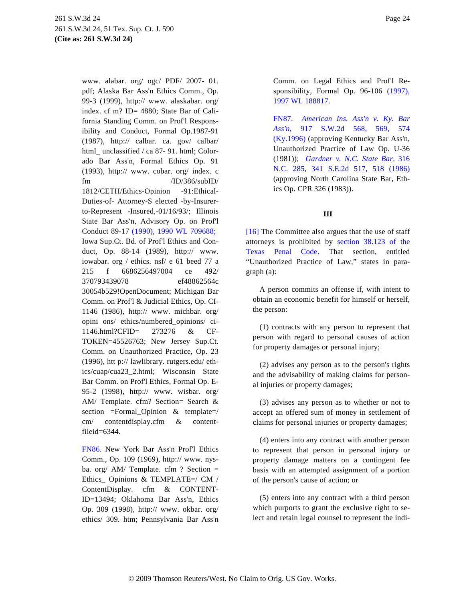<span id="page-23-2"></span><span id="page-23-0"></span>www. alabar. org/ ogc/ PDF/ 2007- 01. pdf; Alaska Bar Ass'n Ethics Comm., Op. 99-3 (1999), http:// www. alaskabar. org/ index. cf m? ID= 4880; State Bar of California Standing Comm. on Prof'l Responsibility and Conduct, Formal Op.1987-91 (1987), http:// calbar. ca. gov/ calbar/ html unclassified / ca 87- 91. html; Colorado Bar Ass'n, Formal Ethics Op. 91 (1993), http:// www. cobar. org/ index. c fm /ID/386/subID/ 1812/CETH/Ethics-Opinion -91:Ethical-Duties-of- Attorney-S elected -by-Insurerto-Represent -Insured,-01/16/93/; Illinois State Bar Ass'n, Advisory Op. on Prof'l Conduct 89-17 [\(1990\), 1990 WL 709688](http://www.westlaw.com/Find/Default.wl?rs=dfa1.0&vr=2.0&DB=999&FindType=Y&SerialNum=0108179673); Iowa Sup.Ct. Bd. of Prof'l Ethics and Conduct, Op. 88-14 (1989), http:// www. iowabar. org / ethics. nsf/ e 61 beed 77 a 215 f 6686256497004 ce 492/ 370793439078 ef48862564c 30054b529!OpenDocument; Michigan Bar Comm. on Prof'l & Judicial Ethics, Op. CI-1146 (1986), http:// www. michbar. org/ opini ons/ ethics/numbered\_opinions/ ci-1146.html?CFID= 273276 & CF-TOKEN=45526763; New Jersey Sup.Ct. Comm. on Unauthorized Practice, Op. 23 (1996), htt p:// lawlibrary. rutgers.edu/ ethics/cuap/cua23\_2.html; Wisconsin State Bar Comm. on Prof'l Ethics, Formal Op. E-95-2 (1998), http:// www. wisbar. org/ AM/ Template. cfm? Section= Search & section =Formal\_Opinion & template=/ cm/ contentdisplay.cfm & contentfileid=6344.

<span id="page-23-1"></span>[FN86.](#page-22-9) New York Bar Ass'n Prof'l Ethics Comm., Op. 109 (1969), http:// www. nysba. org/ AM/ Template. cfm ? Section = Ethics\_ Opinions & TEMPLATE=/ CM / ContentDisplay. cfm & CONTENT-ID=13494; Oklahoma Bar Ass'n, Ethics Op. 309 (1998), http:// www. okbar. org/ ethics/ 309. htm; Pennsylvania Bar Ass'n Comm. on Legal Ethics and Prof'l Responsibility, Formal Op. 96-106 [\(1997\),](http://www.westlaw.com/Find/Default.wl?rs=dfa1.0&vr=2.0&DB=999&FindType=Y&SerialNum=0107600655) [1997 WL 188817](http://www.westlaw.com/Find/Default.wl?rs=dfa1.0&vr=2.0&DB=999&FindType=Y&SerialNum=0107600655).

[FN87.](#page-22-10) *[American Ins. Ass'n v. Ky.](http://www.westlaw.com/Find/Default.wl?rs=dfa1.0&vr=2.0&DB=713&FindType=Y&ReferencePositionType=S&SerialNum=1996077235&ReferencePosition=569) Bar [Ass'n,](http://www.westlaw.com/Find/Default.wl?rs=dfa1.0&vr=2.0&DB=713&FindType=Y&ReferencePositionType=S&SerialNum=1996077235&ReferencePosition=569)* [917 S.W.2d 568, 5](http://www.westlaw.com/Find/Default.wl?rs=dfa1.0&vr=2.0&DB=713&FindType=Y&ReferencePositionType=S&SerialNum=1996077235&ReferencePosition=569)69, 574 [\(Ky.1996\)](http://www.westlaw.com/Find/Default.wl?rs=dfa1.0&vr=2.0&DB=713&FindType=Y&ReferencePositionType=S&SerialNum=1996077235&ReferencePosition=569) (approving Kentucky Bar Ass'n, Unauthorized Practice of Law Op. U-36 (1981)); *[Gardner v. N.C. State Bar,](http://www.westlaw.com/Find/Default.wl?rs=dfa1.0&vr=2.0&DB=711&FindType=Y&ReferencePositionType=S&SerialNum=1986118164&ReferencePosition=518)* 316 [N.C. 285, 341 S.E.2d 517, 518 \(](http://www.westlaw.com/Find/Default.wl?rs=dfa1.0&vr=2.0&DB=711&FindType=Y&ReferencePositionType=S&SerialNum=1986118164&ReferencePosition=518)1986) (approving North Carolina State Bar, Ethics Op. CPR 326 (1983)).

### **III**

[\[16\]](#page-4-1) The Committee also argues that the use of staff attorneys is prohibited by [section 38.123 of th](http://www.westlaw.com/Find/Default.wl?rs=dfa1.0&vr=2.0&DB=1000182&DocName=TXPES38.123&FindType=L)e [Texas Penal](http://www.westlaw.com/Find/Default.wl?rs=dfa1.0&vr=2.0&DB=1000182&DocName=TXPES38.123&FindType=L) Code. That section, entitled "Unauthorized Practice of Law," states in paragraph (a):

A person commits an offense if, with intent to obtain an economic benefit for himself or herself, the person:

(1) contracts with any person to represent that person with regard to personal causes of action for property damages or personal injury;

(2) advises any person as to the person's rights and the advisability of making claims for personal injuries or property damages;

(3) advises any person as to whether or not to accept an offered sum of money in settlement of claims for personal injuries or property damages;

(4) enters into any contract with another person to represent that person in personal injury or property damage matters on a contingent fee basis with an attempted assignment of a portion of the person's cause of action; or

(5) enters into any contract with a third person which purports to grant the exclusive right to select and retain legal counsel to represent the indi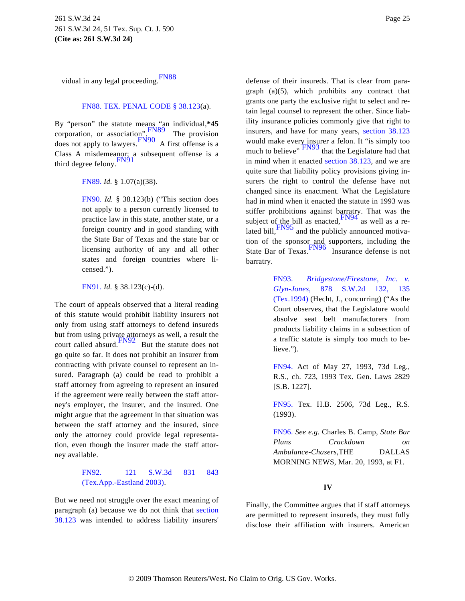<span id="page-24-1"></span>vidual in any legal proceeding. [FN88](#page-24-0)

### [FN88.](#page-24-1) [TEX. PENAL CODE § 38.123](http://www.westlaw.com/Find/Default.wl?rs=dfa1.0&vr=2.0&DB=1000182&DocName=TXPES38.123&FindType=L)(a).

<span id="page-24-14"></span><span id="page-24-7"></span><span id="page-24-6"></span><span id="page-24-5"></span><span id="page-24-0"></span>By "person" the statute means "an individual,\*45<br>corporation, or association,  $\frac{FN89}{TN89}$  $\frac{FN89}{TN89}$  $\frac{FN89}{TN89}$  The provision does not apply to lawyers.[FN90](#page-24-3) A first offense is a Class A misdemeanor; a subsequent offense is a third degree felony. [FN91](#page-24-4)

<span id="page-24-2"></span>[FN89.](#page-24-5) *Id.* § 1.07(a)(38).

<span id="page-24-16"></span><span id="page-24-15"></span><span id="page-24-3"></span>[FN90.](#page-24-6) *Id.* § 38.123(b) ("This section does not apply to a person currently licensed to practice law in this state, another state, or a foreign country and in good standing with the State Bar of Texas and the state bar or licensing authority of any and all other states and foreign countries where licensed.").

<span id="page-24-17"></span>[FN91.](#page-24-7) *Id.* § 38.123(c)-(d).

<span id="page-24-11"></span><span id="page-24-10"></span><span id="page-24-9"></span><span id="page-24-4"></span>The court of appeals observed that a literal reading of this statute would prohibit liability insurers not only from using staff attorneys to defend insureds but from using private attorneys as well, a result the court called absurd. $\frac{FN92}{FN92}$  $\frac{FN92}{FN92}$  $\frac{FN92}{FN92}$  But the statute does not go quite so far. It does not prohibit an insurer from contracting with private counsel to represent an insured. Paragraph (a) could be read to prohibit a staff attorney from agreeing to represent an insured if the agreement were really between the staff attorney's employer, the insurer, and the insured. One might argue that the agreement in that situation was between the staff attorney and the insured, since only the attorney could provide legal representation, even though the insurer made the staff attorney available.

# <span id="page-24-13"></span><span id="page-24-12"></span><span id="page-24-8"></span>[FN92.](#page-24-9) [121 S.W.3d 83](http://www.westlaw.com/Find/Default.wl?rs=dfa1.0&vr=2.0&DB=4644&FindType=Y&ReferencePositionType=S&SerialNum=2003761076&ReferencePosition=843)1 843 [\(Tex.App.-Eastland 2003\)](http://www.westlaw.com/Find/Default.wl?rs=dfa1.0&vr=2.0&DB=4644&FindType=Y&ReferencePositionType=S&SerialNum=2003761076&ReferencePosition=843).

But we need not struggle over the exact meaning of paragraph (a) because we do not think that [section](http://www.westlaw.com/Find/Default.wl?rs=dfa1.0&vr=2.0&DB=1000182&DocName=TXPES38.123&FindType=L) [38.123](http://www.westlaw.com/Find/Default.wl?rs=dfa1.0&vr=2.0&DB=1000182&DocName=TXPES38.123&FindType=L) was intended to address liability insurers'

defense of their insureds. That is clear from paragraph (a)(5), which prohibits any contract that grants one party the exclusive right to select and retain legal counsel to represent the other. Since liability insurance policies commonly give that right to insurers, and have for many years, [section 38.123](http://www.westlaw.com/Find/Default.wl?rs=dfa1.0&vr=2.0&DB=1000182&DocName=TXPES38.123&FindType=L) would make every insurer a felon. It "is simply too much to believe"  $\frac{FN93}{FN93}$  $\frac{FN93}{FN93}$  $\frac{FN93}{FN93}$  that the Legislature had that in mind when it enacted [section 38.123](http://www.westlaw.com/Find/Default.wl?rs=dfa1.0&vr=2.0&DB=1000182&DocName=TXPES38.123&FindType=L), and we are quite sure that liability policy provisions giving insurers the right to control the defense have not changed since its enactment. What the Legislature had in mind when it enacted the statute in 1993 was stiffer prohibitions against barratry. That was the subject of the bill as enacted,  $\frac{FN94}{}$  $\frac{FN94}{}$  $\frac{FN94}{}$  as well as a re-lated bill, [FN95](#page-24-12) and the publicly announced motivation of the sponsor and supporters, including the State Bar of Texas. [FN96](#page-24-13) Insurance defense is not barratry.

> [FN93.](#page-24-14) *[Bridgestone/Firestone, Inc.](http://www.westlaw.com/Find/Default.wl?rs=dfa1.0&vr=2.0&DB=713&FindType=Y&ReferencePositionType=S&SerialNum=1994131569&ReferencePosition=135) v. [Glyn-Jones,](http://www.westlaw.com/Find/Default.wl?rs=dfa1.0&vr=2.0&DB=713&FindType=Y&ReferencePositionType=S&SerialNum=1994131569&ReferencePosition=135)* [878 S.W.2d 13](http://www.westlaw.com/Find/Default.wl?rs=dfa1.0&vr=2.0&DB=713&FindType=Y&ReferencePositionType=S&SerialNum=1994131569&ReferencePosition=135)2, 135 [\(Tex.1994\)](http://www.westlaw.com/Find/Default.wl?rs=dfa1.0&vr=2.0&DB=713&FindType=Y&ReferencePositionType=S&SerialNum=1994131569&ReferencePosition=135) (Hecht, J., concurring) ("As the Court observes, that the Legislature would absolve seat belt manufacturers from products liability claims in a subsection of a traffic statute is simply too much to believe.").

> [FN94.](#page-24-15) Act of May 27, 1993, 73d Leg., R.S., ch. 723, 1993 Tex. Gen. Laws 2829 [S.B. 1227].

> [FN95.](#page-24-16) Tex. H.B. 2506, 73d Leg., R.S. (1993).

> [FN96.](#page-24-17) *See e.g.* Charles B. Camp, *State Bar Plans Crackdown on Ambulance-Chasers,*THE DALLAS MORNING NEWS, Mar. 20, 1993, at F1.

# **IV**

Finally, the Committee argues that if staff attorneys are permitted to represent insureds, they must fully disclose their affiliation with insurers. American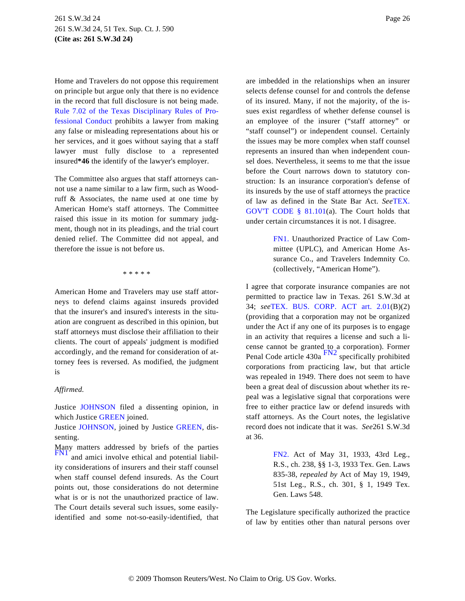Home and Travelers do not oppose this requirement on principle but argue only that there is no evidence in the record that full disclosure is not being made. [Rule 7.02 of the Texas Disciplinary Rules of Pr](http://www.westlaw.com/Find/Default.wl?rs=dfa1.0&vr=2.0&DB=1000301&DocName=TXSTRPCR7.02&FindType=L)o[fessional Conduc](http://www.westlaw.com/Find/Default.wl?rs=dfa1.0&vr=2.0&DB=1000301&DocName=TXSTRPCR7.02&FindType=L)t prohibits a lawyer from making any false or misleading representations about his or her services, and it goes without saying that a staff lawyer must fully disclose to a represented insured**\*46** the identify of the lawyer's employer.

<span id="page-25-0"></span>The Committee also argues that staff attorneys cannot use a name similar to a law firm, such as Woodruff & Associates, the name used at one time by American Home's staff attorneys. The Committee raised this issue in its motion for summary judgment, though not in its pleadings, and the trial court denied relief. The Committee did not appeal, and therefore the issue is not before us.

\* \* \* \* \*

American Home and Travelers may use staff attorneys to defend claims against insureds provided that the insurer's and insured's interests in the situation are congruent as described in this opinion, but staff attorneys must disclose their affiliation to their clients. The court of appeals' judgment is modified accordingly, and the remand for consideration of attorney fees is reversed. As modified, the judgment is

### <span id="page-25-3"></span>*Affirmed.*

Justice [JOHNSON](http://www.westlaw.com/Find/Default.wl?rs=dfa1.0&vr=2.0&DB=PROFILER-WLD&DocName=0159466701&FindType=h) filed a dissenting opinion, in which Justice [GREEN](http://www.westlaw.com/Find/Default.wl?rs=dfa1.0&vr=2.0&DB=PROFILER-WLD&DocName=0152655101&FindType=h) joined.

Justice [JOHNSON](http://www.westlaw.com/Find/Default.wl?rs=dfa1.0&vr=2.0&DB=PROFILER-WLD&DocName=0159466701&FindType=h), joined by Justice [GREEN](http://www.westlaw.com/Find/Default.wl?rs=dfa1.0&vr=2.0&DB=PROFILER-WLD&DocName=0152655101&FindType=h), dissenting.

<span id="page-25-2"></span><span id="page-25-1"></span>Many matters addressed by briefs of the parties<br> [FN1](#page-25-0) and amici involve ethical and potential liability considerations of insurers and their staff counsel when staff counsel defend insureds. As the Court points out, those considerations do not determine what is or is not the unauthorized practice of law. The Court details several such issues, some easilyidentified and some not-so-easily-identified, that are imbedded in the relationships when an insurer selects defense counsel for and controls the defense of its insured. Many, if not the majority, of the issues exist regardless of whether defense counsel is an employee of the insurer ("staff attorney" or "staff counsel") or independent counsel. Certainly the issues may be more complex when staff counsel represents an insured than when independent counsel does. Nevertheless, it seems to me that the issue before the Court narrows down to statutory construction: Is an insurance corporation's defense of its insureds by the use of staff attorneys the practice of law as defined in the State Bar Act. *See*[TEX.](http://www.westlaw.com/Find/Default.wl?rs=dfa1.0&vr=2.0&DB=1000176&DocName=TXGTS81.101&FindType=L) [GOV'T CODE § 81.10](http://www.westlaw.com/Find/Default.wl?rs=dfa1.0&vr=2.0&DB=1000176&DocName=TXGTS81.101&FindType=L)1(a). The Court holds that under certain circumstances it is not. I disagree.

> [FN1.](#page-25-1) Unauthorized Practice of Law Committee (UPLC), and American Home Assurance Co., and Travelers Indemnity Co. (collectively, "American Home").

I agree that corporate insurance companies are not permitted to practice law in Texas. 261 S.W.3d at 34; *see*[TEX. BUS. CORP. ACT art.](http://www.westlaw.com/Find/Default.wl?rs=dfa1.0&vr=2.0&DB=1000169&DocName=TXBCAART2.01&FindType=L) 2.01(B)(2) (providing that a corporation may not be organized under the Act if any one of its purposes is to engage in an activity that requires a license and such a license cannot be granted to a corporation). Former Penal Code article  $430a$  FN<sup>2</sup> specifically prohibited corporations from practicing law, but that article was repealed in 1949. There does not seem to have been a great deal of discussion about whether its repeal was a legislative signal that corporations were free to either practice law or defend insureds with staff attorneys. As the Court notes, the legislative record does not indicate that it was. *See*261 S.W.3d at 36.

> [FN2.](#page-25-3) Act of May 31, 1933, 43rd Leg., R.S., ch. 238, §§ 1-3, 1933 Tex. Gen. Laws 835-38, *repealed by* Act of May 19, 1949, 51st Leg., R.S., ch. 301, § 1, 1949 Tex. Gen. Laws 548.

The Legislature specifically authorized the practice of law by entities other than natural persons over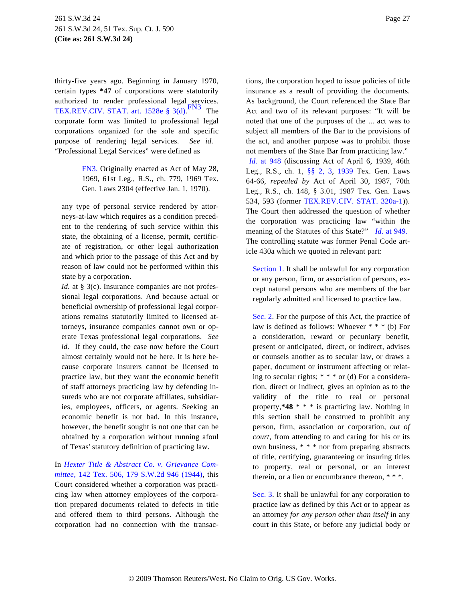<span id="page-26-1"></span>thirty-five years ago. Beginning in January 1970, certain types **\*47** of corporations were statutorily authorized to render professional legal services. [TEX.REV.CIV. STAT. art. 1528e § 3\(d](http://www.westlaw.com/Find/Default.wl?rs=dfa1.0&vr=2.0&DB=1000188&DocName=TXCSART1528E&FindType=L)).  $\overline{\phantom{a}}$  The corporate form was limited to professional legal corporations organized for the sole and specific purpose of rendering legal services. *See id.* "Professional Legal Services" were defined as

> <span id="page-26-0"></span>[FN3.](#page-26-1) Originally enacted as Act of May 28, 1969, 61st Leg., R.S., ch. 779, 1969 Tex. Gen. Laws 2304 (effective Jan. 1, 1970).

any type of personal service rendered by attorneys-at-law which requires as a condition precedent to the rendering of such service within this state, the obtaining of a license, permit, certificate of registration, or other legal authorization and which prior to the passage of this Act and by reason of law could not be performed within this state by a corporation.

*Id.* at § 3(c). Insurance companies are not professional legal corporations. And because actual or beneficial ownership of professional legal corporations remains statutorily limited to licensed attorneys, insurance companies cannot own or operate Texas professional legal corporations. *See id.* If they could, the case now before the Court almost certainly would not be here. It is here because corporate insurers cannot be licensed to practice law, but they want the economic benefit of staff attorneys practicing law by defending insureds who are not corporate affiliates, subsidiaries, employees, officers, or agents. Seeking an economic benefit is not bad. In this instance, however, the benefit sought is not one that can be obtained by a corporation without running afoul of Texas' statutory definition of practicing law.

In *[Hexter Title & Abstract Co. v. Grievance Com](http://www.westlaw.com/Find/Default.wl?rs=dfa1.0&vr=2.0&DB=713&FindType=Y&SerialNum=1944102070)[mittee,](http://www.westlaw.com/Find/Default.wl?rs=dfa1.0&vr=2.0&DB=713&FindType=Y&SerialNum=1944102070)* [142 Tex. 506, 179 S.W.2d 946 \(194](http://www.westlaw.com/Find/Default.wl?rs=dfa1.0&vr=2.0&DB=713&FindType=Y&SerialNum=1944102070)4), this Court considered whether a corporation was practicing law when attorney employees of the corporation prepared documents related to defects in title and offered them to third persons. Although the corporation had no connection with the transactions, the corporation hoped to issue policies of title insurance as a result of providing the documents. As background, the Court referenced the State Bar Act and two of its relevant purposes: "It will be noted that one of the purposes of the ... act was to subject all members of the Bar to the provisions of the act, and another purpose was to prohibit those not members of the State Bar from practicing law."

*[Id.](http://www.westlaw.com/Find/Default.wl?rs=dfa1.0&vr=2.0&FindType=Y&SerialNum=1944102070)* [at 94](http://www.westlaw.com/Find/Default.wl?rs=dfa1.0&vr=2.0&FindType=Y&SerialNum=1944102070)8 (discussing Act of April 6, 1939, 46th Leg., R.S., ch. 1, [§§ 2,](http://www.westlaw.com/Find/Default.wl?rs=dfa1.0&vr=2.0&DB=1000188&DocName=TXCSART1528E&FindType=L) 3, [1939](http://www.westlaw.com/Find/Default.wl?rs=dfa1.0&vr=2.0&DB=1000188&DocName=TXCSART1939&FindType=L) Tex. Gen. Laws 64-66, *repealed by* Act of April 30, 1987, 70th Leg., R.S., ch. 148, § 3.01, 1987 Tex. Gen. Laws 534, 593 (former [TEX.REV.CIV. STAT. 320a-1](http://www.westlaw.com/Find/Default.wl?rs=dfa1.0&vr=2.0&DB=1000188&DocName=TXCSART320A-1&FindType=L))). The Court then addressed the question of whether the corporation was practicing law "within the meaning of the Statutes of this State?" *[Id.](http://www.westlaw.com/Find/Default.wl?rs=dfa1.0&vr=2.0&FindType=Y&SerialNum=1944102070)* [at 949](http://www.westlaw.com/Find/Default.wl?rs=dfa1.0&vr=2.0&FindType=Y&SerialNum=1944102070). The controlling statute was former Penal Code article 430a which we quoted in relevant part:

[Section 1](http://www.westlaw.com/Find/Default.wl?rs=dfa1.0&vr=2.0&DB=1000301&DocName=TXCNART2S1&FindType=L). It shall be unlawful for any corporation or any person, firm, or association of persons, except natural persons who are members of the bar regularly admitted and licensed to practice law.

[Sec. 2](http://www.westlaw.com/Find/Default.wl?rs=dfa1.0&vr=2.0&DB=1000188&DocName=TXCSART1528E&FindType=L). For the purpose of this Act, the practice of law is defined as follows: Whoever \* \* \* (b) For a consideration, reward or pecuniary benefit, present or anticipated, direct, or indirect, advises or counsels another as to secular law, or draws a paper, document or instrument affecting or relating to secular rights; \* \* \* or (d) For a consideration, direct or indirect, gives an opinion as to the validity of the title to real or personal property,**\*48** \* \* \* is practicing law. Nothing in this section shall be construed to prohibit any person, firm, association or corporation, *out of court,* from attending to and caring for his or its own business, \* \* \* nor from preparing abstracts of title, certifying, guaranteeing or insuring titles to property, real or personal, or an interest therein, or a lien or encumbrance thereon, \* \* \*.

[Sec. 3](http://www.westlaw.com/Find/Default.wl?rs=dfa1.0&vr=2.0&DB=1000188&DocName=TXCSART1528E&FindType=L). It shall be unlawful for any corporation to practice law as defined by this Act or to appear as an attorney *for any person other than itself* in any court in this State, or before any judicial body or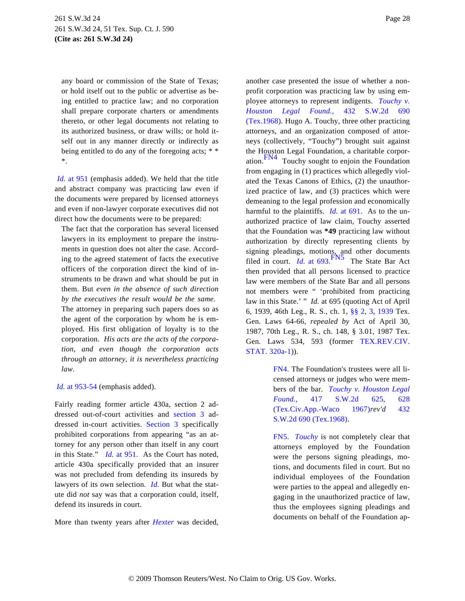any board or commission of the State of Texas; or hold itself out to the public or advertise as being entitled to practice law; and no corporation shall prepare corporate charters or amendments thereto, or other legal documents not relating to its authorized business, or draw wills; or hold itself out in any manner directly or indirectly as being entitled to do any of the foregoing acts; \* \* \*.

<span id="page-27-2"></span>*[Id.](http://www.westlaw.com/Find/Default.wl?rs=dfa1.0&vr=2.0&FindType=Y&SerialNum=1944102070)* [at 951](http://www.westlaw.com/Find/Default.wl?rs=dfa1.0&vr=2.0&FindType=Y&SerialNum=1944102070) (emphasis added). We held that the title and abstract company was practicing law even if the documents were prepared by licensed attorneys and even if non-lawyer corporate executives did not direct how the documents were to be prepared:

<span id="page-27-3"></span>The fact that the corporation has several licensed lawyers in its employment to prepare the instruments in question does not alter the case. According to the agreed statement of facts the executive officers of the corporation direct the kind of instruments to be drawn and what should be put in them. But *even in the absence of such direction by the executives the result would be the same.* The attorney in preparing such papers does so as the agent of the corporation by whom he is employed. His first obligation of loyalty is to the corporation. *His acts are the acts of the corporation, and even though the corporation acts through an attorney, it is nevertheless practicing law.*

<span id="page-27-0"></span>*[Id.](http://www.westlaw.com/Find/Default.wl?rs=dfa1.0&vr=2.0&FindType=Y&SerialNum=1944102070)* [at 953-54](http://www.westlaw.com/Find/Default.wl?rs=dfa1.0&vr=2.0&FindType=Y&SerialNum=1944102070) (emphasis added).

<span id="page-27-1"></span>Fairly reading former article 430a, section 2 addressed out-of-court activities and [section](http://www.westlaw.com/Find/Default.wl?rs=dfa1.0&vr=2.0&DB=1000188&DocName=TXCSART1528E&FindType=L) 3 addressed in-court activities. [Section](http://www.westlaw.com/Find/Default.wl?rs=dfa1.0&vr=2.0&DB=1000188&DocName=TXCSART1528E&FindType=L) 3 specifically prohibited corporations from appearing "as an attorney for any person other than itself in any court in this State." *[Id.](http://www.westlaw.com/Find/Default.wl?rs=dfa1.0&vr=2.0&FindType=Y&SerialNum=1944102070)* [at 951](http://www.westlaw.com/Find/Default.wl?rs=dfa1.0&vr=2.0&FindType=Y&SerialNum=1944102070). As the Court has noted, article 430a specifically provided that an insurer was not precluded from defending its insureds by lawyers of its own selection. *[Id](http://www.westlaw.com/Find/Default.wl?rs=dfa1.0&vr=2.0&FindType=Y&SerialNum=1944102070).* But what the statute did *not* say was that a corporation could, itself, defend its insureds in court.

More than twenty years after *[Hexter](http://www.westlaw.com/Find/Default.wl?rs=dfa1.0&vr=2.0&FindType=Y&SerialNum=1944102070)* was decided,

another case presented the issue of whether a nonprofit corporation was practicing law by using employee attorneys to represent indigents. *[Touchy v.](http://www.westlaw.com/Find/Default.wl?rs=dfa1.0&vr=2.0&DB=713&FindType=Y&SerialNum=1968135450) [Houston Legal Fo](http://www.westlaw.com/Find/Default.wl?rs=dfa1.0&vr=2.0&DB=713&FindType=Y&SerialNum=1968135450)und.,* [432 S.W.2d 690](http://www.westlaw.com/Find/Default.wl?rs=dfa1.0&vr=2.0&DB=713&FindType=Y&SerialNum=1968135450) (Tex.1968). Hugo A. Touchy, three other practicing attorneys, and an organization composed of attorneys (collectively, "Touchy") brought suit against the Houston Legal Foundation, a charitable corpor-ation.<sup>[FN4](#page-27-0)</sup> Touchy sought to enjoin the Foundation from engaging in (1) practices which allegedly violated the Texas Canons of Ethics, (2) the unauthorized practice of law, and (3) practices which were demeaning to the legal profession and economically harmful to the plaintiffs. *[Id.](http://www.westlaw.com/Find/Default.wl?rs=dfa1.0&vr=2.0&FindType=Y&SerialNum=1968135450)* [at 691](http://www.westlaw.com/Find/Default.wl?rs=dfa1.0&vr=2.0&FindType=Y&SerialNum=1968135450). As to the unauthorized practice of law claim, Touchy asserted that the Foundation was **\*49** practicing law without authorization by directly representing clients by signing pleadings, motions, and other documents<br>filed in court. *[Id](http://www.westlaw.com/Find/Default.wl?rs=dfa1.0&vr=2.0&FindType=Y&SerialNum=1968135450).* [at 693](http://www.westlaw.com/Find/Default.wl?rs=dfa1.0&vr=2.0&FindType=Y&SerialNum=1968135450). The State Bar Act then provided that all persons licensed to practice law were members of the State Bar and all persons not members were " 'prohibited from practicing law in this State.' " *Id.* at 695 (quoting Act of April 6, 1939, 46th Leg., R. S., ch. 1, [§§ 2, 3](http://www.westlaw.com/Find/Default.wl?rs=dfa1.0&vr=2.0&DB=1000188&DocName=TXCSART1528E&FindType=L), [1939](http://www.westlaw.com/Find/Default.wl?rs=dfa1.0&vr=2.0&DB=1000188&DocName=TXCSART1939&FindType=L) Tex. Gen. Laws 64-66, *repealed by* Act of April 30, 1987, 70th Leg., R. S., ch. 148, § 3.01, 1987 Tex. Gen. Laws 534, 593 (former [TEX.REV.CIV.](http://www.westlaw.com/Find/Default.wl?rs=dfa1.0&vr=2.0&DB=1000188&DocName=TXCSART320A-1&FindType=L) [STAT. 320a-1](http://www.westlaw.com/Find/Default.wl?rs=dfa1.0&vr=2.0&DB=1000188&DocName=TXCSART320A-1&FindType=L))).

> [FN4.](#page-27-2) The Foundation's trustees were all licensed attorneys or judges who were members of the bar. *[Touchy v. Houston Lega](http://www.westlaw.com/Find/Default.wl?rs=dfa1.0&vr=2.0&DB=713&FindType=Y&ReferencePositionType=S&SerialNum=1967133073&ReferencePosition=628)l [Found.,](http://www.westlaw.com/Find/Default.wl?rs=dfa1.0&vr=2.0&DB=713&FindType=Y&ReferencePositionType=S&SerialNum=1967133073&ReferencePosition=628)* [417 S.W.2d](http://www.westlaw.com/Find/Default.wl?rs=dfa1.0&vr=2.0&DB=713&FindType=Y&ReferencePositionType=S&SerialNum=1967133073&ReferencePosition=628) 625, 628 [\(Tex.Civ.App.-Waco 1](http://www.westlaw.com/Find/Default.wl?rs=dfa1.0&vr=2.0&DB=713&FindType=Y&ReferencePositionType=S&SerialNum=1967133073&ReferencePosition=628)[967\)](http://www.westlaw.com/Find/Default.wl?rs=dfa1.0&vr=2.0&DB=713&FindType=Y&SerialNum=1968135450)*rev'd* 432 [S.W.2d 690 \(Tex.1968\)](http://www.westlaw.com/Find/Default.wl?rs=dfa1.0&vr=2.0&DB=713&FindType=Y&SerialNum=1968135450).

> [FN5.](#page-27-3) *[Touchy](http://www.westlaw.com/Find/Default.wl?rs=dfa1.0&vr=2.0&FindType=Y&SerialNum=1967133073)* is not completely clear that attorneys employed by the Foundation were the persons signing pleadings, motions, and documents filed in court. But no individual employees of the Foundation were parties to the appeal and allegedly engaging in the unauthorized practice of law, thus the employees signing pleadings and documents on behalf of the Foundation ap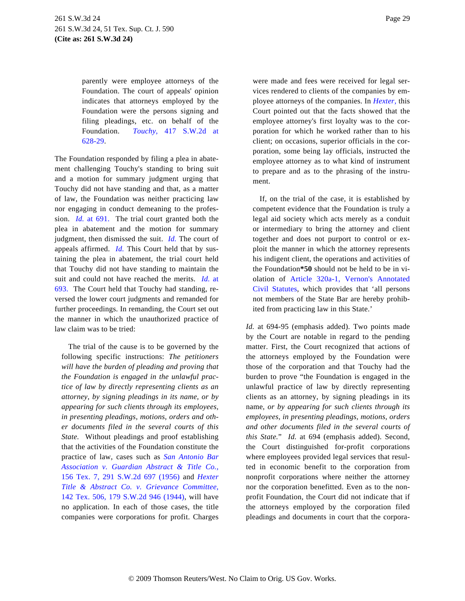parently were employee attorneys of the Foundation. The court of appeals' opinion indicates that attorneys employed by the Foundation were the persons signing and filing pleadings, etc. on behalf of the Foundation. *[Touchy](http://www.westlaw.com/Find/Default.wl?rs=dfa1.0&vr=2.0&DB=713&FindType=Y&ReferencePositionType=S&SerialNum=1967133073&ReferencePosition=628),* [417 S.W.2d](http://www.westlaw.com/Find/Default.wl?rs=dfa1.0&vr=2.0&DB=713&FindType=Y&ReferencePositionType=S&SerialNum=1967133073&ReferencePosition=628) at [628-29](http://www.westlaw.com/Find/Default.wl?rs=dfa1.0&vr=2.0&DB=713&FindType=Y&ReferencePositionType=S&SerialNum=1967133073&ReferencePosition=628).

The Foundation responded by filing a plea in abatement challenging Touchy's standing to bring suit and a motion for summary judgment urging that Touchy did not have standing and that, as a matter of law, the Foundation was neither practicing law nor engaging in conduct demeaning to the profession. *[Id](http://www.westlaw.com/Find/Default.wl?rs=dfa1.0&vr=2.0&FindType=Y&SerialNum=1968135450).* [at 691](http://www.westlaw.com/Find/Default.wl?rs=dfa1.0&vr=2.0&FindType=Y&SerialNum=1968135450). The trial court granted both the plea in abatement and the motion for summary judgment, then dismissed the suit. *[Id](http://www.westlaw.com/Find/Default.wl?rs=dfa1.0&vr=2.0&FindType=Y&SerialNum=1968135450).* The court of appeals affirmed. *[Id.](http://www.westlaw.com/Find/Default.wl?rs=dfa1.0&vr=2.0&FindType=Y&SerialNum=1968135450)* This Court held that by sustaining the plea in abatement, the trial court held that Touchy did not have standing to maintain the suit and could not have reached the merits. *[Id.](http://www.westlaw.com/Find/Default.wl?rs=dfa1.0&vr=2.0&FindType=Y&SerialNum=1968135450)* at [693.](http://www.westlaw.com/Find/Default.wl?rs=dfa1.0&vr=2.0&FindType=Y&SerialNum=1968135450) The Court held that Touchy had standing, reversed the lower court judgments and remanded for further proceedings. In remanding, the Court set out the manner in which the unauthorized practice of law claim was to be tried:

The trial of the cause is to be governed by the following specific instructions: *The petitioners will have the burden of pleading and proving that the Foundation is engaged in the unlawful practice of law by directly representing clients as an attorney, by signing pleadings in its name, or by appearing for such clients through its employees, in presenting pleadings, motions, orders and other documents filed in the several courts of this State.* Without pleadings and proof establishing that the activities of the Foundation constitute the practice of law, cases such as *[San Antonio Bar](http://www.westlaw.com/Find/Default.wl?rs=dfa1.0&vr=2.0&DB=713&FindType=Y&SerialNum=1956128022) [Association v. Guardian Abstract & Title Co.](http://www.westlaw.com/Find/Default.wl?rs=dfa1.0&vr=2.0&DB=713&FindType=Y&SerialNum=1956128022),* [156 Tex. 7, 291 S.W.2d 697 \(195](http://www.westlaw.com/Find/Default.wl?rs=dfa1.0&vr=2.0&DB=713&FindType=Y&SerialNum=1956128022)6) and *[Hexter](http://www.westlaw.com/Find/Default.wl?rs=dfa1.0&vr=2.0&DB=713&FindType=Y&SerialNum=1944102070) [Title & Abstract Co. v. Grievance Committee](http://www.westlaw.com/Find/Default.wl?rs=dfa1.0&vr=2.0&DB=713&FindType=Y&SerialNum=1944102070),* [142 Tex. 506, 179 S.W.2d 946 \(1944](http://www.westlaw.com/Find/Default.wl?rs=dfa1.0&vr=2.0&DB=713&FindType=Y&SerialNum=1944102070)), will have no application. In each of those cases, the title companies were corporations for profit. Charges

were made and fees were received for legal services rendered to clients of the companies by employee attorneys of the companies. In *[Hexter,](http://www.westlaw.com/Find/Default.wl?rs=dfa1.0&vr=2.0&FindType=Y&SerialNum=1944102070)* this Court pointed out that the facts showed that the employee attorney's first loyalty was to the corporation for which he worked rather than to his client; on occasions, superior officials in the corporation, some being lay officials, instructed the employee attorney as to what kind of instrument to prepare and as to the phrasing of the instru-

If, on the trial of the case, it is established by competent evidence that the Foundation is truly a legal aid society which acts merely as a conduit or intermediary to bring the attorney and client together and does not purport to control or exploit the manner in which the attorney represents his indigent client, the operations and activities of the Foundation**\*50** should not be held to be in violation of [Article 320a-1, Vernon's Annotat](http://www.westlaw.com/Find/Default.wl?rs=dfa1.0&vr=2.0&DB=1000188&DocName=TXCSART320A-1&FindType=L)ed [Civil Statute](http://www.westlaw.com/Find/Default.wl?rs=dfa1.0&vr=2.0&DB=1000188&DocName=TXCSART320A-1&FindType=L)s, which provides that 'all persons not members of the State Bar are hereby prohibited from practicing law in this State.'

ment.

*Id.* at 694-95 (emphasis added). Two points made by the Court are notable in regard to the pending matter. First, the Court recognized that actions of the attorneys employed by the Foundation were those of the corporation and that Touchy had the burden to prove "the Foundation is engaged in the unlawful practice of law by directly representing clients as an attorney, by signing pleadings in its name, *or by appearing for such clients through its employees, in presenting pleadings, motions, orders and other documents filed in the several courts of this State.*" *Id.* at 694 (emphasis added). Second, the Court distinguished for-profit corporations where employees provided legal services that resulted in economic benefit to the corporation from nonprofit corporations where neither the attorney nor the corporation benefitted. Even as to the nonprofit Foundation, the Court did not indicate that if the attorneys employed by the corporation filed pleadings and documents in court that the corpora-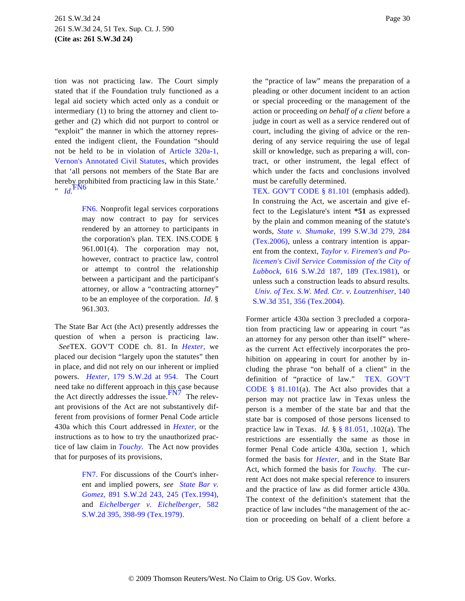tion was not practicing law. The Court simply stated that if the Foundation truly functioned as a legal aid society which acted only as a conduit or intermediary (1) to bring the attorney and client together and (2) which did not purport to control or "exploit" the manner in which the attorney represented the indigent client, the Foundation "should not be held to be in violation of [Article 320a-1,](http://www.westlaw.com/Find/Default.wl?rs=dfa1.0&vr=2.0&DB=1000188&DocName=TXCSART320A-1&FindType=L) [Vernon's Annotated Civil Statute](http://www.westlaw.com/Find/Default.wl?rs=dfa1.0&vr=2.0&DB=1000188&DocName=TXCSART320A-1&FindType=L)s, which provides that 'all persons not members of the State Bar are hereby prohibited from practicing law in this State.' " *[Id](http://www.westlaw.com/Find/Default.wl?rs=dfa1.0&vr=2.0&FindType=Y&SerialNum=1968135450).*[FN6](#page-29-0)

> <span id="page-29-1"></span><span id="page-29-0"></span>[FN6.](#page-29-1) Nonprofit legal services corporations may now contract to pay for services rendered by an attorney to participants in the corporation's plan. TEX. INS.CODE § 961.001(4). The corporation may not, however, contract to practice law, control or attempt to control the relationship between a participant and the participant's attorney, or allow a "contracting attorney" to be an employee of the corporation. *Id.* § 961.303.

<span id="page-29-3"></span>The State Bar Act (the Act) presently addresses the question of when a person is practicing law. *See*TEX. GOV'T CODE ch. 81. In *[Hexter,](http://www.westlaw.com/Find/Default.wl?rs=dfa1.0&vr=2.0&FindType=Y&SerialNum=1944102070)* we placed our decision "largely upon the statutes" then in place, and did not rely on our inherent or implied powers. *[Hexter,](http://www.westlaw.com/Find/Default.wl?rs=dfa1.0&vr=2.0&DB=713&FindType=Y&ReferencePositionType=S&SerialNum=1944102070&ReferencePosition=954)* [179 S.W.2d at 95](http://www.westlaw.com/Find/Default.wl?rs=dfa1.0&vr=2.0&DB=713&FindType=Y&ReferencePositionType=S&SerialNum=1944102070&ReferencePosition=954)4. The Court need take no different approach in this case because the Act directly addresses the issue. $F<sup>NT</sup>$  The relevant provisions of the Act are not substantively different from provisions of former Penal Code article 430a which this Court addressed in *[Hexter](http://www.westlaw.com/Find/Default.wl?rs=dfa1.0&vr=2.0&FindType=Y&SerialNum=1944102070),* or the instructions as to how to try the unauthorized practice of law claim in *[Touchy.](http://www.westlaw.com/Find/Default.wl?rs=dfa1.0&vr=2.0&FindType=Y&SerialNum=1967133073)* The Act now provides that for purposes of its provisions,

> <span id="page-29-2"></span>[FN7.](#page-29-3) For discussions of the Court's inherent and implied powers, *see [State Bar v](http://www.westlaw.com/Find/Default.wl?rs=dfa1.0&vr=2.0&DB=713&FindType=Y&ReferencePositionType=S&SerialNum=1994253348&ReferencePosition=245). [Gomez,](http://www.westlaw.com/Find/Default.wl?rs=dfa1.0&vr=2.0&DB=713&FindType=Y&ReferencePositionType=S&SerialNum=1994253348&ReferencePosition=245)* [891 S.W.2d 243, 245 \(Tex.199](http://www.westlaw.com/Find/Default.wl?rs=dfa1.0&vr=2.0&DB=713&FindType=Y&ReferencePositionType=S&SerialNum=1994253348&ReferencePosition=245)4), and *[Eichelberger v. Eichelberger,](http://www.westlaw.com/Find/Default.wl?rs=dfa1.0&vr=2.0&DB=713&FindType=Y&ReferencePositionType=S&SerialNum=1979129950&ReferencePosition=398)* 582 [S.W.2d 395, 398-99 \(Tex.1979\)](http://www.westlaw.com/Find/Default.wl?rs=dfa1.0&vr=2.0&DB=713&FindType=Y&ReferencePositionType=S&SerialNum=1979129950&ReferencePosition=398).

the "practice of law" means the preparation of a pleading or other document incident to an action or special proceeding or the management of the action or proceeding *on behalf of a client* before a judge in court as well as a service rendered out of court, including the giving of advice or the rendering of any service requiring the use of legal skill or knowledge, such as preparing a will, contract, or other instrument, the legal effect of which under the facts and conclusions involved must be carefully determined.

[TEX. GOV'T CODE § 81.10](http://www.westlaw.com/Find/Default.wl?rs=dfa1.0&vr=2.0&DB=1000176&DocName=TXGTS81.101&FindType=L)1 (emphasis added). In construing the Act, we ascertain and give effect to the Legislature's intent **\*51** as expressed by the plain and common meaning of the statute's words, *[State v. Shumake](http://www.westlaw.com/Find/Default.wl?rs=dfa1.0&vr=2.0&DB=4644&FindType=Y&ReferencePositionType=S&SerialNum=2009425752&ReferencePosition=284),* [199 S.W.3d 279, 28](http://www.westlaw.com/Find/Default.wl?rs=dfa1.0&vr=2.0&DB=4644&FindType=Y&ReferencePositionType=S&SerialNum=2009425752&ReferencePosition=284)4 [\(Tex.2006\)](http://www.westlaw.com/Find/Default.wl?rs=dfa1.0&vr=2.0&DB=4644&FindType=Y&ReferencePositionType=S&SerialNum=2009425752&ReferencePosition=284), unless a contrary intention is apparent from the context, *[Taylor v. Firemen's and Po](http://www.westlaw.com/Find/Default.wl?rs=dfa1.0&vr=2.0&DB=713&FindType=Y&ReferencePositionType=S&SerialNum=1981122384&ReferencePosition=189)[licemen's Civil Service Commission of the City o](http://www.westlaw.com/Find/Default.wl?rs=dfa1.0&vr=2.0&DB=713&FindType=Y&ReferencePositionType=S&SerialNum=1981122384&ReferencePosition=189)f [Lubbock,](http://www.westlaw.com/Find/Default.wl?rs=dfa1.0&vr=2.0&DB=713&FindType=Y&ReferencePositionType=S&SerialNum=1981122384&ReferencePosition=189)* [616 S.W.2d 187, 189 \(Tex.19](http://www.westlaw.com/Find/Default.wl?rs=dfa1.0&vr=2.0&DB=713&FindType=Y&ReferencePositionType=S&SerialNum=1981122384&ReferencePosition=189)81), or unless such a construction leads to absurd results. *[Univ. of Tex. S.W. Med. Ctr. v. Loutzenhiser,](http://www.westlaw.com/Find/Default.wl?rs=dfa1.0&vr=2.0&DB=4644&FindType=Y&ReferencePositionType=S&SerialNum=2004673653&ReferencePosition=356)* 140 [S.W.3d 351, 356 \(Tex.2004\)](http://www.westlaw.com/Find/Default.wl?rs=dfa1.0&vr=2.0&DB=4644&FindType=Y&ReferencePositionType=S&SerialNum=2004673653&ReferencePosition=356).

Former article 430a section 3 precluded a corporation from practicing law or appearing in court "as an attorney for any person other than itself" whereas the current Act effectively incorporates the prohibition on appearing in court for another by including the phrase "on behalf of a client" in the definition of "practice of law." [TEX. GOV'T](http://www.westlaw.com/Find/Default.wl?rs=dfa1.0&vr=2.0&DB=1000176&DocName=TXGTS81.101&FindType=L) CODE  $§ 81.101(a)$ . The Act also provides that a person may not practice law in Texas unless the person is a member of the state bar and that the state bar is composed of those persons licensed to practice law in Texas. *Id.* § [§ 81.051](http://www.westlaw.com/Find/Default.wl?rs=dfa1.0&vr=2.0&DB=1000301&DocName=TXGTS81.051&FindType=L), .102(a). The restrictions are essentially the same as those in former Penal Code article 430a, section 1, which formed the basis for *[Hexter,](http://www.westlaw.com/Find/Default.wl?rs=dfa1.0&vr=2.0&FindType=Y&SerialNum=1944102070)* and in the State Bar Act, which formed the basis for *[Touchy.](http://www.westlaw.com/Find/Default.wl?rs=dfa1.0&vr=2.0&FindType=Y&SerialNum=1967133073)* The current Act does not make special reference to insurers and the practice of law as did former article 430a. The context of the definition's statement that the practice of law includes "the management of the action or proceeding on behalf of a client before a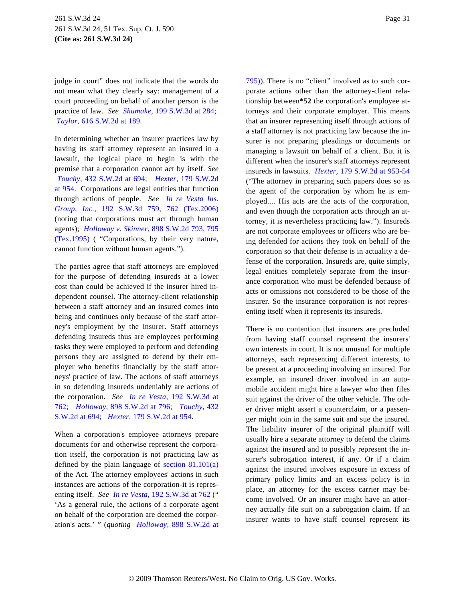judge in court" does not indicate that the words do not mean what they clearly say: management of a court proceeding on behalf of another person is the practice of law. *See [Shumake](http://www.westlaw.com/Find/Default.wl?rs=dfa1.0&vr=2.0&DB=4644&FindType=Y&ReferencePositionType=S&SerialNum=2009425752&ReferencePosition=284),* [199 S.W.3d at 284](http://www.westlaw.com/Find/Default.wl?rs=dfa1.0&vr=2.0&DB=4644&FindType=Y&ReferencePositionType=S&SerialNum=2009425752&ReferencePosition=284); *[Taylor,](http://www.westlaw.com/Find/Default.wl?rs=dfa1.0&vr=2.0&DB=713&FindType=Y&ReferencePositionType=S&SerialNum=1981122384&ReferencePosition=189)* [616 S.W.2d at 189](http://www.westlaw.com/Find/Default.wl?rs=dfa1.0&vr=2.0&DB=713&FindType=Y&ReferencePositionType=S&SerialNum=1981122384&ReferencePosition=189).

In determining whether an insurer practices law by having its staff attorney represent an insured in a lawsuit, the logical place to begin is with the premise that a corporation cannot act by itself. *See [Touchy,](http://www.westlaw.com/Find/Default.wl?rs=dfa1.0&vr=2.0&DB=713&FindType=Y&ReferencePositionType=S&SerialNum=1968135450&ReferencePosition=694)* [432 S.W.2d at 694](http://www.westlaw.com/Find/Default.wl?rs=dfa1.0&vr=2.0&DB=713&FindType=Y&ReferencePositionType=S&SerialNum=1968135450&ReferencePosition=694); *[Hexter](http://www.westlaw.com/Find/Default.wl?rs=dfa1.0&vr=2.0&DB=713&FindType=Y&ReferencePositionType=S&SerialNum=1944102070&ReferencePosition=954),* [179 S.W.2d](http://www.westlaw.com/Find/Default.wl?rs=dfa1.0&vr=2.0&DB=713&FindType=Y&ReferencePositionType=S&SerialNum=1944102070&ReferencePosition=954) [at 954.](http://www.westlaw.com/Find/Default.wl?rs=dfa1.0&vr=2.0&DB=713&FindType=Y&ReferencePositionType=S&SerialNum=1944102070&ReferencePosition=954) Corporations are legal entities that function through actions of people. *See [In re Vesta Ins](http://www.westlaw.com/Find/Default.wl?rs=dfa1.0&vr=2.0&DB=4644&FindType=Y&ReferencePositionType=S&SerialNum=2008702498&ReferencePosition=762). [Group, Inc](http://www.westlaw.com/Find/Default.wl?rs=dfa1.0&vr=2.0&DB=4644&FindType=Y&ReferencePositionType=S&SerialNum=2008702498&ReferencePosition=762).,* [192 S.W.3d 759, 762 \(Tex.](http://www.westlaw.com/Find/Default.wl?rs=dfa1.0&vr=2.0&DB=4644&FindType=Y&ReferencePositionType=S&SerialNum=2008702498&ReferencePosition=762)2006) (noting that corporations must act through human agents); *[Holloway v. Skinner](http://www.westlaw.com/Find/Default.wl?rs=dfa1.0&vr=2.0&DB=713&FindType=Y&ReferencePositionType=S&SerialNum=1995107685&ReferencePosition=795),* [898 S.W.2d 793, 795](http://www.westlaw.com/Find/Default.wl?rs=dfa1.0&vr=2.0&DB=713&FindType=Y&ReferencePositionType=S&SerialNum=1995107685&ReferencePosition=795) [\(Tex.1995\)](http://www.westlaw.com/Find/Default.wl?rs=dfa1.0&vr=2.0&DB=713&FindType=Y&ReferencePositionType=S&SerialNum=1995107685&ReferencePosition=795) ( "Corporations, by their very nature, cannot function without human agents.").

The parties agree that staff attorneys are employed for the purpose of defending insureds at a lower cost than could be achieved if the insurer hired independent counsel. The attorney-client relationship between a staff attorney and an insured comes into being and continues only because of the staff attorney's employment by the insurer. Staff attorneys defending insureds thus are employees performing tasks they were employed to perform and defending persons they are assigned to defend by their employer who benefits financially by the staff attorneys' practice of law. The actions of staff attorneys in so defending insureds undeniably are actions of the corporation. *See [In re Vesta](http://www.westlaw.com/Find/Default.wl?rs=dfa1.0&vr=2.0&DB=4644&FindType=Y&ReferencePositionType=S&SerialNum=2008702498&ReferencePosition=762),* [192 S.W.3d a](http://www.westlaw.com/Find/Default.wl?rs=dfa1.0&vr=2.0&DB=4644&FindType=Y&ReferencePositionType=S&SerialNum=2008702498&ReferencePosition=762)t [762;](http://www.westlaw.com/Find/Default.wl?rs=dfa1.0&vr=2.0&DB=4644&FindType=Y&ReferencePositionType=S&SerialNum=2008702498&ReferencePosition=762) *[Holloway,](http://www.westlaw.com/Find/Default.wl?rs=dfa1.0&vr=2.0&DB=713&FindType=Y&ReferencePositionType=S&SerialNum=1995107685&ReferencePosition=796)* [898 S.W.2d at 796](http://www.westlaw.com/Find/Default.wl?rs=dfa1.0&vr=2.0&DB=713&FindType=Y&ReferencePositionType=S&SerialNum=1995107685&ReferencePosition=796); *[Touchy,](http://www.westlaw.com/Find/Default.wl?rs=dfa1.0&vr=2.0&DB=713&FindType=Y&ReferencePositionType=S&SerialNum=1968135450&ReferencePosition=694)* 432 [S.W.2d at 694](http://www.westlaw.com/Find/Default.wl?rs=dfa1.0&vr=2.0&DB=713&FindType=Y&ReferencePositionType=S&SerialNum=1968135450&ReferencePosition=694); *[Hexter,](http://www.westlaw.com/Find/Default.wl?rs=dfa1.0&vr=2.0&DB=713&FindType=Y&ReferencePositionType=S&SerialNum=1944102070&ReferencePosition=954)* [179 S.W.2d at 954](http://www.westlaw.com/Find/Default.wl?rs=dfa1.0&vr=2.0&DB=713&FindType=Y&ReferencePositionType=S&SerialNum=1944102070&ReferencePosition=954).

When a corporation's employee attorneys prepare documents for and otherwise represent the corporation itself, the corporation is not practicing law as defined by the plain language of [section 81.101\(a](http://www.westlaw.com/Find/Default.wl?rs=dfa1.0&vr=2.0&DB=1000301&DocName=TXGTS81.101&FindType=L)) of the Act. The attorney employees' actions in such instances are actions of the corporation-it is representing itself. *See [In re Vesta,](http://www.westlaw.com/Find/Default.wl?rs=dfa1.0&vr=2.0&DB=4644&FindType=Y&ReferencePositionType=S&SerialNum=2008702498&ReferencePosition=762)* [192 S.W.3d at 762](http://www.westlaw.com/Find/Default.wl?rs=dfa1.0&vr=2.0&DB=4644&FindType=Y&ReferencePositionType=S&SerialNum=2008702498&ReferencePosition=762) (" 'As a general rule, the actions of a corporate agent on behalf of the corporation are deemed the corporation's acts.' " (*quoting [Holloway,](http://www.westlaw.com/Find/Default.wl?rs=dfa1.0&vr=2.0&DB=713&FindType=Y&ReferencePositionType=S&SerialNum=1995107685&ReferencePosition=795)* 898 S.W.2d at [795\)\)](http://www.westlaw.com/Find/Default.wl?rs=dfa1.0&vr=2.0&DB=713&FindType=Y&ReferencePositionType=S&SerialNum=1995107685&ReferencePosition=795). There is no "client" involved as to such corporate actions other than the attorney-client relationship between**\*52** the corporation's employee attorneys and their corporate employer. This means that an insurer representing itself through actions of a staff attorney is not practicing law because the insurer is not preparing pleadings or documents or managing a lawsuit on behalf of a client. But it is different when the insurer's staff attorneys represent insureds in lawsuits. *[Hexter,](http://www.westlaw.com/Find/Default.wl?rs=dfa1.0&vr=2.0&DB=713&FindType=Y&ReferencePositionType=S&SerialNum=1944102070&ReferencePosition=953)* [179 S.W.2d at 953-54](http://www.westlaw.com/Find/Default.wl?rs=dfa1.0&vr=2.0&DB=713&FindType=Y&ReferencePositionType=S&SerialNum=1944102070&ReferencePosition=953) ("The attorney in preparing such papers does so as the agent of the corporation by whom he is employed.... His acts are the acts of the corporation, and even though the corporation acts through an attorney, it is nevertheless practicing law."). Insureds are not corporate employees or officers who are being defended for actions they took on behalf of the corporation so that their defense is in actuality a defense of the corporation. Insureds are, quite simply, legal entities completely separate from the insurance corporation who must be defended because of acts or omissions not considered to be those of the insurer. So the insurance corporation is not representing itself when it represents its insureds.

There is no contention that insurers are precluded from having staff counsel represent the insurers' own interests in court. It is not unusual for multiple attorneys, each representing different interests, to be present at a proceeding involving an insured. For example, an insured driver involved in an automobile accident might hire a lawyer who then files suit against the driver of the other vehicle. The other driver might assert a counterclaim, or a passenger might join in the same suit and sue the insured. The liability insurer of the original plaintiff will usually hire a separate attorney to defend the claims against the insured and to possibly represent the insurer's subrogation interest, if any. Or if a claim against the insured involves exposure in excess of primary policy limits and an excess policy is in place, an attorney for the excess carrier may become involved. Or an insurer might have an attorney actually file suit on a subrogation claim. If an insurer wants to have staff counsel represent its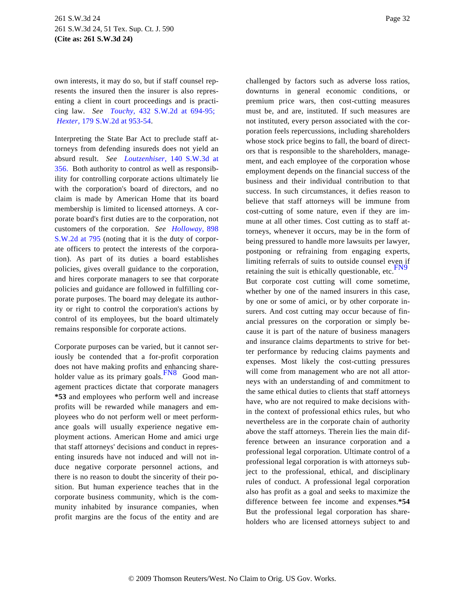own interests, it may do so, but if staff counsel represents the insured then the insurer is also representing a client in court proceedings and is practicing law. *See [Touchy,](http://www.westlaw.com/Find/Default.wl?rs=dfa1.0&vr=2.0&DB=713&FindType=Y&ReferencePositionType=S&SerialNum=1968135450&ReferencePosition=694)* [432 S.W.2d at 694-9](http://www.westlaw.com/Find/Default.wl?rs=dfa1.0&vr=2.0&DB=713&FindType=Y&ReferencePositionType=S&SerialNum=1968135450&ReferencePosition=694)5; *[Hexter,](http://www.westlaw.com/Find/Default.wl?rs=dfa1.0&vr=2.0&DB=713&FindType=Y&ReferencePositionType=S&SerialNum=1944102070&ReferencePosition=953)* [179 S.W.2d at 953-54](http://www.westlaw.com/Find/Default.wl?rs=dfa1.0&vr=2.0&DB=713&FindType=Y&ReferencePositionType=S&SerialNum=1944102070&ReferencePosition=953).

Interpreting the State Bar Act to preclude staff attorneys from defending insureds does not yield an absurd result. *See [Loutzenhiser](http://www.westlaw.com/Find/Default.wl?rs=dfa1.0&vr=2.0&DB=4644&FindType=Y&ReferencePositionType=S&SerialNum=2004673653&ReferencePosition=356),* [140 S.W.3d a](http://www.westlaw.com/Find/Default.wl?rs=dfa1.0&vr=2.0&DB=4644&FindType=Y&ReferencePositionType=S&SerialNum=2004673653&ReferencePosition=356)t [356.](http://www.westlaw.com/Find/Default.wl?rs=dfa1.0&vr=2.0&DB=4644&FindType=Y&ReferencePositionType=S&SerialNum=2004673653&ReferencePosition=356) Both authority to control as well as responsibility for controlling corporate actions ultimately lie with the corporation's board of directors, and no claim is made by American Home that its board membership is limited to licensed attorneys. A corporate board's first duties are to the corporation, not customers of the corporation. *See [Holloway,](http://www.westlaw.com/Find/Default.wl?rs=dfa1.0&vr=2.0&DB=713&FindType=Y&ReferencePositionType=S&SerialNum=1995107685&ReferencePosition=795)* 898 [S.W.2d at 795](http://www.westlaw.com/Find/Default.wl?rs=dfa1.0&vr=2.0&DB=713&FindType=Y&ReferencePositionType=S&SerialNum=1995107685&ReferencePosition=795) (noting that it is the duty of corporate officers to protect the interests of the corporation). As part of its duties a board establishes policies, gives overall guidance to the corporation, and hires corporate managers to see that corporate policies and guidance are followed in fulfilling corporate purposes. The board may delegate its authority or right to control the corporation's actions by control of its employees, but the board ultimately remains responsible for corporate actions.

<span id="page-31-1"></span><span id="page-31-0"></span>Corporate purposes can be varied, but it cannot seriously be contended that a for-profit corporation does not have making profits and enhancing shareholder value as its primary goals.  $\frac{FN8}{FNS}$  $\frac{FN8}{FNS}$  $\frac{FN8}{FNS}$  Good management practices dictate that corporate managers **\*53** and employees who perform well and increase profits will be rewarded while managers and employees who do not perform well or meet performance goals will usually experience negative employment actions. American Home and amici urge that staff attorneys' decisions and conduct in representing insureds have not induced and will not induce negative corporate personnel actions, and there is no reason to doubt the sincerity of their position. But human experience teaches that in the corporate business community, which is the community inhabited by insurance companies, when profit margins are the focus of the entity and are challenged by factors such as adverse loss ratios, downturns in general economic conditions, or premium price wars, then cost-cutting measures must be, and are, instituted. If such measures are not instituted, every person associated with the corporation feels repercussions, including shareholders whose stock price begins to fall, the board of directors that is responsible to the shareholders, management, and each employee of the corporation whose employment depends on the financial success of the business and their individual contribution to that success. In such circumstances, it defies reason to believe that staff attorneys will be immune from cost-cutting of some nature, even if they are immune at all other times. Cost cutting as to staff attorneys, whenever it occurs, may be in the form of being pressured to handle more lawsuits per lawyer, postponing or refraining from engaging experts, limiting referrals of suits to outside counsel even if retaining the suit is ethically questionable, etc. $F_N$ 

But corporate cost cutting will come sometime, whether by one of the named insurers in this case, by one or some of amici, or by other corporate insurers. And cost cutting may occur because of financial pressures on the corporation or simply because it is part of the nature of business managers and insurance claims departments to strive for better performance by reducing claims payments and expenses. Most likely the cost-cutting pressures will come from management who are not all attorneys with an understanding of and commitment to the same ethical duties to clients that staff attorneys have, who are not required to make decisions within the context of professional ethics rules, but who nevertheless are in the corporate chain of authority above the staff attorneys. Therein lies the main difference between an insurance corporation and a professional legal corporation. Ultimate control of a professional legal corporation is with attorneys subject to the professional, ethical, and disciplinary rules of conduct. A professional legal corporation also has profit as a goal and seeks to maximize the difference between fee income and expenses.**\*54** But the professional legal corporation has shareholders who are licensed attorneys subject to and